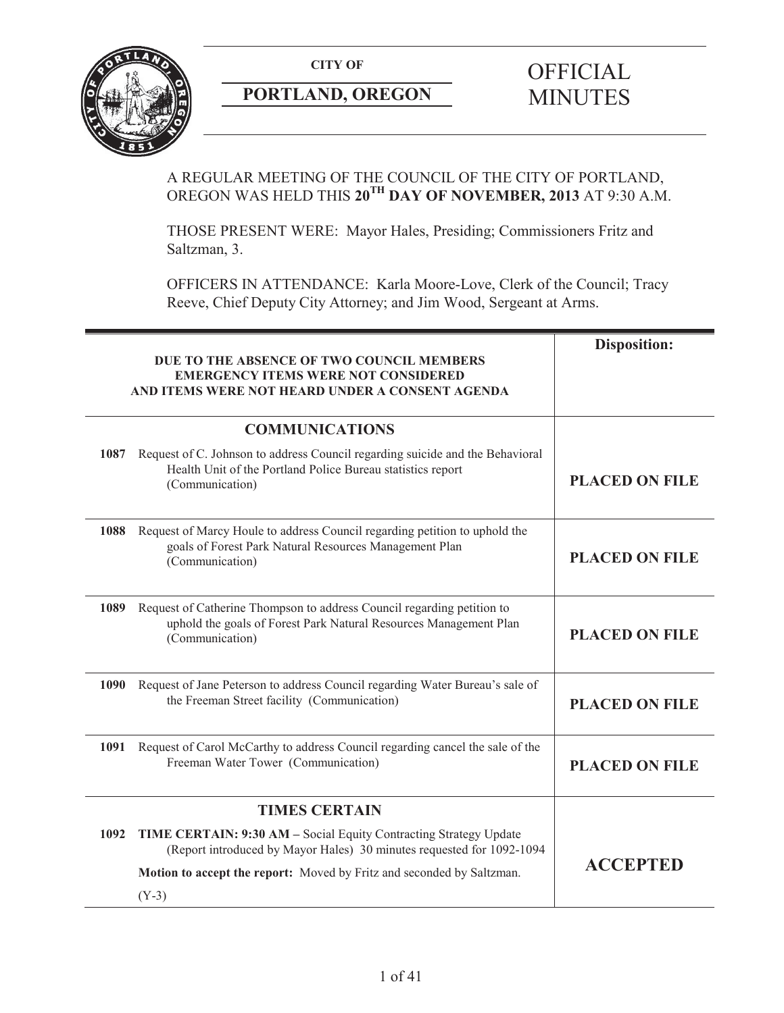

# **PORTLAND, OREGON MINUTES**

# **CITY OF** OFFICIAL

# A REGULAR MEETING OF THE COUNCIL OF THE CITY OF PORTLAND, OREGON WAS HELD THIS **20TH DAY OF NOVEMBER, 2013** AT 9:30 A.M.

THOSE PRESENT WERE: Mayor Hales, Presiding; Commissioners Fritz and Saltzman, 3.

OFFICERS IN ATTENDANCE: Karla Moore-Love, Clerk of the Council; Tracy Reeve, Chief Deputy City Attorney; and Jim Wood, Sergeant at Arms.

|                       | DUE TO THE ABSENCE OF TWO COUNCIL MEMBERS<br><b>EMERGENCY ITEMS WERE NOT CONSIDERED</b><br>AND ITEMS WERE NOT HEARD UNDER A CONSENT AGENDA                      | <b>Disposition:</b>   |
|-----------------------|-----------------------------------------------------------------------------------------------------------------------------------------------------------------|-----------------------|
| <b>COMMUNICATIONS</b> |                                                                                                                                                                 |                       |
| 1087                  | Request of C. Johnson to address Council regarding suicide and the Behavioral<br>Health Unit of the Portland Police Bureau statistics report<br>(Communication) | <b>PLACED ON FILE</b> |
| 1088                  | Request of Marcy Houle to address Council regarding petition to uphold the<br>goals of Forest Park Natural Resources Management Plan<br>(Communication)         | <b>PLACED ON FILE</b> |
| 1089                  | Request of Catherine Thompson to address Council regarding petition to<br>uphold the goals of Forest Park Natural Resources Management Plan<br>(Communication)  | <b>PLACED ON FILE</b> |
| 1090                  | Request of Jane Peterson to address Council regarding Water Bureau's sale of<br>the Freeman Street facility (Communication)                                     | <b>PLACED ON FILE</b> |
| 1091                  | Request of Carol McCarthy to address Council regarding cancel the sale of the<br>Freeman Water Tower (Communication)                                            | <b>PLACED ON FILE</b> |
| <b>TIMES CERTAIN</b>  |                                                                                                                                                                 |                       |
| 1092                  | TIME CERTAIN: 9:30 AM - Social Equity Contracting Strategy Update<br>(Report introduced by Mayor Hales) 30 minutes requested for 1092-1094                      |                       |
|                       | Motion to accept the report: Moved by Fritz and seconded by Saltzman.                                                                                           | <b>ACCEPTED</b>       |
|                       | $(Y-3)$                                                                                                                                                         |                       |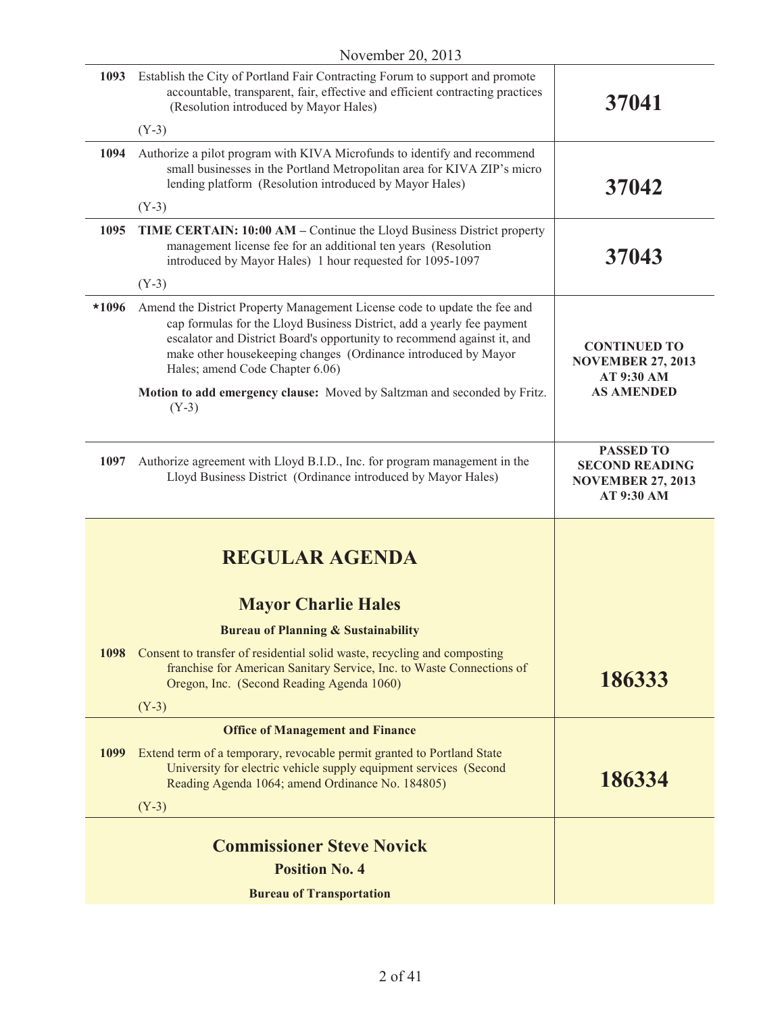| 1093  | Establish the City of Portland Fair Contracting Forum to support and promote<br>accountable, transparent, fair, effective and efficient contracting practices<br>(Resolution introduced by Mayor Hales)                                                                                                                             | 37041                                                                               |
|-------|-------------------------------------------------------------------------------------------------------------------------------------------------------------------------------------------------------------------------------------------------------------------------------------------------------------------------------------|-------------------------------------------------------------------------------------|
|       | $(Y-3)$                                                                                                                                                                                                                                                                                                                             |                                                                                     |
| 1094  | Authorize a pilot program with KIVA Microfunds to identify and recommend<br>small businesses in the Portland Metropolitan area for KIVA ZIP's micro<br>lending platform (Resolution introduced by Mayor Hales)                                                                                                                      | 37042                                                                               |
|       | $(Y-3)$                                                                                                                                                                                                                                                                                                                             |                                                                                     |
| 1095  | <b>TIME CERTAIN: 10:00 AM – Continue the Lloyd Business District property</b><br>management license fee for an additional ten years (Resolution<br>introduced by Mayor Hales) 1 hour requested for 1095-1097                                                                                                                        | 37043                                                                               |
|       | $(Y-3)$                                                                                                                                                                                                                                                                                                                             |                                                                                     |
| *1096 | Amend the District Property Management License code to update the fee and<br>cap formulas for the Lloyd Business District, add a yearly fee payment<br>escalator and District Board's opportunity to recommend against it, and<br>make other housekeeping changes (Ordinance introduced by Mayor<br>Hales; amend Code Chapter 6.06) | <b>CONTINUED TO</b><br><b>NOVEMBER 27, 2013</b><br>AT 9:30 AM                       |
|       | Motion to add emergency clause: Moved by Saltzman and seconded by Fritz.<br>$(Y-3)$                                                                                                                                                                                                                                                 | <b>AS AMENDED</b>                                                                   |
| 1097  | Authorize agreement with Lloyd B.I.D., Inc. for program management in the<br>Lloyd Business District (Ordinance introduced by Mayor Hales)                                                                                                                                                                                          | <b>PASSED TO</b><br><b>SECOND READING</b><br><b>NOVEMBER 27, 2013</b><br>AT 9:30 AM |
|       | <b>REGULAR AGENDA</b>                                                                                                                                                                                                                                                                                                               |                                                                                     |
|       | <b>Mayor Charlie Hales</b>                                                                                                                                                                                                                                                                                                          |                                                                                     |
|       | <b>Bureau of Planning &amp; Sustainability</b>                                                                                                                                                                                                                                                                                      |                                                                                     |
| 1098  | Consent to transfer of residential solid waste, recycling and composting<br>franchise for American Sanitary Service, Inc. to Waste Connections of<br>Oregon, Inc. (Second Reading Agenda 1060)                                                                                                                                      | 186333                                                                              |
|       | $(Y-3)$                                                                                                                                                                                                                                                                                                                             |                                                                                     |
|       | <b>Office of Management and Finance</b>                                                                                                                                                                                                                                                                                             |                                                                                     |
| 1099  | Extend term of a temporary, revocable permit granted to Portland State<br>University for electric vehicle supply equipment services (Second<br>Reading Agenda 1064; amend Ordinance No. 184805)                                                                                                                                     | 186334                                                                              |
|       | $(Y-3)$                                                                                                                                                                                                                                                                                                                             |                                                                                     |
|       | <b>Commissioner Steve Novick</b>                                                                                                                                                                                                                                                                                                    |                                                                                     |
|       | <b>Position No. 4</b>                                                                                                                                                                                                                                                                                                               |                                                                                     |
|       | <b>Bureau of Transportation</b>                                                                                                                                                                                                                                                                                                     |                                                                                     |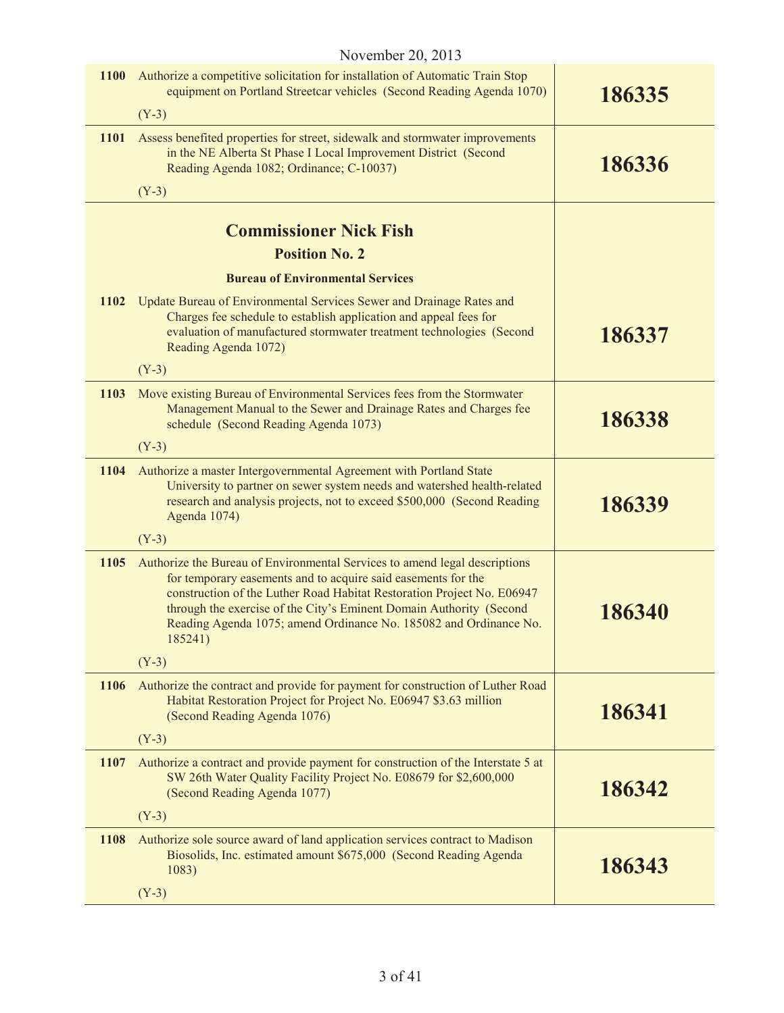| <b>1100</b> | Authorize a competitive solicitation for installation of Automatic Train Stop<br>equipment on Portland Streetcar vehicles (Second Reading Agenda 1070)                                                                                                                                                                                                                       | 186335 |
|-------------|------------------------------------------------------------------------------------------------------------------------------------------------------------------------------------------------------------------------------------------------------------------------------------------------------------------------------------------------------------------------------|--------|
|             | $(Y-3)$                                                                                                                                                                                                                                                                                                                                                                      |        |
| <b>1101</b> | Assess benefited properties for street, sidewalk and stormwater improvements<br>in the NE Alberta St Phase I Local Improvement District (Second<br>Reading Agenda 1082; Ordinance; C-10037)                                                                                                                                                                                  | 186336 |
|             | $(Y-3)$                                                                                                                                                                                                                                                                                                                                                                      |        |
|             | <b>Commissioner Nick Fish</b>                                                                                                                                                                                                                                                                                                                                                |        |
|             | <b>Position No. 2</b>                                                                                                                                                                                                                                                                                                                                                        |        |
|             | <b>Bureau of Environmental Services</b>                                                                                                                                                                                                                                                                                                                                      |        |
| 1102        | Update Bureau of Environmental Services Sewer and Drainage Rates and<br>Charges fee schedule to establish application and appeal fees for<br>evaluation of manufactured stormwater treatment technologies (Second<br>Reading Agenda 1072)                                                                                                                                    | 186337 |
|             | $(Y-3)$                                                                                                                                                                                                                                                                                                                                                                      |        |
| 1103        | Move existing Bureau of Environmental Services fees from the Stormwater<br>Management Manual to the Sewer and Drainage Rates and Charges fee<br>schedule (Second Reading Agenda 1073)                                                                                                                                                                                        | 186338 |
|             | $(Y-3)$                                                                                                                                                                                                                                                                                                                                                                      |        |
| <b>1104</b> | Authorize a master Intergovernmental Agreement with Portland State<br>University to partner on sewer system needs and watershed health-related<br>research and analysis projects, not to exceed \$500,000 (Second Reading<br>Agenda 1074)                                                                                                                                    | 186339 |
|             | $(Y-3)$                                                                                                                                                                                                                                                                                                                                                                      |        |
| 1105        | Authorize the Bureau of Environmental Services to amend legal descriptions<br>for temporary easements and to acquire said easements for the<br>construction of the Luther Road Habitat Restoration Project No. E06947<br>through the exercise of the City's Eminent Domain Authority (Second<br>Reading Agenda 1075; amend Ordinance No. 185082 and Ordinance No.<br>185241) | 186340 |
|             | $(Y-3)$                                                                                                                                                                                                                                                                                                                                                                      |        |
| <b>1106</b> | Authorize the contract and provide for payment for construction of Luther Road<br>Habitat Restoration Project for Project No. E06947 \$3.63 million<br>(Second Reading Agenda 1076)                                                                                                                                                                                          | 186341 |
|             | $(Y-3)$                                                                                                                                                                                                                                                                                                                                                                      |        |
| 1107        | Authorize a contract and provide payment for construction of the Interstate 5 at<br>SW 26th Water Quality Facility Project No. E08679 for \$2,600,000<br>(Second Reading Agenda 1077)                                                                                                                                                                                        | 186342 |
|             | $(Y-3)$                                                                                                                                                                                                                                                                                                                                                                      |        |
| 1108        | Authorize sole source award of land application services contract to Madison<br>Biosolids, Inc. estimated amount \$675,000 (Second Reading Agenda<br>1083)                                                                                                                                                                                                                   | 186343 |
|             | $(Y-3)$                                                                                                                                                                                                                                                                                                                                                                      |        |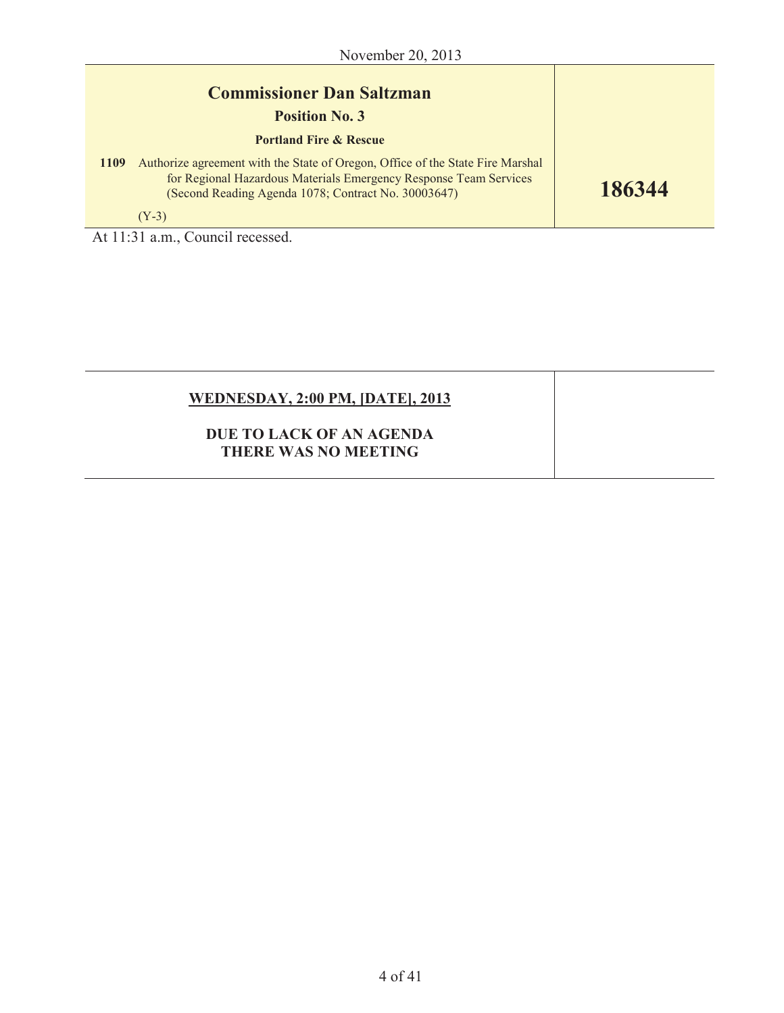| <b>Commissioner Dan Saltzman</b><br><b>Position No. 3</b> |                                                                                                                                                                                                            |        |
|-----------------------------------------------------------|------------------------------------------------------------------------------------------------------------------------------------------------------------------------------------------------------------|--------|
|                                                           | <b>Portland Fire &amp; Rescue</b>                                                                                                                                                                          |        |
| <b>1109</b>                                               | Authorize agreement with the State of Oregon, Office of the State Fire Marshal<br>for Regional Hazardous Materials Emergency Response Team Services<br>(Second Reading Agenda 1078; Contract No. 30003647) | 186344 |
|                                                           | $(Y-3)$                                                                                                                                                                                                    |        |

At 11:31 a.m., Council recessed.

| <b>WEDNESDAY, 2:00 PM, [DATE], 2013</b>                 |  |
|---------------------------------------------------------|--|
| DUE TO LACK OF AN AGENDA<br><b>THERE WAS NO MEETING</b> |  |
|                                                         |  |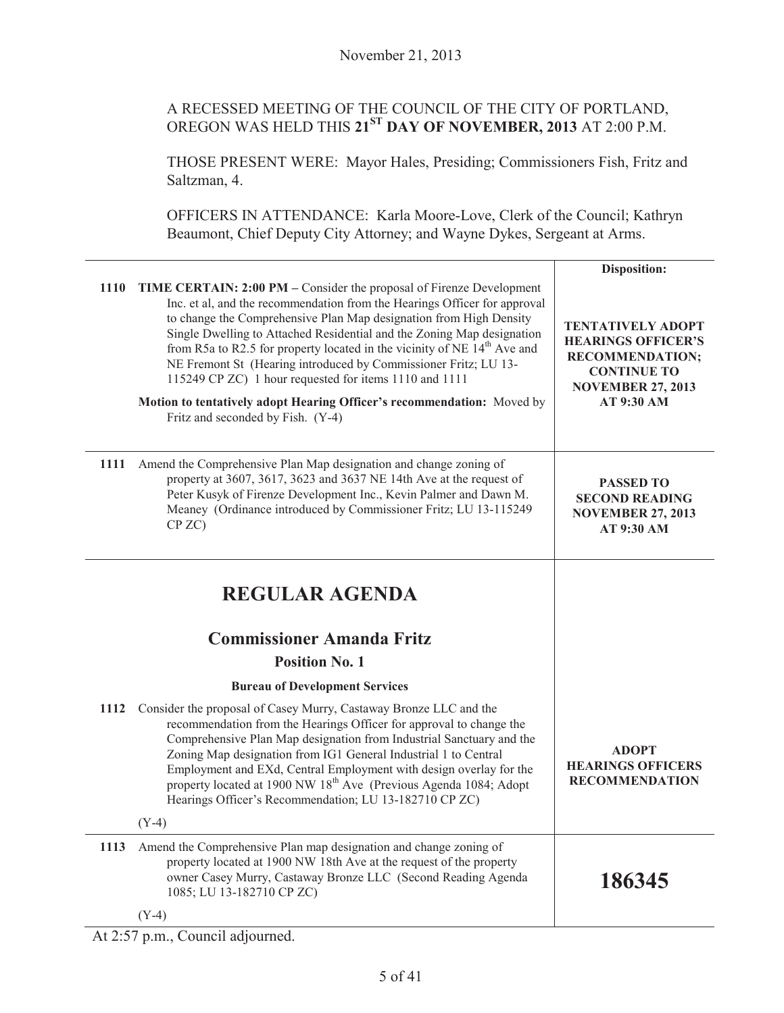# A RECESSED MEETING OF THE COUNCIL OF THE CITY OF PORTLAND, OREGON WAS HELD THIS **21ST DAY OF NOVEMBER, 2013** AT 2:00 P.M.

THOSE PRESENT WERE: Mayor Hales, Presiding; Commissioners Fish, Fritz and Saltzman, 4.

OFFICERS IN ATTENDANCE: Karla Moore-Love, Clerk of the Council; Kathryn Beaumont, Chief Deputy City Attorney; and Wayne Dykes, Sergeant at Arms.

|                                                                                                                                                                                                                                                                                                                                                                                                                                                                                                                                                                                                                                     | Disposition:                                                                                                                                    |
|-------------------------------------------------------------------------------------------------------------------------------------------------------------------------------------------------------------------------------------------------------------------------------------------------------------------------------------------------------------------------------------------------------------------------------------------------------------------------------------------------------------------------------------------------------------------------------------------------------------------------------------|-------------------------------------------------------------------------------------------------------------------------------------------------|
| 1110<br>TIME CERTAIN: 2:00 PM – Consider the proposal of Firenze Development<br>Inc. et al, and the recommendation from the Hearings Officer for approval<br>to change the Comprehensive Plan Map designation from High Density<br>Single Dwelling to Attached Residential and the Zoning Map designation<br>from R5a to R2.5 for property located in the vicinity of NE $14th$ Ave and<br>NE Fremont St (Hearing introduced by Commissioner Fritz; LU 13-<br>115249 CP ZC) 1 hour requested for items 1110 and 1111<br>Motion to tentatively adopt Hearing Officer's recommendation: Moved by<br>Fritz and seconded by Fish. (Y-4) | <b>TENTATIVELY ADOPT</b><br><b>HEARINGS OFFICER'S</b><br><b>RECOMMENDATION;</b><br><b>CONTINUE TO</b><br><b>NOVEMBER 27, 2013</b><br>AT 9:30 AM |
| 1111 Amend the Comprehensive Plan Map designation and change zoning of<br>property at 3607, 3617, 3623 and 3637 NE 14th Ave at the request of<br>Peter Kusyk of Firenze Development Inc., Kevin Palmer and Dawn M.<br>Meaney (Ordinance introduced by Commissioner Fritz; LU 13-115249<br>CP ZC)                                                                                                                                                                                                                                                                                                                                    | <b>PASSED TO</b><br><b>SECOND READING</b><br><b>NOVEMBER 27, 2013</b><br>AT 9:30 AM                                                             |
| <b>REGULAR AGENDA</b><br><b>Commissioner Amanda Fritz</b>                                                                                                                                                                                                                                                                                                                                                                                                                                                                                                                                                                           |                                                                                                                                                 |
| <b>Position No. 1</b>                                                                                                                                                                                                                                                                                                                                                                                                                                                                                                                                                                                                               |                                                                                                                                                 |
| <b>Bureau of Development Services</b>                                                                                                                                                                                                                                                                                                                                                                                                                                                                                                                                                                                               |                                                                                                                                                 |
| Consider the proposal of Casey Murry, Castaway Bronze LLC and the<br>1112<br>recommendation from the Hearings Officer for approval to change the<br>Comprehensive Plan Map designation from Industrial Sanctuary and the<br>Zoning Map designation from IG1 General Industrial 1 to Central<br>Employment and EXd, Central Employment with design overlay for the<br>property located at 1900 NW 18 <sup>th</sup> Ave (Previous Agenda 1084; Adopt<br>Hearings Officer's Recommendation; LU 13-182710 CP ZC)                                                                                                                        | <b>ADOPT</b><br><b>HEARINGS OFFICERS</b><br><b>RECOMMENDATION</b>                                                                               |
| $(Y-4)$                                                                                                                                                                                                                                                                                                                                                                                                                                                                                                                                                                                                                             |                                                                                                                                                 |
| Amend the Comprehensive Plan map designation and change zoning of<br>1113<br>property located at 1900 NW 18th Ave at the request of the property<br>owner Casey Murry, Castaway Bronze LLC (Second Reading Agenda<br>1085; LU 13-182710 CP ZC)                                                                                                                                                                                                                                                                                                                                                                                      | 186345                                                                                                                                          |
| $(Y-4)$                                                                                                                                                                                                                                                                                                                                                                                                                                                                                                                                                                                                                             |                                                                                                                                                 |

At 2:57 p.m., Council adjourned.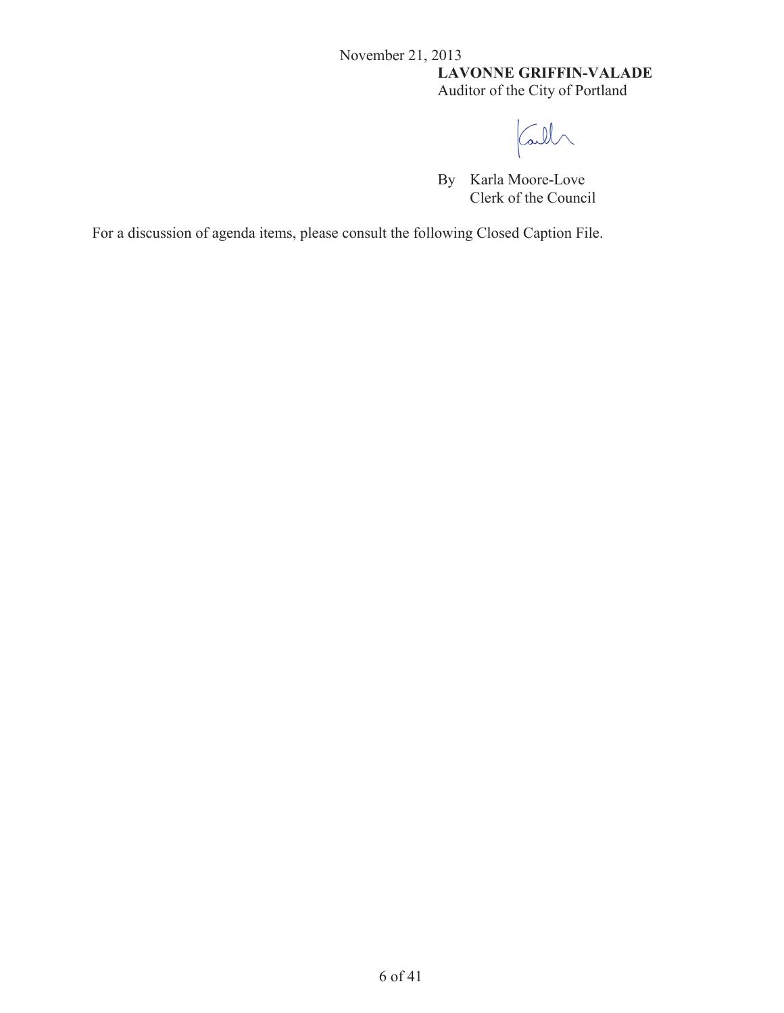# November 21, 2013 **LAVONNE GRIFFIN-VALADE** Auditor of the City of Portland

Call

By Karla Moore-Love Clerk of the Council

For a discussion of agenda items, please consult the following Closed Caption File.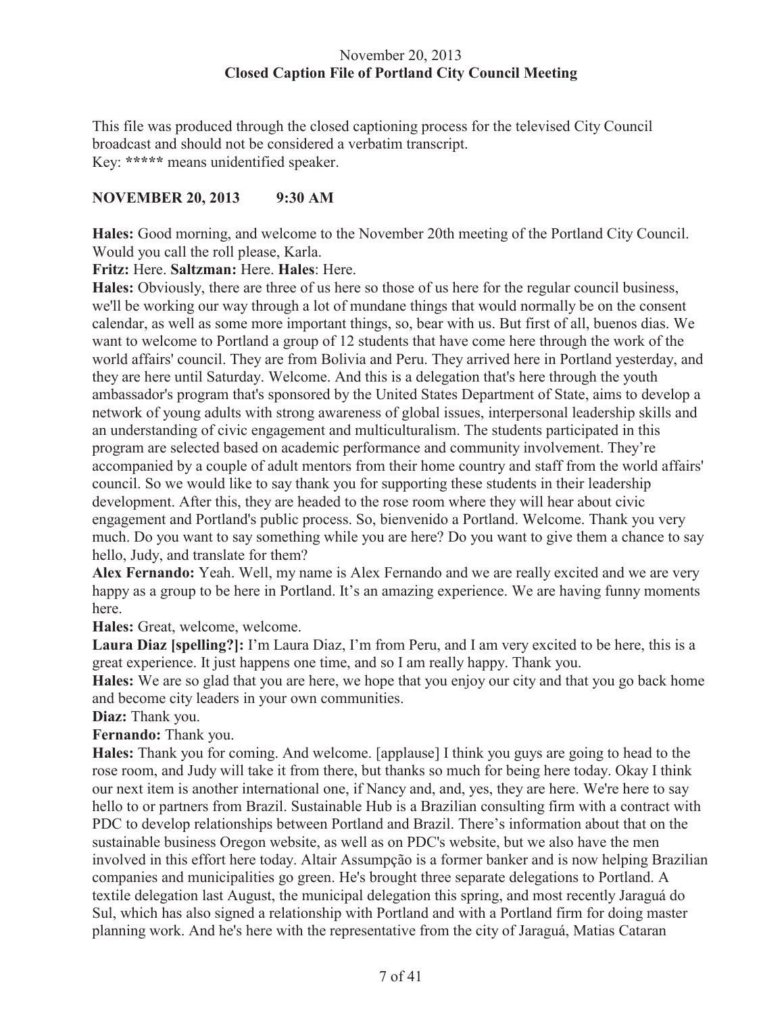#### November 20, 2013 **Closed Caption File of Portland City Council Meeting**

This file was produced through the closed captioning process for the televised City Council broadcast and should not be considered a verbatim transcript. Key: **\*\*\*\*\*** means unidentified speaker.

# **NOVEMBER 20, 2013 9:30 AM**

**Hales:** Good morning, and welcome to the November 20th meeting of the Portland City Council. Would you call the roll please, Karla.

#### **Fritz:** Here. **Saltzman:** Here. **Hales**: Here.

**Hales:** Obviously, there are three of us here so those of us here for the regular council business, we'll be working our way through a lot of mundane things that would normally be on the consent calendar, as well as some more important things, so, bear with us. But first of all, buenos dias. We want to welcome to Portland a group of 12 students that have come here through the work of the world affairs' council. They are from Bolivia and Peru. They arrived here in Portland yesterday, and they are here until Saturday. Welcome. And this is a delegation that's here through the youth ambassador's program that's sponsored by the United States Department of State, aims to develop a network of young adults with strong awareness of global issues, interpersonal leadership skills and an understanding of civic engagement and multiculturalism. The students participated in this program are selected based on academic performance and community involvement. They're accompanied by a couple of adult mentors from their home country and staff from the world affairs' council. So we would like to say thank you for supporting these students in their leadership development. After this, they are headed to the rose room where they will hear about civic engagement and Portland's public process. So, bienvenido a Portland. Welcome. Thank you very much. Do you want to say something while you are here? Do you want to give them a chance to say hello, Judy, and translate for them?

**Alex Fernando:** Yeah. Well, my name is Alex Fernando and we are really excited and we are very happy as a group to be here in Portland. It's an amazing experience. We are having funny moments here.

**Hales:** Great, welcome, welcome.

**Laura Diaz [spelling?]:** I'm Laura Diaz, I'm from Peru, and I am very excited to be here, this is a great experience. It just happens one time, and so I am really happy. Thank you.

**Hales:** We are so glad that you are here, we hope that you enjoy our city and that you go back home and become city leaders in your own communities.

#### **Diaz:** Thank you.

**Fernando:** Thank you.

**Hales:** Thank you for coming. And welcome. [applause] I think you guys are going to head to the rose room, and Judy will take it from there, but thanks so much for being here today. Okay I think our next item is another international one, if Nancy and, and, yes, they are here. We're here to say hello to or partners from Brazil. Sustainable Hub is a Brazilian consulting firm with a contract with PDC to develop relationships between Portland and Brazil. There's information about that on the sustainable business Oregon website, as well as on PDC's website, but we also have the men involved in this effort here today. Altair Assumpção is a former banker and is now helping Brazilian companies and municipalities go green. He's brought three separate delegations to Portland. A textile delegation last August, the municipal delegation this spring, and most recently Jaraguá do Sul, which has also signed a relationship with Portland and with a Portland firm for doing master planning work. And he's here with the representative from the city of Jaraguá, Matias Cataran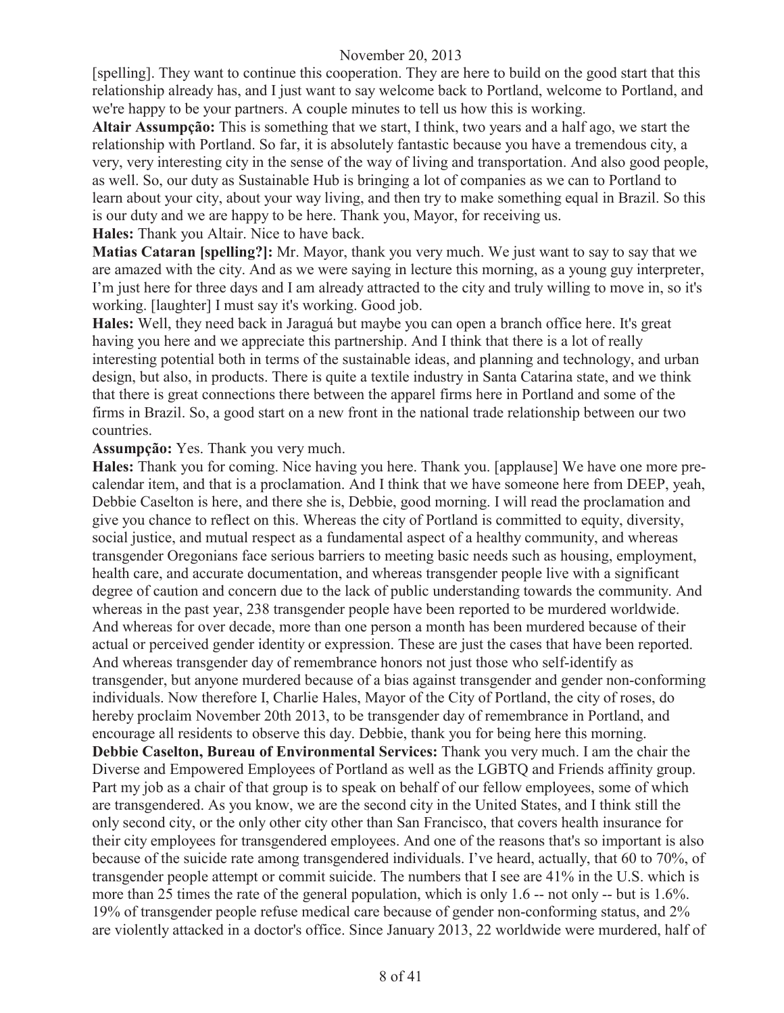[spelling]. They want to continue this cooperation. They are here to build on the good start that this relationship already has, and I just want to say welcome back to Portland, welcome to Portland, and we're happy to be your partners. A couple minutes to tell us how this is working.

**Altair Assumpção:** This is something that we start, I think, two years and a half ago, we start the relationship with Portland. So far, it is absolutely fantastic because you have a tremendous city, a very, very interesting city in the sense of the way of living and transportation. And also good people, as well. So, our duty as Sustainable Hub is bringing a lot of companies as we can to Portland to learn about your city, about your way living, and then try to make something equal in Brazil. So this is our duty and we are happy to be here. Thank you, Mayor, for receiving us.

**Hales:** Thank you Altair. Nice to have back.

**Matias Cataran [spelling?]:** Mr. Mayor, thank you very much. We just want to say to say that we are amazed with the city. And as we were saying in lecture this morning, as a young guy interpreter, I'm just here for three days and I am already attracted to the city and truly willing to move in, so it's working. [laughter] I must say it's working. Good job.

**Hales:** Well, they need back in Jaraguá but maybe you can open a branch office here. It's great having you here and we appreciate this partnership. And I think that there is a lot of really interesting potential both in terms of the sustainable ideas, and planning and technology, and urban design, but also, in products. There is quite a textile industry in Santa Catarina state, and we think that there is great connections there between the apparel firms here in Portland and some of the firms in Brazil. So, a good start on a new front in the national trade relationship between our two countries.

#### **Assumpção:** Yes. Thank you very much.

**Hales:** Thank you for coming. Nice having you here. Thank you. [applause] We have one more precalendar item, and that is a proclamation. And I think that we have someone here from DEEP, yeah, Debbie Caselton is here, and there she is, Debbie, good morning. I will read the proclamation and give you chance to reflect on this. Whereas the city of Portland is committed to equity, diversity, social justice, and mutual respect as a fundamental aspect of a healthy community, and whereas transgender Oregonians face serious barriers to meeting basic needs such as housing, employment, health care, and accurate documentation, and whereas transgender people live with a significant degree of caution and concern due to the lack of public understanding towards the community. And whereas in the past year, 238 transgender people have been reported to be murdered worldwide. And whereas for over decade, more than one person a month has been murdered because of their actual or perceived gender identity or expression. These are just the cases that have been reported. And whereas transgender day of remembrance honors not just those who self-identify as transgender, but anyone murdered because of a bias against transgender and gender non-conforming individuals. Now therefore I, Charlie Hales, Mayor of the City of Portland, the city of roses, do hereby proclaim November 20th 2013, to be transgender day of remembrance in Portland, and encourage all residents to observe this day. Debbie, thank you for being here this morning. **Debbie Caselton, Bureau of Environmental Services:** Thank you very much. I am the chair the Diverse and Empowered Employees of Portland as well as the LGBTQ and Friends affinity group. Part my job as a chair of that group is to speak on behalf of our fellow employees, some of which are transgendered. As you know, we are the second city in the United States, and I think still the only second city, or the only other city other than San Francisco, that covers health insurance for their city employees for transgendered employees. And one of the reasons that's so important is also because of the suicide rate among transgendered individuals. I've heard, actually, that 60 to 70%, of transgender people attempt or commit suicide. The numbers that I see are 41% in the U.S. which is more than 25 times the rate of the general population, which is only 1.6 -- not only -- but is 1.6%. 19% of transgender people refuse medical care because of gender non-conforming status, and 2% are violently attacked in a doctor's office. Since January 2013, 22 worldwide were murdered, half of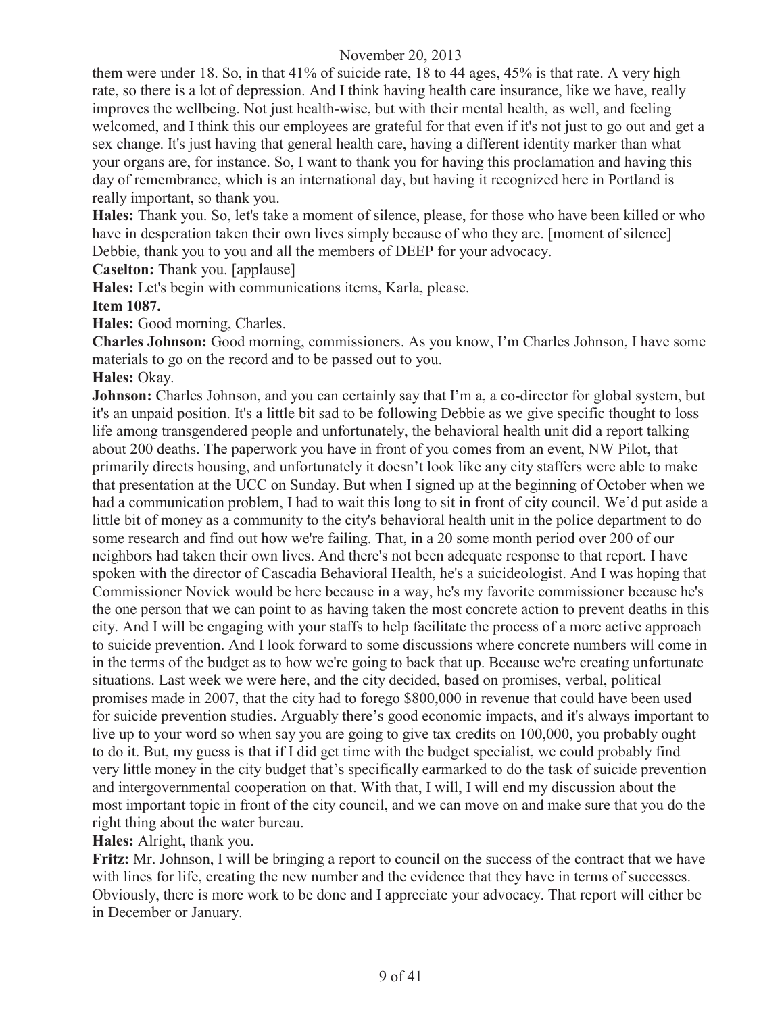them were under 18. So, in that 41% of suicide rate, 18 to 44 ages, 45% is that rate. A very high rate, so there is a lot of depression. And I think having health care insurance, like we have, really improves the wellbeing. Not just health-wise, but with their mental health, as well, and feeling welcomed, and I think this our employees are grateful for that even if it's not just to go out and get a sex change. It's just having that general health care, having a different identity marker than what your organs are, for instance. So, I want to thank you for having this proclamation and having this day of remembrance, which is an international day, but having it recognized here in Portland is really important, so thank you.

**Hales:** Thank you. So, let's take a moment of silence, please, for those who have been killed or who have in desperation taken their own lives simply because of who they are. [moment of silence] Debbie, thank you to you and all the members of DEEP for your advocacy.

**Caselton:** Thank you. [applause]

**Hales:** Let's begin with communications items, Karla, please.

**Item 1087.**

**Hales:** Good morning, Charles.

**Charles Johnson:** Good morning, commissioners. As you know, I'm Charles Johnson, I have some materials to go on the record and to be passed out to you.

#### **Hales:** Okay.

**Johnson:** Charles Johnson, and you can certainly say that I'm a, a co-director for global system, but it's an unpaid position. It's a little bit sad to be following Debbie as we give specific thought to loss life among transgendered people and unfortunately, the behavioral health unit did a report talking about 200 deaths. The paperwork you have in front of you comes from an event, NW Pilot, that primarily directs housing, and unfortunately it doesn't look like any city staffers were able to make that presentation at the UCC on Sunday. But when I signed up at the beginning of October when we had a communication problem, I had to wait this long to sit in front of city council. We'd put aside a little bit of money as a community to the city's behavioral health unit in the police department to do some research and find out how we're failing. That, in a 20 some month period over 200 of our neighbors had taken their own lives. And there's not been adequate response to that report. I have spoken with the director of Cascadia Behavioral Health, he's a suicideologist. And I was hoping that Commissioner Novick would be here because in a way, he's my favorite commissioner because he's the one person that we can point to as having taken the most concrete action to prevent deaths in this city. And I will be engaging with your staffs to help facilitate the process of a more active approach to suicide prevention. And I look forward to some discussions where concrete numbers will come in in the terms of the budget as to how we're going to back that up. Because we're creating unfortunate situations. Last week we were here, and the city decided, based on promises, verbal, political promises made in 2007, that the city had to forego \$800,000 in revenue that could have been used for suicide prevention studies. Arguably there's good economic impacts, and it's always important to live up to your word so when say you are going to give tax credits on 100,000, you probably ought to do it. But, my guess is that if I did get time with the budget specialist, we could probably find very little money in the city budget that's specifically earmarked to do the task of suicide prevention and intergovernmental cooperation on that. With that, I will, I will end my discussion about the most important topic in front of the city council, and we can move on and make sure that you do the right thing about the water bureau.

**Hales:** Alright, thank you.

**Fritz:** Mr. Johnson, I will be bringing a report to council on the success of the contract that we have with lines for life, creating the new number and the evidence that they have in terms of successes. Obviously, there is more work to be done and I appreciate your advocacy. That report will either be in December or January.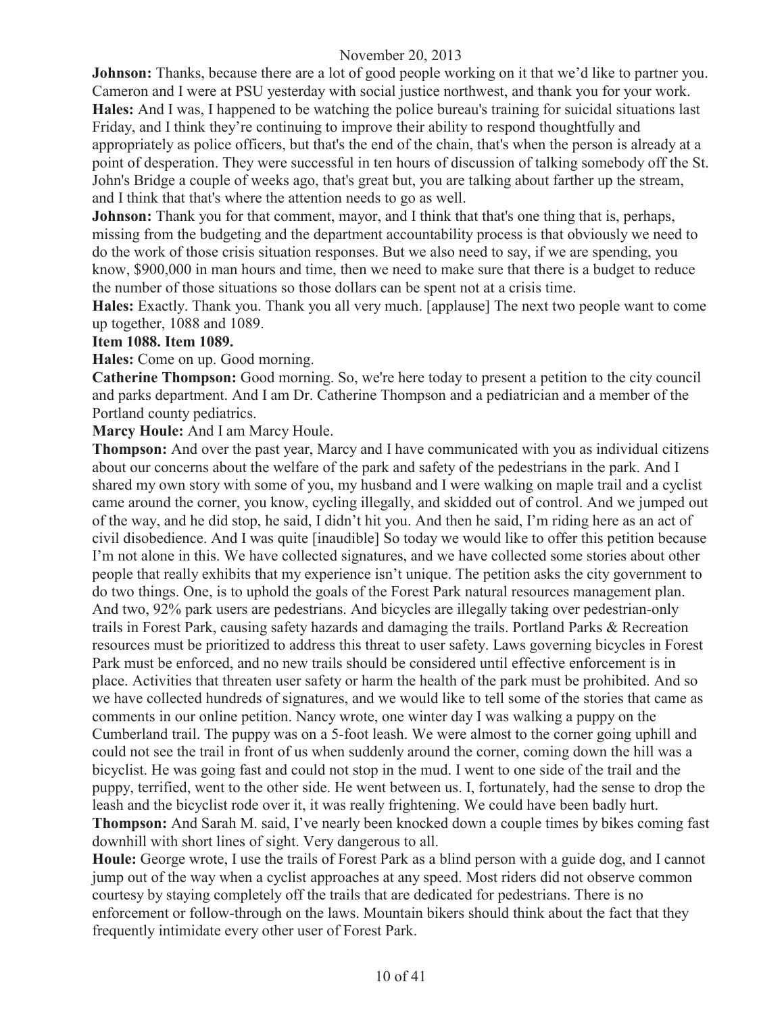**Johnson:** Thanks, because there are a lot of good people working on it that we'd like to partner you. Cameron and I were at PSU yesterday with social justice northwest, and thank you for your work. **Hales:** And I was, I happened to be watching the police bureau's training for suicidal situations last Friday, and I think they're continuing to improve their ability to respond thoughtfully and appropriately as police officers, but that's the end of the chain, that's when the person is already at a point of desperation. They were successful in ten hours of discussion of talking somebody off the St. John's Bridge a couple of weeks ago, that's great but, you are talking about farther up the stream, and I think that that's where the attention needs to go as well.

**Johnson:** Thank you for that comment, mayor, and I think that that's one thing that is, perhaps, missing from the budgeting and the department accountability process is that obviously we need to do the work of those crisis situation responses. But we also need to say, if we are spending, you know, \$900,000 in man hours and time, then we need to make sure that there is a budget to reduce the number of those situations so those dollars can be spent not at a crisis time.

**Hales:** Exactly. Thank you. Thank you all very much. [applause] The next two people want to come up together, 1088 and 1089.

#### **Item 1088. Item 1089.**

**Hales:** Come on up. Good morning.

**Catherine Thompson:** Good morning. So, we're here today to present a petition to the city council and parks department. And I am Dr. Catherine Thompson and a pediatrician and a member of the Portland county pediatrics.

**Marcy Houle:** And I am Marcy Houle.

**Thompson:** And over the past year, Marcy and I have communicated with you as individual citizens about our concerns about the welfare of the park and safety of the pedestrians in the park. And I shared my own story with some of you, my husband and I were walking on maple trail and a cyclist came around the corner, you know, cycling illegally, and skidded out of control. And we jumped out of the way, and he did stop, he said, I didn't hit you. And then he said, I'm riding here as an act of civil disobedience. And I was quite [inaudible] So today we would like to offer this petition because I'm not alone in this. We have collected signatures, and we have collected some stories about other people that really exhibits that my experience isn't unique. The petition asks the city government to do two things. One, is to uphold the goals of the Forest Park natural resources management plan. And two, 92% park users are pedestrians. And bicycles are illegally taking over pedestrian-only trails in Forest Park, causing safety hazards and damaging the trails. Portland Parks & Recreation resources must be prioritized to address this threat to user safety. Laws governing bicycles in Forest Park must be enforced, and no new trails should be considered until effective enforcement is in place. Activities that threaten user safety or harm the health of the park must be prohibited. And so we have collected hundreds of signatures, and we would like to tell some of the stories that came as comments in our online petition. Nancy wrote, one winter day I was walking a puppy on the Cumberland trail. The puppy was on a 5-foot leash. We were almost to the corner going uphill and could not see the trail in front of us when suddenly around the corner, coming down the hill was a bicyclist. He was going fast and could not stop in the mud. I went to one side of the trail and the puppy, terrified, went to the other side. He went between us. I, fortunately, had the sense to drop the leash and the bicyclist rode over it, it was really frightening. We could have been badly hurt. **Thompson:** And Sarah M. said, I've nearly been knocked down a couple times by bikes coming fast downhill with short lines of sight. Very dangerous to all.

**Houle:** George wrote, I use the trails of Forest Park as a blind person with a guide dog, and I cannot jump out of the way when a cyclist approaches at any speed. Most riders did not observe common courtesy by staying completely off the trails that are dedicated for pedestrians. There is no enforcement or follow-through on the laws. Mountain bikers should think about the fact that they frequently intimidate every other user of Forest Park.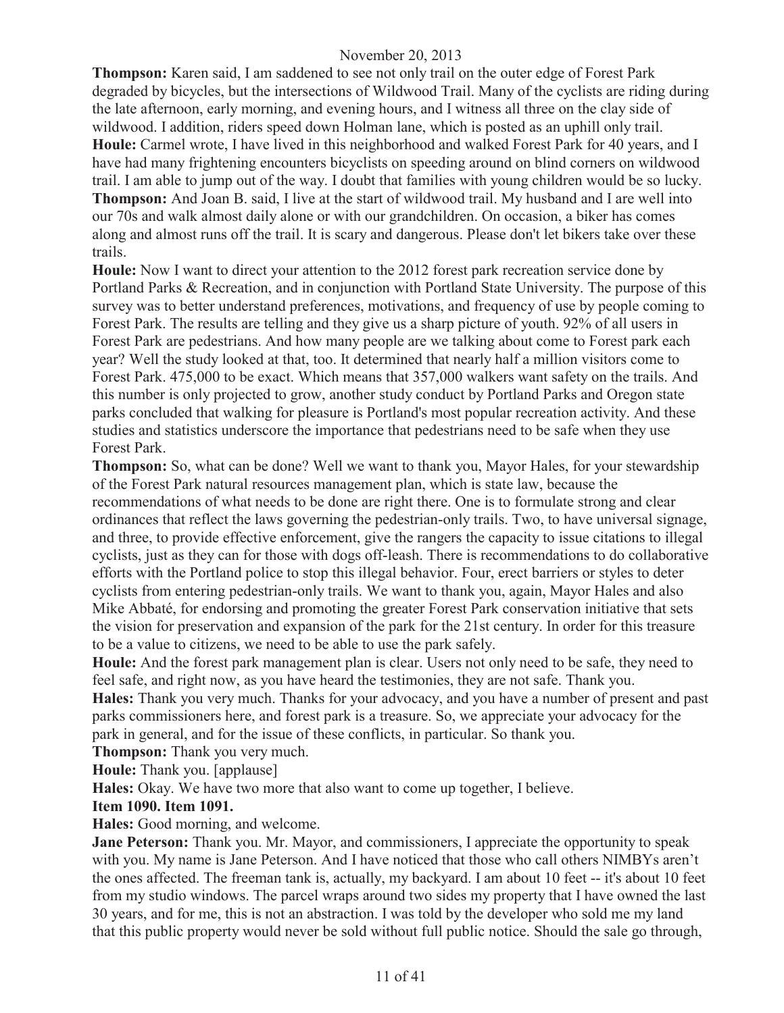**Thompson:** Karen said, I am saddened to see not only trail on the outer edge of Forest Park degraded by bicycles, but the intersections of Wildwood Trail. Many of the cyclists are riding during the late afternoon, early morning, and evening hours, and I witness all three on the clay side of wildwood. I addition, riders speed down Holman lane, which is posted as an uphill only trail. **Houle:** Carmel wrote, I have lived in this neighborhood and walked Forest Park for 40 years, and I have had many frightening encounters bicyclists on speeding around on blind corners on wildwood trail. I am able to jump out of the way. I doubt that families with young children would be so lucky.

**Thompson:** And Joan B. said, I live at the start of wildwood trail. My husband and I are well into our 70s and walk almost daily alone or with our grandchildren. On occasion, a biker has comes along and almost runs off the trail. It is scary and dangerous. Please don't let bikers take over these trails.

**Houle:** Now I want to direct your attention to the 2012 forest park recreation service done by Portland Parks & Recreation, and in conjunction with Portland State University. The purpose of this survey was to better understand preferences, motivations, and frequency of use by people coming to Forest Park. The results are telling and they give us a sharp picture of youth. 92% of all users in Forest Park are pedestrians. And how many people are we talking about come to Forest park each year? Well the study looked at that, too. It determined that nearly half a million visitors come to Forest Park. 475,000 to be exact. Which means that 357,000 walkers want safety on the trails. And this number is only projected to grow, another study conduct by Portland Parks and Oregon state parks concluded that walking for pleasure is Portland's most popular recreation activity. And these studies and statistics underscore the importance that pedestrians need to be safe when they use Forest Park.

**Thompson:** So, what can be done? Well we want to thank you, Mayor Hales, for your stewardship of the Forest Park natural resources management plan, which is state law, because the recommendations of what needs to be done are right there. One is to formulate strong and clear ordinances that reflect the laws governing the pedestrian-only trails. Two, to have universal signage, and three, to provide effective enforcement, give the rangers the capacity to issue citations to illegal cyclists, just as they can for those with dogs off-leash. There is recommendations to do collaborative efforts with the Portland police to stop this illegal behavior. Four, erect barriers or styles to deter cyclists from entering pedestrian-only trails. We want to thank you, again, Mayor Hales and also Mike Abbaté, for endorsing and promoting the greater Forest Park conservation initiative that sets the vision for preservation and expansion of the park for the 21st century. In order for this treasure to be a value to citizens, we need to be able to use the park safely.

**Houle:** And the forest park management plan is clear. Users not only need to be safe, they need to feel safe, and right now, as you have heard the testimonies, they are not safe. Thank you. **Hales:** Thank you very much. Thanks for your advocacy, and you have a number of present and past parks commissioners here, and forest park is a treasure. So, we appreciate your advocacy for the park in general, and for the issue of these conflicts, in particular. So thank you.

**Thompson:** Thank you very much.

**Houle:** Thank you. [applause]

**Hales:** Okay. We have two more that also want to come up together, I believe.

#### **Item 1090. Item 1091.**

**Hales:** Good morning, and welcome.

**Jane Peterson:** Thank you. Mr. Mayor, and commissioners, I appreciate the opportunity to speak with you. My name is Jane Peterson. And I have noticed that those who call others NIMBYs aren't the ones affected. The freeman tank is, actually, my backyard. I am about 10 feet -- it's about 10 feet from my studio windows. The parcel wraps around two sides my property that I have owned the last 30 years, and for me, this is not an abstraction. I was told by the developer who sold me my land that this public property would never be sold without full public notice. Should the sale go through,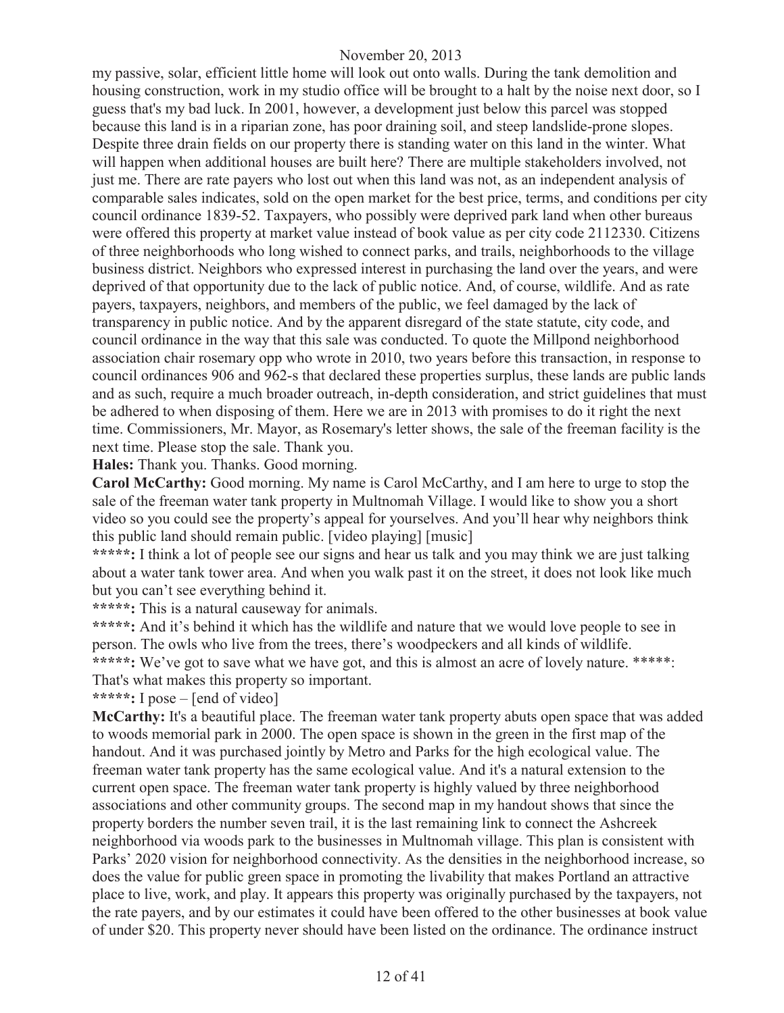my passive, solar, efficient little home will look out onto walls. During the tank demolition and housing construction, work in my studio office will be brought to a halt by the noise next door, so I guess that's my bad luck. In 2001, however, a development just below this parcel was stopped because this land is in a riparian zone, has poor draining soil, and steep landslide-prone slopes. Despite three drain fields on our property there is standing water on this land in the winter. What will happen when additional houses are built here? There are multiple stakeholders involved, not just me. There are rate payers who lost out when this land was not, as an independent analysis of comparable sales indicates, sold on the open market for the best price, terms, and conditions per city council ordinance 1839-52. Taxpayers, who possibly were deprived park land when other bureaus were offered this property at market value instead of book value as per city code 2112330. Citizens of three neighborhoods who long wished to connect parks, and trails, neighborhoods to the village business district. Neighbors who expressed interest in purchasing the land over the years, and were deprived of that opportunity due to the lack of public notice. And, of course, wildlife. And as rate payers, taxpayers, neighbors, and members of the public, we feel damaged by the lack of transparency in public notice. And by the apparent disregard of the state statute, city code, and council ordinance in the way that this sale was conducted. To quote the Millpond neighborhood association chair rosemary opp who wrote in 2010, two years before this transaction, in response to council ordinances 906 and 962-s that declared these properties surplus, these lands are public lands and as such, require a much broader outreach, in-depth consideration, and strict guidelines that must be adhered to when disposing of them. Here we are in 2013 with promises to do it right the next time. Commissioners, Mr. Mayor, as Rosemary's letter shows, the sale of the freeman facility is the next time. Please stop the sale. Thank you.

**Hales:** Thank you. Thanks. Good morning.

**Carol McCarthy:** Good morning. My name is Carol McCarthy, and I am here to urge to stop the sale of the freeman water tank property in Multnomah Village. I would like to show you a short video so you could see the property's appeal for yourselves. And you'll hear why neighbors think this public land should remain public. [video playing] [music]

**\*\*\*\*\*:** I think a lot of people see our signs and hear us talk and you may think we are just talking about a water tank tower area. And when you walk past it on the street, it does not look like much but you can't see everything behind it.

**\*\*\*\*\*:** This is a natural causeway for animals.

\*\*\*\*\*: And it's behind it which has the wildlife and nature that we would love people to see in person. The owls who live from the trees, there's woodpeckers and all kinds of wildlife. \*\*\*\*\*: We've got to save what we have got, and this is almost an acre of lovely nature. \*\*\*\*\*: That's what makes this property so important.

**\*\*\*\*\*:** I pose – [end of video]

**McCarthy:** It's a beautiful place. The freeman water tank property abuts open space that was added to woods memorial park in 2000. The open space is shown in the green in the first map of the handout. And it was purchased jointly by Metro and Parks for the high ecological value. The freeman water tank property has the same ecological value. And it's a natural extension to the current open space. The freeman water tank property is highly valued by three neighborhood associations and other community groups. The second map in my handout shows that since the property borders the number seven trail, it is the last remaining link to connect the Ashcreek neighborhood via woods park to the businesses in Multnomah village. This plan is consistent with Parks' 2020 vision for neighborhood connectivity. As the densities in the neighborhood increase, so does the value for public green space in promoting the livability that makes Portland an attractive place to live, work, and play. It appears this property was originally purchased by the taxpayers, not the rate payers, and by our estimates it could have been offered to the other businesses at book value of under \$20. This property never should have been listed on the ordinance. The ordinance instruct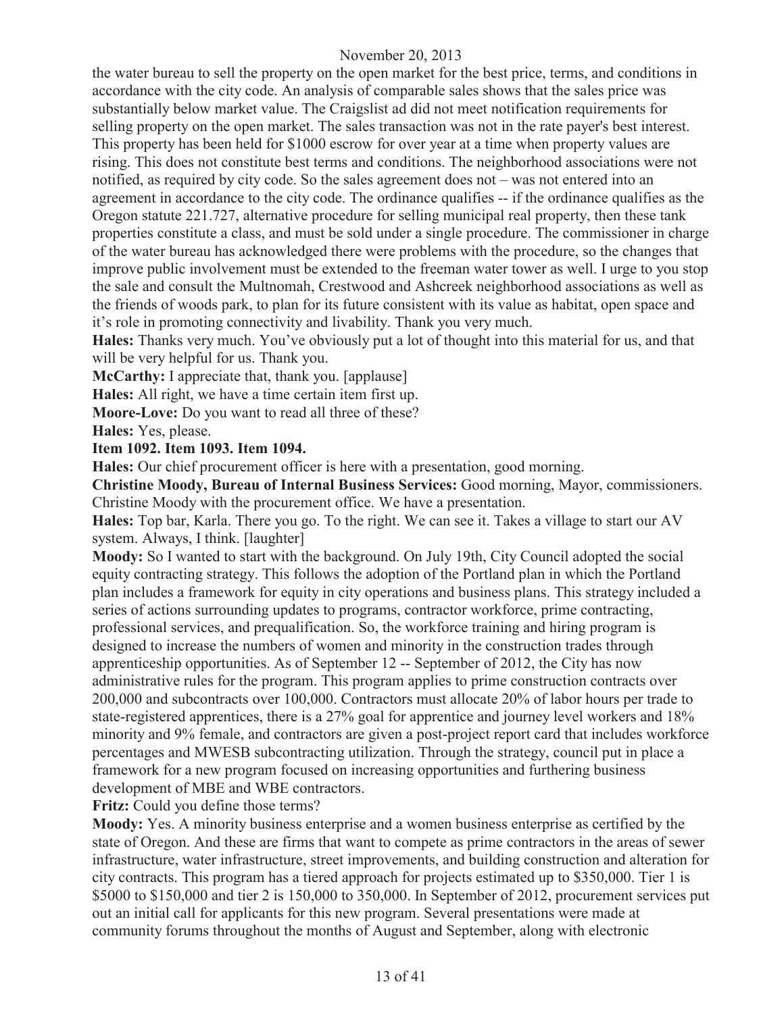the water bureau to sell the property on the open market for the best price, terms, and conditions in accordance with the city code. An analysis of comparable sales shows that the sales price was substantially below market value. The Craigslist ad did not meet notification requirements for selling property on the open market. The sales transaction was not in the rate payer's best interest. This property has been held for \$1000 escrow for over year at a time when property values are rising. This does not constitute best terms and conditions. The neighborhood associations were not notified, as required by city code. So the sales agreement does not – was not entered into an agreement in accordance to the city code. The ordinance qualifies -- if the ordinance qualifies as the Oregon statute 221.727, alternative procedure for selling municipal real property, then these tank properties constitute a class, and must be sold under a single procedure. The commissioner in charge of the water bureau has acknowledged there were problems with the procedure, so the changes that improve public involvement must be extended to the freeman water tower as well. I urge to you stop the sale and consult the Multnomah, Crestwood and Ashcreek neighborhood associations as well as the friends of woods park, to plan for its future consistent with its value as habitat, open space and it's role in promoting connectivity and livability. Thank you very much.

**Hales:** Thanks very much. You've obviously put a lot of thought into this material for us, and that will be very helpful for us. Thank you.

**McCarthy:** I appreciate that, thank you. [applause]

**Hales:** All right, we have a time certain item first up.

**Moore-Love:** Do you want to read all three of these?

**Hales:** Yes, please.

**Item 1092. Item 1093. Item 1094.**

**Hales:** Our chief procurement officer is here with a presentation, good morning.

**Christine Moody, Bureau of Internal Business Services:** Good morning, Mayor, commissioners. Christine Moody with the procurement office. We have a presentation.

**Hales:** Top bar, Karla. There you go. To the right. We can see it. Takes a village to start our AV system. Always, I think. [laughter]

**Moody:** So I wanted to start with the background. On July 19th, City Council adopted the social equity contracting strategy. This follows the adoption of the Portland plan in which the Portland plan includes a framework for equity in city operations and business plans. This strategy included a series of actions surrounding updates to programs, contractor workforce, prime contracting, professional services, and prequalification. So, the workforce training and hiring program is designed to increase the numbers of women and minority in the construction trades through apprenticeship opportunities. As of September 12 -- September of 2012, the City has now administrative rules for the program. This program applies to prime construction contracts over 200,000 and subcontracts over 100,000. Contractors must allocate 20% of labor hours per trade to state-registered apprentices, there is a 27% goal for apprentice and journey level workers and 18% minority and 9% female, and contractors are given a post-project report card that includes workforce percentages and MWESB subcontracting utilization. Through the strategy, council put in place a framework for a new program focused on increasing opportunities and furthering business development of MBE and WBE contractors.

**Fritz:** Could you define those terms?

**Moody:** Yes. A minority business enterprise and a women business enterprise as certified by the state of Oregon. And these are firms that want to compete as prime contractors in the areas of sewer infrastructure, water infrastructure, street improvements, and building construction and alteration for city contracts. This program has a tiered approach for projects estimated up to \$350,000. Tier 1 is \$5000 to \$150,000 and tier 2 is 150,000 to 350,000. In September of 2012, procurement services put out an initial call for applicants for this new program. Several presentations were made at community forums throughout the months of August and September, along with electronic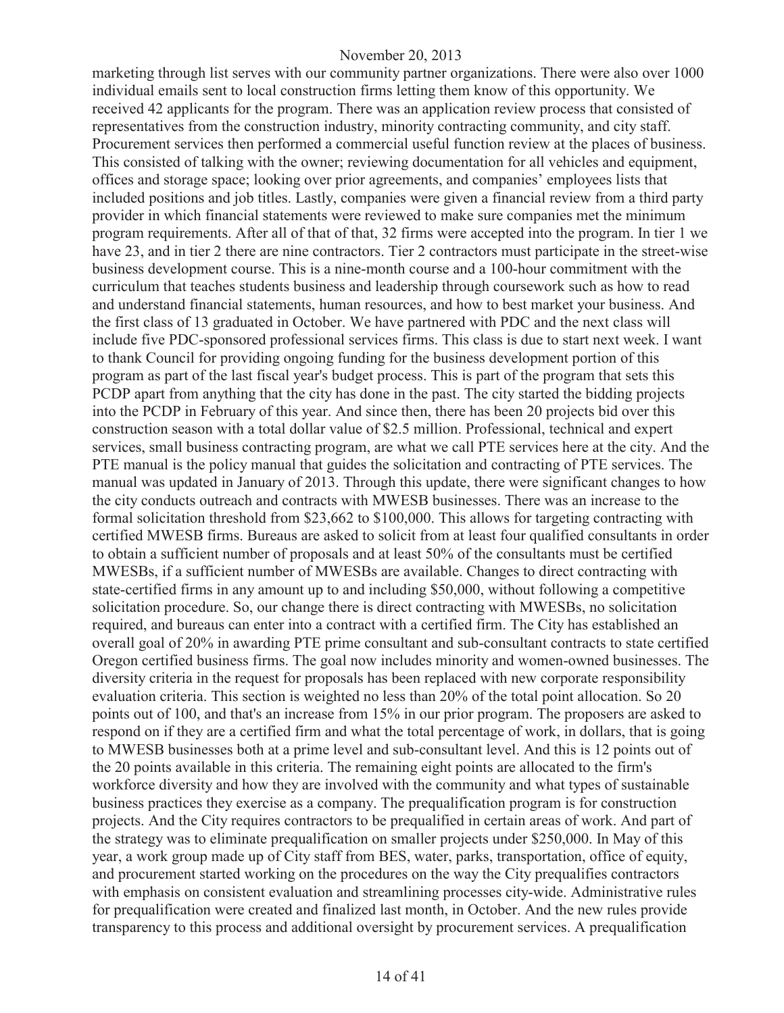marketing through list serves with our community partner organizations. There were also over 1000 individual emails sent to local construction firms letting them know of this opportunity. We received 42 applicants for the program. There was an application review process that consisted of representatives from the construction industry, minority contracting community, and city staff. Procurement services then performed a commercial useful function review at the places of business. This consisted of talking with the owner; reviewing documentation for all vehicles and equipment, offices and storage space; looking over prior agreements, and companies' employees lists that included positions and job titles. Lastly, companies were given a financial review from a third party provider in which financial statements were reviewed to make sure companies met the minimum program requirements. After all of that of that, 32 firms were accepted into the program. In tier 1 we have 23, and in tier 2 there are nine contractors. Tier 2 contractors must participate in the street-wise business development course. This is a nine-month course and a 100-hour commitment with the curriculum that teaches students business and leadership through coursework such as how to read and understand financial statements, human resources, and how to best market your business. And the first class of 13 graduated in October. We have partnered with PDC and the next class will include five PDC-sponsored professional services firms. This class is due to start next week. I want to thank Council for providing ongoing funding for the business development portion of this program as part of the last fiscal year's budget process. This is part of the program that sets this PCDP apart from anything that the city has done in the past. The city started the bidding projects into the PCDP in February of this year. And since then, there has been 20 projects bid over this construction season with a total dollar value of \$2.5 million. Professional, technical and expert services, small business contracting program, are what we call PTE services here at the city. And the PTE manual is the policy manual that guides the solicitation and contracting of PTE services. The manual was updated in January of 2013. Through this update, there were significant changes to how the city conducts outreach and contracts with MWESB businesses. There was an increase to the formal solicitation threshold from \$23,662 to \$100,000. This allows for targeting contracting with certified MWESB firms. Bureaus are asked to solicit from at least four qualified consultants in order to obtain a sufficient number of proposals and at least 50% of the consultants must be certified MWESBs, if a sufficient number of MWESBs are available. Changes to direct contracting with state-certified firms in any amount up to and including \$50,000, without following a competitive solicitation procedure. So, our change there is direct contracting with MWESBs, no solicitation required, and bureaus can enter into a contract with a certified firm. The City has established an overall goal of 20% in awarding PTE prime consultant and sub-consultant contracts to state certified Oregon certified business firms. The goal now includes minority and women-owned businesses. The diversity criteria in the request for proposals has been replaced with new corporate responsibility evaluation criteria. This section is weighted no less than 20% of the total point allocation. So 20 points out of 100, and that's an increase from 15% in our prior program. The proposers are asked to respond on if they are a certified firm and what the total percentage of work, in dollars, that is going to MWESB businesses both at a prime level and sub-consultant level. And this is 12 points out of the 20 points available in this criteria. The remaining eight points are allocated to the firm's workforce diversity and how they are involved with the community and what types of sustainable business practices they exercise as a company. The prequalification program is for construction projects. And the City requires contractors to be prequalified in certain areas of work. And part of the strategy was to eliminate prequalification on smaller projects under \$250,000. In May of this year, a work group made up of City staff from BES, water, parks, transportation, office of equity, and procurement started working on the procedures on the way the City prequalifies contractors with emphasis on consistent evaluation and streamlining processes city-wide. Administrative rules for prequalification were created and finalized last month, in October. And the new rules provide transparency to this process and additional oversight by procurement services. A prequalification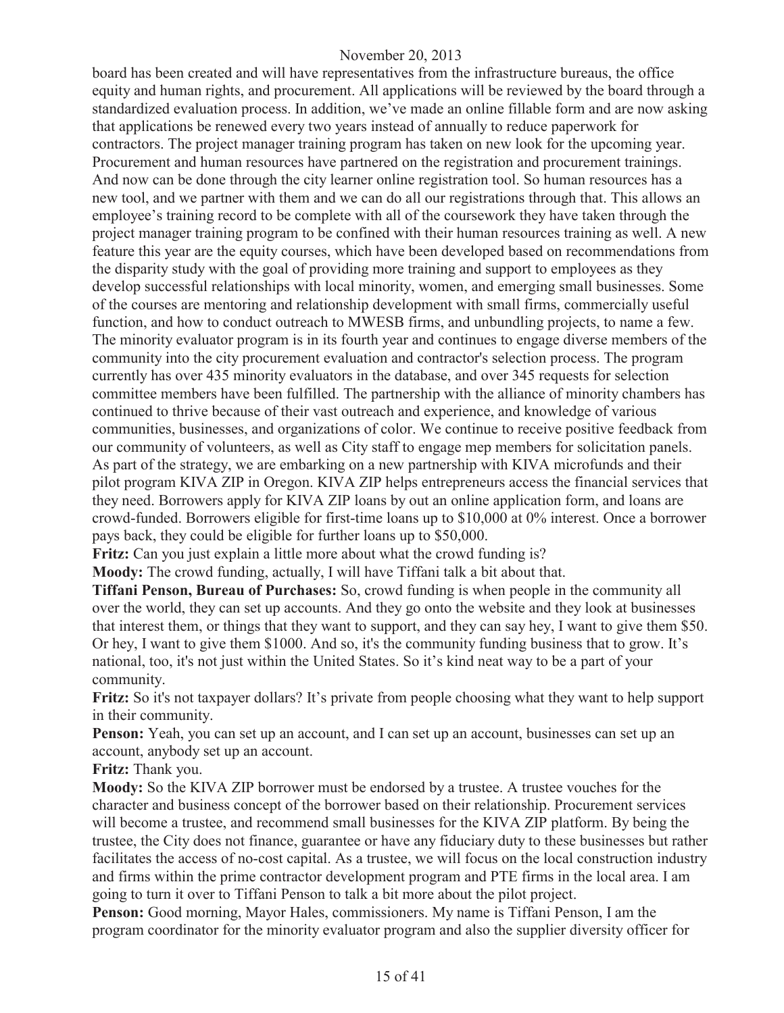board has been created and will have representatives from the infrastructure bureaus, the office equity and human rights, and procurement. All applications will be reviewed by the board through a standardized evaluation process. In addition, we've made an online fillable form and are now asking that applications be renewed every two years instead of annually to reduce paperwork for contractors. The project manager training program has taken on new look for the upcoming year. Procurement and human resources have partnered on the registration and procurement trainings. And now can be done through the city learner online registration tool. So human resources has a new tool, and we partner with them and we can do all our registrations through that. This allows an employee's training record to be complete with all of the coursework they have taken through the project manager training program to be confined with their human resources training as well. A new feature this year are the equity courses, which have been developed based on recommendations from the disparity study with the goal of providing more training and support to employees as they develop successful relationships with local minority, women, and emerging small businesses. Some of the courses are mentoring and relationship development with small firms, commercially useful function, and how to conduct outreach to MWESB firms, and unbundling projects, to name a few. The minority evaluator program is in its fourth year and continues to engage diverse members of the community into the city procurement evaluation and contractor's selection process. The program currently has over 435 minority evaluators in the database, and over 345 requests for selection committee members have been fulfilled. The partnership with the alliance of minority chambers has continued to thrive because of their vast outreach and experience, and knowledge of various communities, businesses, and organizations of color. We continue to receive positive feedback from our community of volunteers, as well as City staff to engage mep members for solicitation panels. As part of the strategy, we are embarking on a new partnership with KIVA microfunds and their pilot program KIVA ZIP in Oregon. KIVA ZIP helps entrepreneurs access the financial services that they need. Borrowers apply for KIVA ZIP loans by out an online application form, and loans are crowd-funded. Borrowers eligible for first-time loans up to \$10,000 at 0% interest. Once a borrower pays back, they could be eligible for further loans up to \$50,000.

**Fritz:** Can you just explain a little more about what the crowd funding is?

**Moody:** The crowd funding, actually, I will have Tiffani talk a bit about that.

**Tiffani Penson, Bureau of Purchases:** So, crowd funding is when people in the community all over the world, they can set up accounts. And they go onto the website and they look at businesses that interest them, or things that they want to support, and they can say hey, I want to give them \$50. Or hey, I want to give them \$1000. And so, it's the community funding business that to grow. It's national, too, it's not just within the United States. So it's kind neat way to be a part of your community.

**Fritz:** So it's not taxpayer dollars? It's private from people choosing what they want to help support in their community.

**Penson:** Yeah, you can set up an account, and I can set up an account, businesses can set up an account, anybody set up an account.

**Fritz:** Thank you.

**Moody:** So the KIVA ZIP borrower must be endorsed by a trustee. A trustee vouches for the character and business concept of the borrower based on their relationship. Procurement services will become a trustee, and recommend small businesses for the KIVA ZIP platform. By being the trustee, the City does not finance, guarantee or have any fiduciary duty to these businesses but rather facilitates the access of no-cost capital. As a trustee, we will focus on the local construction industry and firms within the prime contractor development program and PTE firms in the local area. I am going to turn it over to Tiffani Penson to talk a bit more about the pilot project.

**Penson:** Good morning, Mayor Hales, commissioners. My name is Tiffani Penson, I am the program coordinator for the minority evaluator program and also the supplier diversity officer for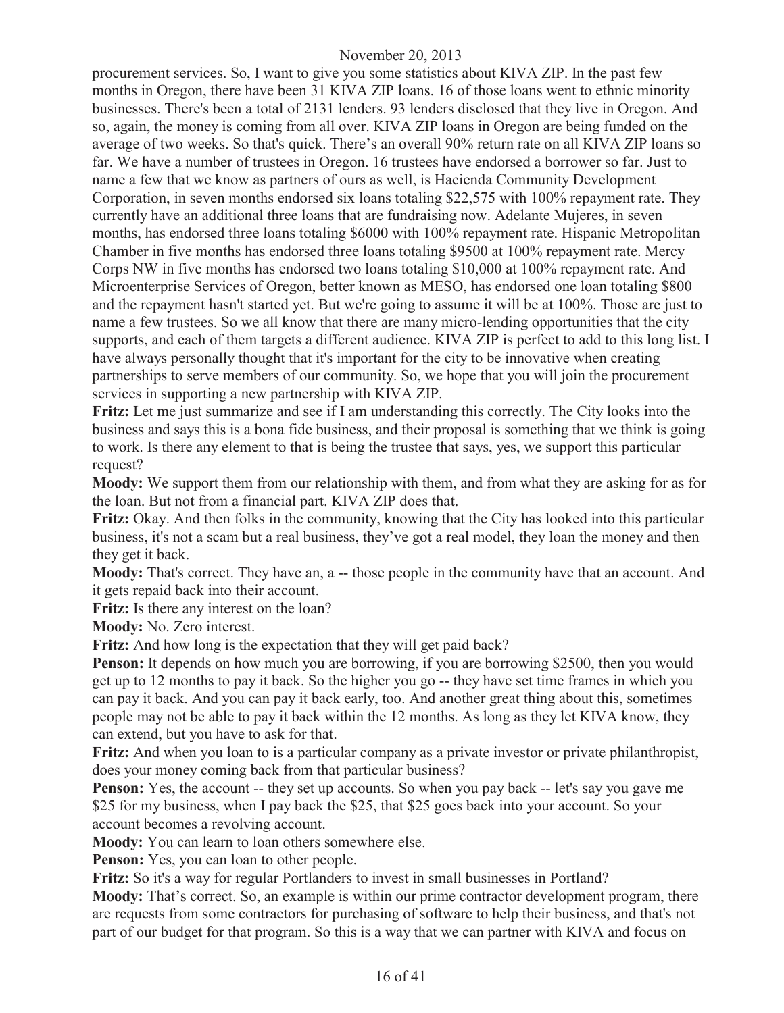procurement services. So, I want to give you some statistics about KIVA ZIP. In the past few months in Oregon, there have been 31 KIVA ZIP loans. 16 of those loans went to ethnic minority businesses. There's been a total of 2131 lenders. 93 lenders disclosed that they live in Oregon. And so, again, the money is coming from all over. KIVA ZIP loans in Oregon are being funded on the average of two weeks. So that's quick. There's an overall 90% return rate on all KIVA ZIP loans so far. We have a number of trustees in Oregon. 16 trustees have endorsed a borrower so far. Just to name a few that we know as partners of ours as well, is Hacienda Community Development Corporation, in seven months endorsed six loans totaling \$22,575 with 100% repayment rate. They currently have an additional three loans that are fundraising now. Adelante Mujeres, in seven months, has endorsed three loans totaling \$6000 with 100% repayment rate. Hispanic Metropolitan Chamber in five months has endorsed three loans totaling \$9500 at 100% repayment rate. Mercy Corps NW in five months has endorsed two loans totaling \$10,000 at 100% repayment rate. And Microenterprise Services of Oregon, better known as MESO, has endorsed one loan totaling \$800 and the repayment hasn't started yet. But we're going to assume it will be at 100%. Those are just to name a few trustees. So we all know that there are many micro-lending opportunities that the city supports, and each of them targets a different audience. KIVA ZIP is perfect to add to this long list. I have always personally thought that it's important for the city to be innovative when creating partnerships to serve members of our community. So, we hope that you will join the procurement services in supporting a new partnership with KIVA ZIP.

**Fritz:** Let me just summarize and see if I am understanding this correctly. The City looks into the business and says this is a bona fide business, and their proposal is something that we think is going to work. Is there any element to that is being the trustee that says, yes, we support this particular request?

**Moody:** We support them from our relationship with them, and from what they are asking for as for the loan. But not from a financial part. KIVA ZIP does that.

**Fritz:** Okay. And then folks in the community, knowing that the City has looked into this particular business, it's not a scam but a real business, they've got a real model, they loan the money and then they get it back.

**Moody:** That's correct. They have an, a -- those people in the community have that an account. And it gets repaid back into their account.

**Fritz:** Is there any interest on the loan?

**Moody:** No. Zero interest.

**Fritz:** And how long is the expectation that they will get paid back?

**Penson:** It depends on how much you are borrowing, if you are borrowing \$2500, then you would get up to 12 months to pay it back. So the higher you go -- they have set time frames in which you can pay it back. And you can pay it back early, too. And another great thing about this, sometimes people may not be able to pay it back within the 12 months. As long as they let KIVA know, they can extend, but you have to ask for that.

**Fritz:** And when you loan to is a particular company as a private investor or private philanthropist, does your money coming back from that particular business?

**Penson:** Yes, the account -- they set up accounts. So when you pay back -- let's say you gave me \$25 for my business, when I pay back the \$25, that \$25 goes back into your account. So your account becomes a revolving account.

**Moody:** You can learn to loan others somewhere else.

**Penson:** Yes, you can loan to other people.

**Fritz:** So it's a way for regular Portlanders to invest in small businesses in Portland?

**Moody:** That's correct. So, an example is within our prime contractor development program, there are requests from some contractors for purchasing of software to help their business, and that's not part of our budget for that program. So this is a way that we can partner with KIVA and focus on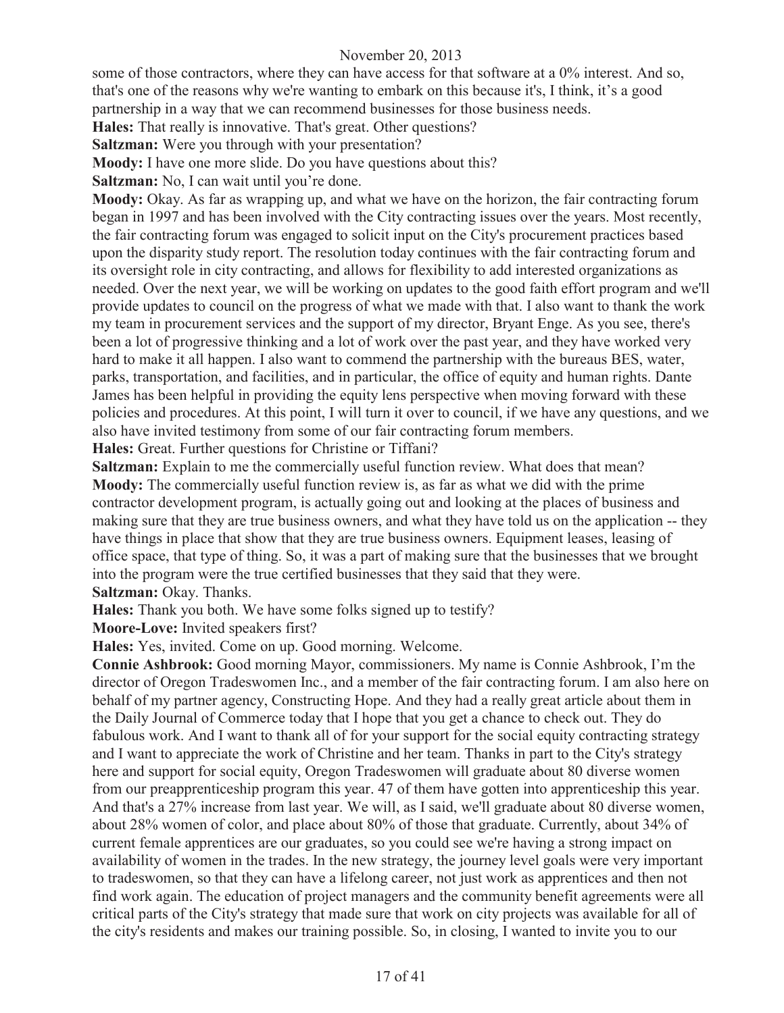some of those contractors, where they can have access for that software at a 0% interest. And so, that's one of the reasons why we're wanting to embark on this because it's, I think, it's a good partnership in a way that we can recommend businesses for those business needs.

**Hales:** That really is innovative. That's great. Other questions?

**Saltzman:** Were you through with your presentation?

**Moody:** I have one more slide. Do you have questions about this?

**Saltzman:** No, I can wait until you're done.

**Moody:** Okay. As far as wrapping up, and what we have on the horizon, the fair contracting forum began in 1997 and has been involved with the City contracting issues over the years. Most recently, the fair contracting forum was engaged to solicit input on the City's procurement practices based upon the disparity study report. The resolution today continues with the fair contracting forum and its oversight role in city contracting, and allows for flexibility to add interested organizations as needed. Over the next year, we will be working on updates to the good faith effort program and we'll provide updates to council on the progress of what we made with that. I also want to thank the work my team in procurement services and the support of my director, Bryant Enge. As you see, there's been a lot of progressive thinking and a lot of work over the past year, and they have worked very hard to make it all happen. I also want to commend the partnership with the bureaus BES, water, parks, transportation, and facilities, and in particular, the office of equity and human rights. Dante James has been helpful in providing the equity lens perspective when moving forward with these policies and procedures. At this point, I will turn it over to council, if we have any questions, and we also have invited testimony from some of our fair contracting forum members.

**Hales:** Great. Further questions for Christine or Tiffani?

**Saltzman:** Explain to me the commercially useful function review. What does that mean? **Moody:** The commercially useful function review is, as far as what we did with the prime contractor development program, is actually going out and looking at the places of business and making sure that they are true business owners, and what they have told us on the application -- they have things in place that show that they are true business owners. Equipment leases, leasing of office space, that type of thing. So, it was a part of making sure that the businesses that we brought into the program were the true certified businesses that they said that they were. **Saltzman:** Okay. Thanks.

**Hales:** Thank you both. We have some folks signed up to testify?

**Moore-Love:** Invited speakers first?

**Hales:** Yes, invited. Come on up. Good morning. Welcome.

**Connie Ashbrook:** Good morning Mayor, commissioners. My name is Connie Ashbrook, I'm the director of Oregon Tradeswomen Inc., and a member of the fair contracting forum. I am also here on behalf of my partner agency, Constructing Hope. And they had a really great article about them in the Daily Journal of Commerce today that I hope that you get a chance to check out. They do fabulous work. And I want to thank all of for your support for the social equity contracting strategy and I want to appreciate the work of Christine and her team. Thanks in part to the City's strategy here and support for social equity, Oregon Tradeswomen will graduate about 80 diverse women from our preapprenticeship program this year. 47 of them have gotten into apprenticeship this year. And that's a 27% increase from last year. We will, as I said, we'll graduate about 80 diverse women, about 28% women of color, and place about 80% of those that graduate. Currently, about 34% of current female apprentices are our graduates, so you could see we're having a strong impact on availability of women in the trades. In the new strategy, the journey level goals were very important to tradeswomen, so that they can have a lifelong career, not just work as apprentices and then not find work again. The education of project managers and the community benefit agreements were all critical parts of the City's strategy that made sure that work on city projects was available for all of the city's residents and makes our training possible. So, in closing, I wanted to invite you to our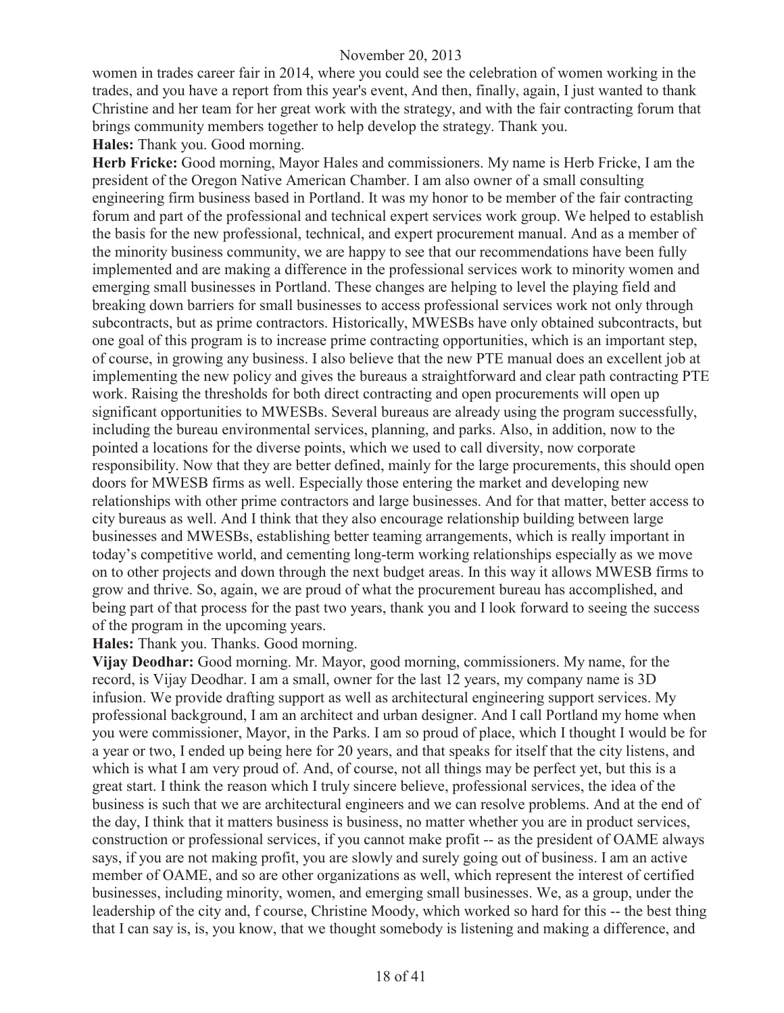women in trades career fair in 2014, where you could see the celebration of women working in the trades, and you have a report from this year's event, And then, finally, again, I just wanted to thank Christine and her team for her great work with the strategy, and with the fair contracting forum that brings community members together to help develop the strategy. Thank you.

**Hales:** Thank you. Good morning.

**Herb Fricke:** Good morning, Mayor Hales and commissioners. My name is Herb Fricke, I am the president of the Oregon Native American Chamber. I am also owner of a small consulting engineering firm business based in Portland. It was my honor to be member of the fair contracting forum and part of the professional and technical expert services work group. We helped to establish the basis for the new professional, technical, and expert procurement manual. And as a member of the minority business community, we are happy to see that our recommendations have been fully implemented and are making a difference in the professional services work to minority women and emerging small businesses in Portland. These changes are helping to level the playing field and breaking down barriers for small businesses to access professional services work not only through subcontracts, but as prime contractors. Historically, MWESBs have only obtained subcontracts, but one goal of this program is to increase prime contracting opportunities, which is an important step, of course, in growing any business. I also believe that the new PTE manual does an excellent job at implementing the new policy and gives the bureaus a straightforward and clear path contracting PTE work. Raising the thresholds for both direct contracting and open procurements will open up significant opportunities to MWESBs. Several bureaus are already using the program successfully, including the bureau environmental services, planning, and parks. Also, in addition, now to the pointed a locations for the diverse points, which we used to call diversity, now corporate responsibility. Now that they are better defined, mainly for the large procurements, this should open doors for MWESB firms as well. Especially those entering the market and developing new relationships with other prime contractors and large businesses. And for that matter, better access to city bureaus as well. And I think that they also encourage relationship building between large businesses and MWESBs, establishing better teaming arrangements, which is really important in today's competitive world, and cementing long-term working relationships especially as we move on to other projects and down through the next budget areas. In this way it allows MWESB firms to grow and thrive. So, again, we are proud of what the procurement bureau has accomplished, and being part of that process for the past two years, thank you and I look forward to seeing the success of the program in the upcoming years.

**Hales:** Thank you. Thanks. Good morning.

**Vijay Deodhar:** Good morning. Mr. Mayor, good morning, commissioners. My name, for the record, is Vijay Deodhar. I am a small, owner for the last 12 years, my company name is 3D infusion. We provide drafting support as well as architectural engineering support services. My professional background, I am an architect and urban designer. And I call Portland my home when you were commissioner, Mayor, in the Parks. I am so proud of place, which I thought I would be for a year or two, I ended up being here for 20 years, and that speaks for itself that the city listens, and which is what I am very proud of. And, of course, not all things may be perfect yet, but this is a great start. I think the reason which I truly sincere believe, professional services, the idea of the business is such that we are architectural engineers and we can resolve problems. And at the end of the day, I think that it matters business is business, no matter whether you are in product services, construction or professional services, if you cannot make profit -- as the president of OAME always says, if you are not making profit, you are slowly and surely going out of business. I am an active member of OAME, and so are other organizations as well, which represent the interest of certified businesses, including minority, women, and emerging small businesses. We, as a group, under the leadership of the city and, f course, Christine Moody, which worked so hard for this -- the best thing that I can say is, is, you know, that we thought somebody is listening and making a difference, and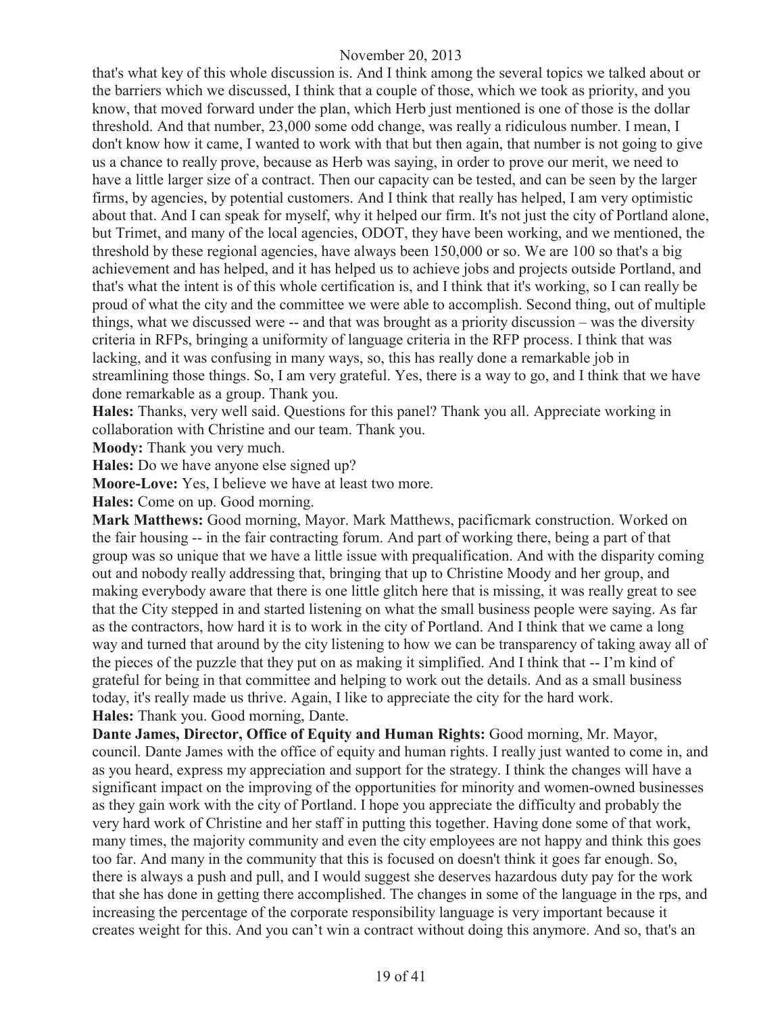that's what key of this whole discussion is. And I think among the several topics we talked about or the barriers which we discussed, I think that a couple of those, which we took as priority, and you know, that moved forward under the plan, which Herb just mentioned is one of those is the dollar threshold. And that number, 23,000 some odd change, was really a ridiculous number. I mean, I don't know how it came, I wanted to work with that but then again, that number is not going to give us a chance to really prove, because as Herb was saying, in order to prove our merit, we need to have a little larger size of a contract. Then our capacity can be tested, and can be seen by the larger firms, by agencies, by potential customers. And I think that really has helped, I am very optimistic about that. And I can speak for myself, why it helped our firm. It's not just the city of Portland alone, but Trimet, and many of the local agencies, ODOT, they have been working, and we mentioned, the threshold by these regional agencies, have always been 150,000 or so. We are 100 so that's a big achievement and has helped, and it has helped us to achieve jobs and projects outside Portland, and that's what the intent is of this whole certification is, and I think that it's working, so I can really be proud of what the city and the committee we were able to accomplish. Second thing, out of multiple things, what we discussed were -- and that was brought as a priority discussion – was the diversity criteria in RFPs, bringing a uniformity of language criteria in the RFP process. I think that was lacking, and it was confusing in many ways, so, this has really done a remarkable job in streamlining those things. So, I am very grateful. Yes, there is a way to go, and I think that we have done remarkable as a group. Thank you.

**Hales:** Thanks, very well said. Questions for this panel? Thank you all. Appreciate working in collaboration with Christine and our team. Thank you.

**Moody:** Thank you very much.

**Hales:** Do we have anyone else signed up?

**Moore-Love:** Yes, I believe we have at least two more.

**Hales:** Come on up. Good morning.

**Mark Matthews:** Good morning, Mayor. Mark Matthews, pacificmark construction. Worked on the fair housing -- in the fair contracting forum. And part of working there, being a part of that group was so unique that we have a little issue with prequalification. And with the disparity coming out and nobody really addressing that, bringing that up to Christine Moody and her group, and making everybody aware that there is one little glitch here that is missing, it was really great to see that the City stepped in and started listening on what the small business people were saying. As far as the contractors, how hard it is to work in the city of Portland. And I think that we came a long way and turned that around by the city listening to how we can be transparency of taking away all of the pieces of the puzzle that they put on as making it simplified. And I think that -- I'm kind of grateful for being in that committee and helping to work out the details. And as a small business today, it's really made us thrive. Again, I like to appreciate the city for the hard work. **Hales:** Thank you. Good morning, Dante.

**Dante James, Director, Office of Equity and Human Rights:** Good morning, Mr. Mayor, council. Dante James with the office of equity and human rights. I really just wanted to come in, and as you heard, express my appreciation and support for the strategy. I think the changes will have a significant impact on the improving of the opportunities for minority and women-owned businesses as they gain work with the city of Portland. I hope you appreciate the difficulty and probably the very hard work of Christine and her staff in putting this together. Having done some of that work, many times, the majority community and even the city employees are not happy and think this goes too far. And many in the community that this is focused on doesn't think it goes far enough. So, there is always a push and pull, and I would suggest she deserves hazardous duty pay for the work that she has done in getting there accomplished. The changes in some of the language in the rps, and increasing the percentage of the corporate responsibility language is very important because it creates weight for this. And you can't win a contract without doing this anymore. And so, that's an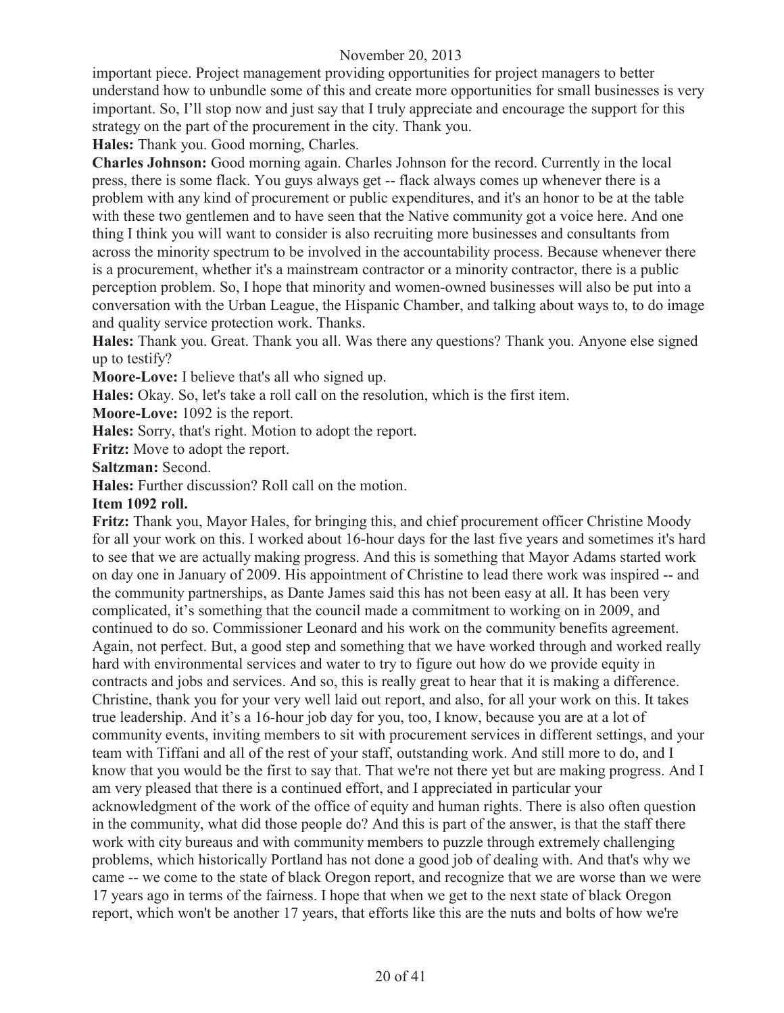important piece. Project management providing opportunities for project managers to better understand how to unbundle some of this and create more opportunities for small businesses is very important. So, I'll stop now and just say that I truly appreciate and encourage the support for this strategy on the part of the procurement in the city. Thank you.

**Hales:** Thank you. Good morning, Charles.

**Charles Johnson:** Good morning again. Charles Johnson for the record. Currently in the local press, there is some flack. You guys always get -- flack always comes up whenever there is a problem with any kind of procurement or public expenditures, and it's an honor to be at the table with these two gentlemen and to have seen that the Native community got a voice here. And one thing I think you will want to consider is also recruiting more businesses and consultants from across the minority spectrum to be involved in the accountability process. Because whenever there is a procurement, whether it's a mainstream contractor or a minority contractor, there is a public perception problem. So, I hope that minority and women-owned businesses will also be put into a conversation with the Urban League, the Hispanic Chamber, and talking about ways to, to do image and quality service protection work. Thanks.

**Hales:** Thank you. Great. Thank you all. Was there any questions? Thank you. Anyone else signed up to testify?

**Moore-Love:** I believe that's all who signed up.

**Hales:** Okay. So, let's take a roll call on the resolution, which is the first item.

**Moore-Love:** 1092 is the report.

**Hales:** Sorry, that's right. Motion to adopt the report.

**Fritz:** Move to adopt the report.

**Saltzman:** Second.

**Hales:** Further discussion? Roll call on the motion.

#### **Item 1092 roll.**

**Fritz:** Thank you, Mayor Hales, for bringing this, and chief procurement officer Christine Moody for all your work on this. I worked about 16-hour days for the last five years and sometimes it's hard to see that we are actually making progress. And this is something that Mayor Adams started work on day one in January of 2009. His appointment of Christine to lead there work was inspired -- and the community partnerships, as Dante James said this has not been easy at all. It has been very complicated, it's something that the council made a commitment to working on in 2009, and continued to do so. Commissioner Leonard and his work on the community benefits agreement. Again, not perfect. But, a good step and something that we have worked through and worked really hard with environmental services and water to try to figure out how do we provide equity in contracts and jobs and services. And so, this is really great to hear that it is making a difference. Christine, thank you for your very well laid out report, and also, for all your work on this. It takes true leadership. And it's a 16-hour job day for you, too, I know, because you are at a lot of community events, inviting members to sit with procurement services in different settings, and your team with Tiffani and all of the rest of your staff, outstanding work. And still more to do, and I know that you would be the first to say that. That we're not there yet but are making progress. And I am very pleased that there is a continued effort, and I appreciated in particular your acknowledgment of the work of the office of equity and human rights. There is also often question in the community, what did those people do? And this is part of the answer, is that the staff there work with city bureaus and with community members to puzzle through extremely challenging problems, which historically Portland has not done a good job of dealing with. And that's why we came -- we come to the state of black Oregon report, and recognize that we are worse than we were 17 years ago in terms of the fairness. I hope that when we get to the next state of black Oregon report, which won't be another 17 years, that efforts like this are the nuts and bolts of how we're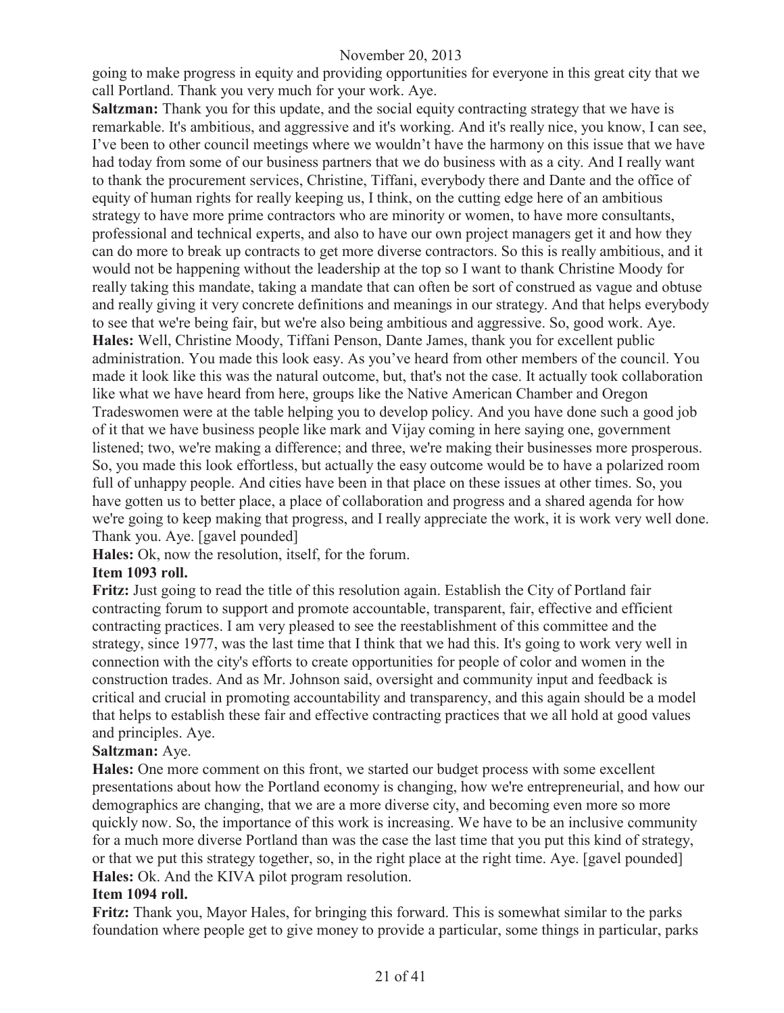going to make progress in equity and providing opportunities for everyone in this great city that we call Portland. Thank you very much for your work. Aye.

**Saltzman:** Thank you for this update, and the social equity contracting strategy that we have is remarkable. It's ambitious, and aggressive and it's working. And it's really nice, you know, I can see, I've been to other council meetings where we wouldn't have the harmony on this issue that we have had today from some of our business partners that we do business with as a city. And I really want to thank the procurement services, Christine, Tiffani, everybody there and Dante and the office of equity of human rights for really keeping us, I think, on the cutting edge here of an ambitious strategy to have more prime contractors who are minority or women, to have more consultants, professional and technical experts, and also to have our own project managers get it and how they can do more to break up contracts to get more diverse contractors. So this is really ambitious, and it would not be happening without the leadership at the top so I want to thank Christine Moody for really taking this mandate, taking a mandate that can often be sort of construed as vague and obtuse and really giving it very concrete definitions and meanings in our strategy. And that helps everybody to see that we're being fair, but we're also being ambitious and aggressive. So, good work. Aye. **Hales:** Well, Christine Moody, Tiffani Penson, Dante James, thank you for excellent public administration. You made this look easy. As you've heard from other members of the council. You made it look like this was the natural outcome, but, that's not the case. It actually took collaboration like what we have heard from here, groups like the Native American Chamber and Oregon Tradeswomen were at the table helping you to develop policy. And you have done such a good job of it that we have business people like mark and Vijay coming in here saying one, government listened; two, we're making a difference; and three, we're making their businesses more prosperous. So, you made this look effortless, but actually the easy outcome would be to have a polarized room full of unhappy people. And cities have been in that place on these issues at other times. So, you have gotten us to better place, a place of collaboration and progress and a shared agenda for how we're going to keep making that progress, and I really appreciate the work, it is work very well done. Thank you. Aye. [gavel pounded]

**Hales:** Ok, now the resolution, itself, for the forum.

# **Item 1093 roll.**

**Fritz:** Just going to read the title of this resolution again. Establish the City of Portland fair contracting forum to support and promote accountable, transparent, fair, effective and efficient contracting practices. I am very pleased to see the reestablishment of this committee and the strategy, since 1977, was the last time that I think that we had this. It's going to work very well in connection with the city's efforts to create opportunities for people of color and women in the construction trades. And as Mr. Johnson said, oversight and community input and feedback is critical and crucial in promoting accountability and transparency, and this again should be a model that helps to establish these fair and effective contracting practices that we all hold at good values and principles. Aye.

#### **Saltzman:** Aye.

**Hales:** One more comment on this front, we started our budget process with some excellent presentations about how the Portland economy is changing, how we're entrepreneurial, and how our demographics are changing, that we are a more diverse city, and becoming even more so more quickly now. So, the importance of this work is increasing. We have to be an inclusive community for a much more diverse Portland than was the case the last time that you put this kind of strategy, or that we put this strategy together, so, in the right place at the right time. Aye. [gavel pounded] **Hales:** Ok. And the KIVA pilot program resolution.

#### **Item 1094 roll.**

**Fritz:** Thank you, Mayor Hales, for bringing this forward. This is somewhat similar to the parks foundation where people get to give money to provide a particular, some things in particular, parks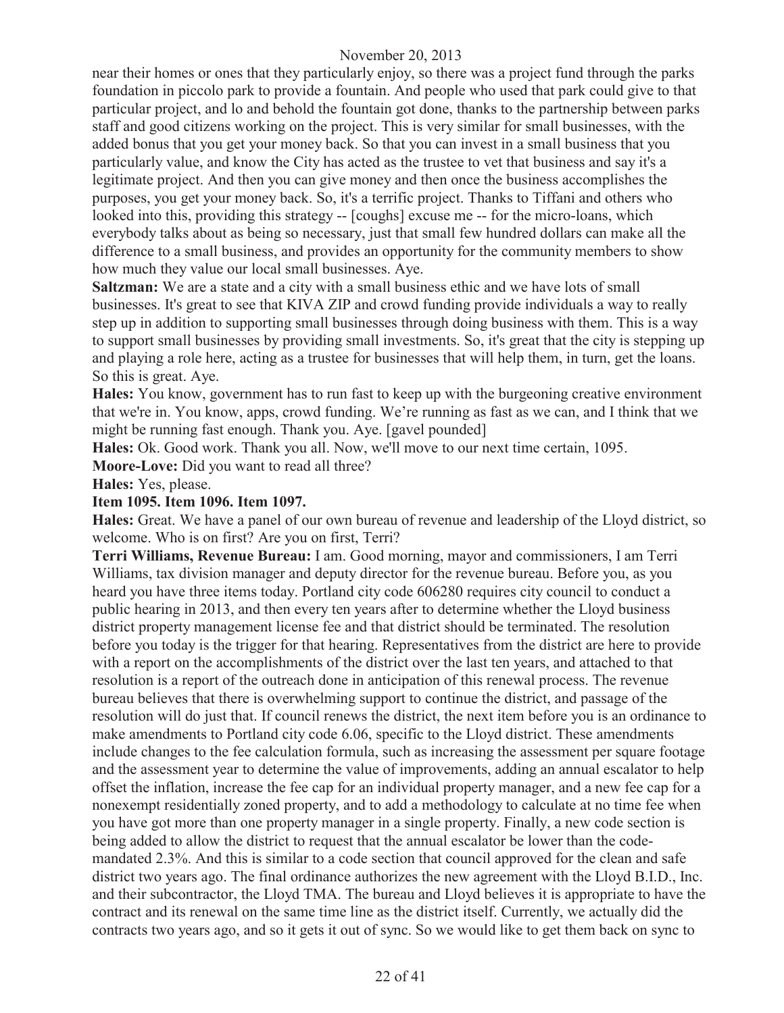near their homes or ones that they particularly enjoy, so there was a project fund through the parks foundation in piccolo park to provide a fountain. And people who used that park could give to that particular project, and lo and behold the fountain got done, thanks to the partnership between parks staff and good citizens working on the project. This is very similar for small businesses, with the added bonus that you get your money back. So that you can invest in a small business that you particularly value, and know the City has acted as the trustee to vet that business and say it's a legitimate project. And then you can give money and then once the business accomplishes the purposes, you get your money back. So, it's a terrific project. Thanks to Tiffani and others who looked into this, providing this strategy -- [coughs] excuse me -- for the micro-loans, which everybody talks about as being so necessary, just that small few hundred dollars can make all the difference to a small business, and provides an opportunity for the community members to show how much they value our local small businesses. Aye.

**Saltzman:** We are a state and a city with a small business ethic and we have lots of small businesses. It's great to see that KIVA ZIP and crowd funding provide individuals a way to really step up in addition to supporting small businesses through doing business with them. This is a way to support small businesses by providing small investments. So, it's great that the city is stepping up and playing a role here, acting as a trustee for businesses that will help them, in turn, get the loans. So this is great. Aye.

**Hales:** You know, government has to run fast to keep up with the burgeoning creative environment that we're in. You know, apps, crowd funding. We're running as fast as we can, and I think that we might be running fast enough. Thank you. Aye. [gavel pounded]

**Hales:** Ok. Good work. Thank you all. Now, we'll move to our next time certain, 1095.

**Moore-Love:** Did you want to read all three?

**Hales:** Yes, please.

#### **Item 1095. Item 1096. Item 1097.**

**Hales:** Great. We have a panel of our own bureau of revenue and leadership of the Lloyd district, so welcome. Who is on first? Are you on first, Terri?

**Terri Williams, Revenue Bureau:** I am. Good morning, mayor and commissioners, I am Terri Williams, tax division manager and deputy director for the revenue bureau. Before you, as you heard you have three items today. Portland city code 606280 requires city council to conduct a public hearing in 2013, and then every ten years after to determine whether the Lloyd business district property management license fee and that district should be terminated. The resolution before you today is the trigger for that hearing. Representatives from the district are here to provide with a report on the accomplishments of the district over the last ten years, and attached to that resolution is a report of the outreach done in anticipation of this renewal process. The revenue bureau believes that there is overwhelming support to continue the district, and passage of the resolution will do just that. If council renews the district, the next item before you is an ordinance to make amendments to Portland city code 6.06, specific to the Lloyd district. These amendments include changes to the fee calculation formula, such as increasing the assessment per square footage and the assessment year to determine the value of improvements, adding an annual escalator to help offset the inflation, increase the fee cap for an individual property manager, and a new fee cap for a nonexempt residentially zoned property, and to add a methodology to calculate at no time fee when you have got more than one property manager in a single property. Finally, a new code section is being added to allow the district to request that the annual escalator be lower than the codemandated 2.3%. And this is similar to a code section that council approved for the clean and safe district two years ago. The final ordinance authorizes the new agreement with the Lloyd B.I.D., Inc. and their subcontractor, the Lloyd TMA. The bureau and Lloyd believes it is appropriate to have the contract and its renewal on the same time line as the district itself. Currently, we actually did the contracts two years ago, and so it gets it out of sync. So we would like to get them back on sync to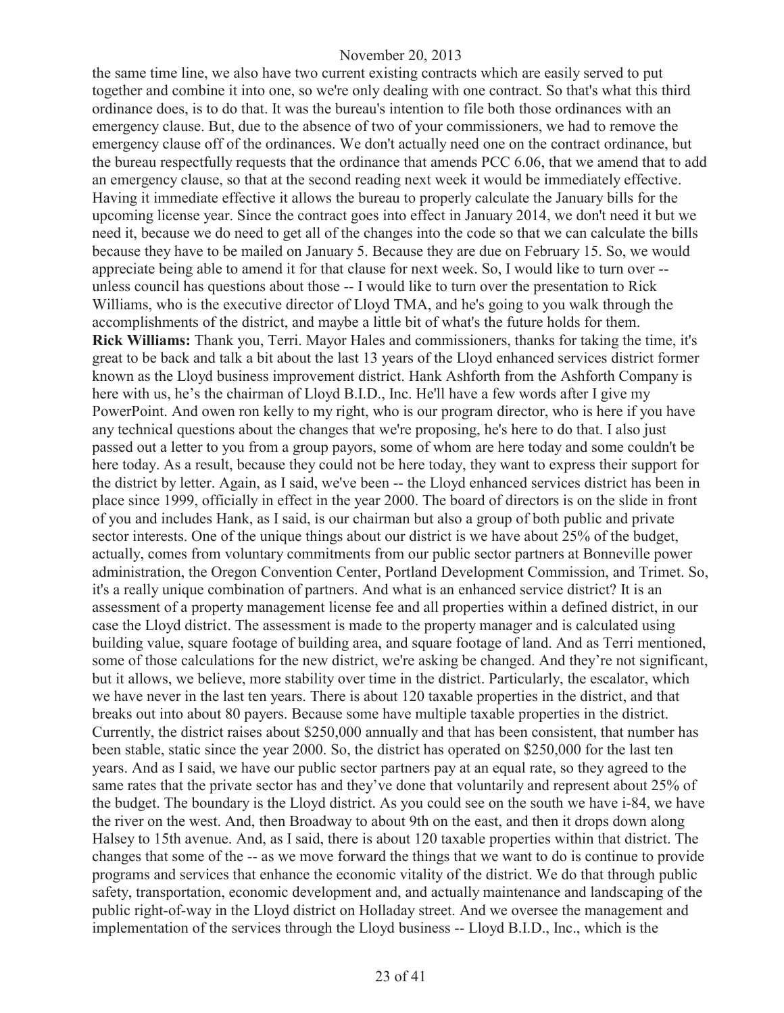the same time line, we also have two current existing contracts which are easily served to put together and combine it into one, so we're only dealing with one contract. So that's what this third ordinance does, is to do that. It was the bureau's intention to file both those ordinances with an emergency clause. But, due to the absence of two of your commissioners, we had to remove the emergency clause off of the ordinances. We don't actually need one on the contract ordinance, but the bureau respectfully requests that the ordinance that amends PCC 6.06, that we amend that to add an emergency clause, so that at the second reading next week it would be immediately effective. Having it immediate effective it allows the bureau to properly calculate the January bills for the upcoming license year. Since the contract goes into effect in January 2014, we don't need it but we need it, because we do need to get all of the changes into the code so that we can calculate the bills because they have to be mailed on January 5. Because they are due on February 15. So, we would appreciate being able to amend it for that clause for next week. So, I would like to turn over - unless council has questions about those -- I would like to turn over the presentation to Rick Williams, who is the executive director of Lloyd TMA, and he's going to you walk through the accomplishments of the district, and maybe a little bit of what's the future holds for them. **Rick Williams:** Thank you, Terri. Mayor Hales and commissioners, thanks for taking the time, it's great to be back and talk a bit about the last 13 years of the Lloyd enhanced services district former known as the Lloyd business improvement district. Hank Ashforth from the Ashforth Company is here with us, he's the chairman of Lloyd B.I.D., Inc. He'll have a few words after I give my PowerPoint. And owen ron kelly to my right, who is our program director, who is here if you have any technical questions about the changes that we're proposing, he's here to do that. I also just passed out a letter to you from a group payors, some of whom are here today and some couldn't be here today. As a result, because they could not be here today, they want to express their support for the district by letter. Again, as I said, we've been -- the Lloyd enhanced services district has been in place since 1999, officially in effect in the year 2000. The board of directors is on the slide in front of you and includes Hank, as I said, is our chairman but also a group of both public and private sector interests. One of the unique things about our district is we have about 25% of the budget, actually, comes from voluntary commitments from our public sector partners at Bonneville power administration, the Oregon Convention Center, Portland Development Commission, and Trimet. So, it's a really unique combination of partners. And what is an enhanced service district? It is an assessment of a property management license fee and all properties within a defined district, in our case the Lloyd district. The assessment is made to the property manager and is calculated using building value, square footage of building area, and square footage of land. And as Terri mentioned, some of those calculations for the new district, we're asking be changed. And they're not significant, but it allows, we believe, more stability over time in the district. Particularly, the escalator, which we have never in the last ten years. There is about 120 taxable properties in the district, and that breaks out into about 80 payers. Because some have multiple taxable properties in the district. Currently, the district raises about \$250,000 annually and that has been consistent, that number has been stable, static since the year 2000. So, the district has operated on \$250,000 for the last ten years. And as I said, we have our public sector partners pay at an equal rate, so they agreed to the same rates that the private sector has and they've done that voluntarily and represent about 25% of the budget. The boundary is the Lloyd district. As you could see on the south we have i-84, we have the river on the west. And, then Broadway to about 9th on the east, and then it drops down along Halsey to 15th avenue. And, as I said, there is about 120 taxable properties within that district. The changes that some of the -- as we move forward the things that we want to do is continue to provide programs and services that enhance the economic vitality of the district. We do that through public safety, transportation, economic development and, and actually maintenance and landscaping of the public right-of-way in the Lloyd district on Holladay street. And we oversee the management and implementation of the services through the Lloyd business -- Lloyd B.I.D., Inc., which is the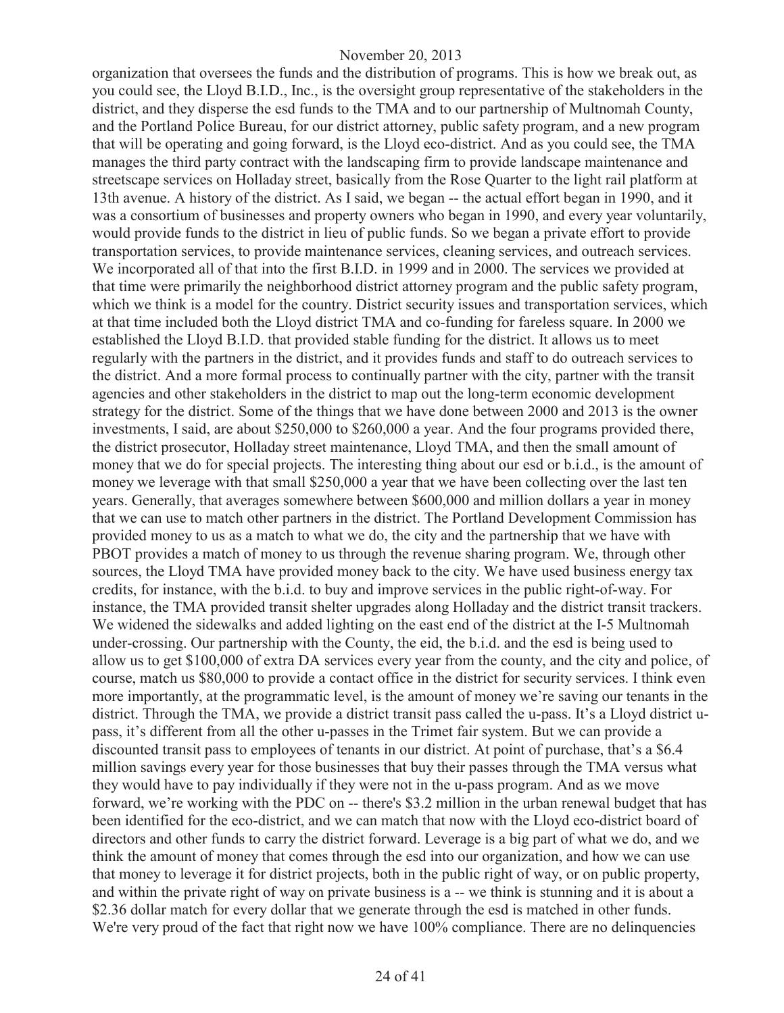organization that oversees the funds and the distribution of programs. This is how we break out, as you could see, the Lloyd B.I.D., Inc., is the oversight group representative of the stakeholders in the district, and they disperse the esd funds to the TMA and to our partnership of Multnomah County, and the Portland Police Bureau, for our district attorney, public safety program, and a new program that will be operating and going forward, is the Lloyd eco-district. And as you could see, the TMA manages the third party contract with the landscaping firm to provide landscape maintenance and streetscape services on Holladay street, basically from the Rose Quarter to the light rail platform at 13th avenue. A history of the district. As I said, we began -- the actual effort began in 1990, and it was a consortium of businesses and property owners who began in 1990, and every year voluntarily, would provide funds to the district in lieu of public funds. So we began a private effort to provide transportation services, to provide maintenance services, cleaning services, and outreach services. We incorporated all of that into the first B.I.D. in 1999 and in 2000. The services we provided at that time were primarily the neighborhood district attorney program and the public safety program, which we think is a model for the country. District security issues and transportation services, which at that time included both the Lloyd district TMA and co-funding for fareless square. In 2000 we established the Lloyd B.I.D. that provided stable funding for the district. It allows us to meet regularly with the partners in the district, and it provides funds and staff to do outreach services to the district. And a more formal process to continually partner with the city, partner with the transit agencies and other stakeholders in the district to map out the long-term economic development strategy for the district. Some of the things that we have done between 2000 and 2013 is the owner investments, I said, are about \$250,000 to \$260,000 a year. And the four programs provided there, the district prosecutor, Holladay street maintenance, Lloyd TMA, and then the small amount of money that we do for special projects. The interesting thing about our esd or b.i.d., is the amount of money we leverage with that small \$250,000 a year that we have been collecting over the last ten years. Generally, that averages somewhere between \$600,000 and million dollars a year in money that we can use to match other partners in the district. The Portland Development Commission has provided money to us as a match to what we do, the city and the partnership that we have with PBOT provides a match of money to us through the revenue sharing program. We, through other sources, the Lloyd TMA have provided money back to the city. We have used business energy tax credits, for instance, with the b.i.d. to buy and improve services in the public right-of-way. For instance, the TMA provided transit shelter upgrades along Holladay and the district transit trackers. We widened the sidewalks and added lighting on the east end of the district at the I-5 Multnomah under-crossing. Our partnership with the County, the eid, the b.i.d. and the esd is being used to allow us to get \$100,000 of extra DA services every year from the county, and the city and police, of course, match us \$80,000 to provide a contact office in the district for security services. I think even more importantly, at the programmatic level, is the amount of money we're saving our tenants in the district. Through the TMA, we provide a district transit pass called the u-pass. It's a Lloyd district upass, it's different from all the other u-passes in the Trimet fair system. But we can provide a discounted transit pass to employees of tenants in our district. At point of purchase, that's a \$6.4 million savings every year for those businesses that buy their passes through the TMA versus what they would have to pay individually if they were not in the u-pass program. And as we move forward, we're working with the PDC on -- there's \$3.2 million in the urban renewal budget that has been identified for the eco-district, and we can match that now with the Lloyd eco-district board of directors and other funds to carry the district forward. Leverage is a big part of what we do, and we think the amount of money that comes through the esd into our organization, and how we can use that money to leverage it for district projects, both in the public right of way, or on public property, and within the private right of way on private business is a -- we think is stunning and it is about a \$2.36 dollar match for every dollar that we generate through the esd is matched in other funds. We're very proud of the fact that right now we have 100% compliance. There are no delinquencies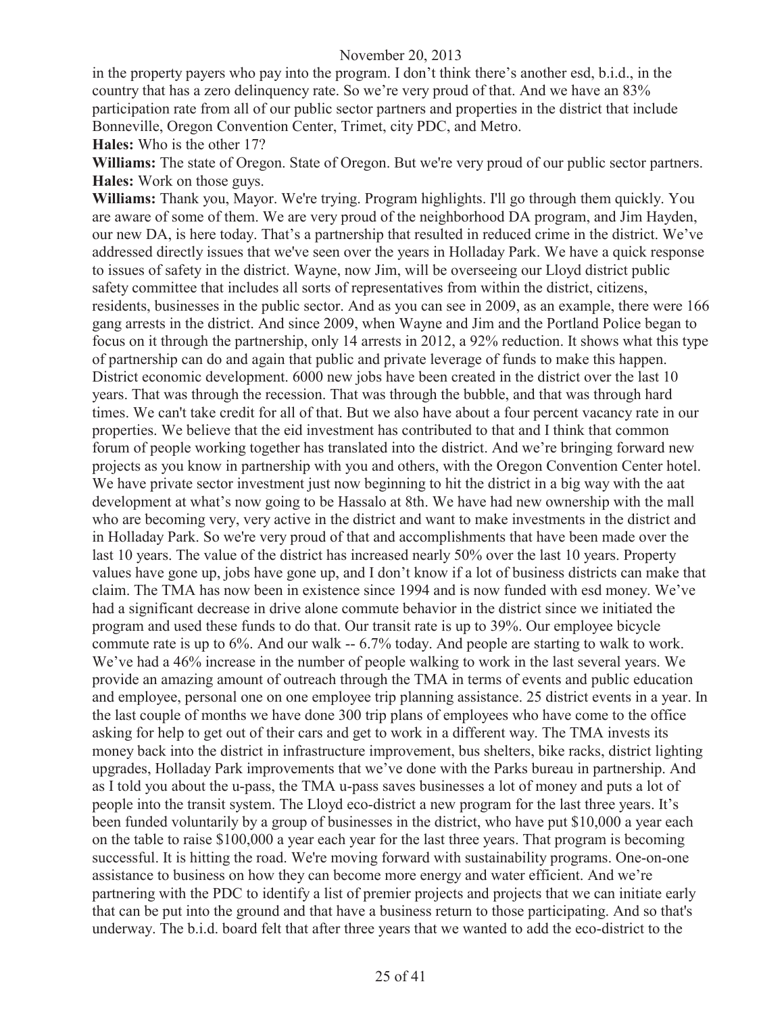in the property payers who pay into the program. I don't think there's another esd, b.i.d., in the country that has a zero delinquency rate. So we're very proud of that. And we have an 83% participation rate from all of our public sector partners and properties in the district that include Bonneville, Oregon Convention Center, Trimet, city PDC, and Metro.

**Hales:** Who is the other 17?

**Williams:** The state of Oregon. State of Oregon. But we're very proud of our public sector partners. **Hales:** Work on those guys.

**Williams:** Thank you, Mayor. We're trying. Program highlights. I'll go through them quickly. You are aware of some of them. We are very proud of the neighborhood DA program, and Jim Hayden, our new DA, is here today. That's a partnership that resulted in reduced crime in the district. We've addressed directly issues that we've seen over the years in Holladay Park. We have a quick response to issues of safety in the district. Wayne, now Jim, will be overseeing our Lloyd district public safety committee that includes all sorts of representatives from within the district, citizens, residents, businesses in the public sector. And as you can see in 2009, as an example, there were 166 gang arrests in the district. And since 2009, when Wayne and Jim and the Portland Police began to focus on it through the partnership, only 14 arrests in 2012, a 92% reduction. It shows what this type of partnership can do and again that public and private leverage of funds to make this happen. District economic development. 6000 new jobs have been created in the district over the last 10 years. That was through the recession. That was through the bubble, and that was through hard times. We can't take credit for all of that. But we also have about a four percent vacancy rate in our properties. We believe that the eid investment has contributed to that and I think that common forum of people working together has translated into the district. And we're bringing forward new projects as you know in partnership with you and others, with the Oregon Convention Center hotel. We have private sector investment just now beginning to hit the district in a big way with the aat development at what's now going to be Hassalo at 8th. We have had new ownership with the mall who are becoming very, very active in the district and want to make investments in the district and in Holladay Park. So we're very proud of that and accomplishments that have been made over the last 10 years. The value of the district has increased nearly 50% over the last 10 years. Property values have gone up, jobs have gone up, and I don't know if a lot of business districts can make that claim. The TMA has now been in existence since 1994 and is now funded with esd money. We've had a significant decrease in drive alone commute behavior in the district since we initiated the program and used these funds to do that. Our transit rate is up to 39%. Our employee bicycle commute rate is up to 6%. And our walk -- 6.7% today. And people are starting to walk to work. We've had a 46% increase in the number of people walking to work in the last several years. We provide an amazing amount of outreach through the TMA in terms of events and public education and employee, personal one on one employee trip planning assistance. 25 district events in a year. In the last couple of months we have done 300 trip plans of employees who have come to the office asking for help to get out of their cars and get to work in a different way. The TMA invests its money back into the district in infrastructure improvement, bus shelters, bike racks, district lighting upgrades, Holladay Park improvements that we've done with the Parks bureau in partnership. And as I told you about the u-pass, the TMA u-pass saves businesses a lot of money and puts a lot of people into the transit system. The Lloyd eco-district a new program for the last three years. It's been funded voluntarily by a group of businesses in the district, who have put \$10,000 a year each on the table to raise \$100,000 a year each year for the last three years. That program is becoming successful. It is hitting the road. We're moving forward with sustainability programs. One-on-one assistance to business on how they can become more energy and water efficient. And we're partnering with the PDC to identify a list of premier projects and projects that we can initiate early that can be put into the ground and that have a business return to those participating. And so that's underway. The b.i.d. board felt that after three years that we wanted to add the eco-district to the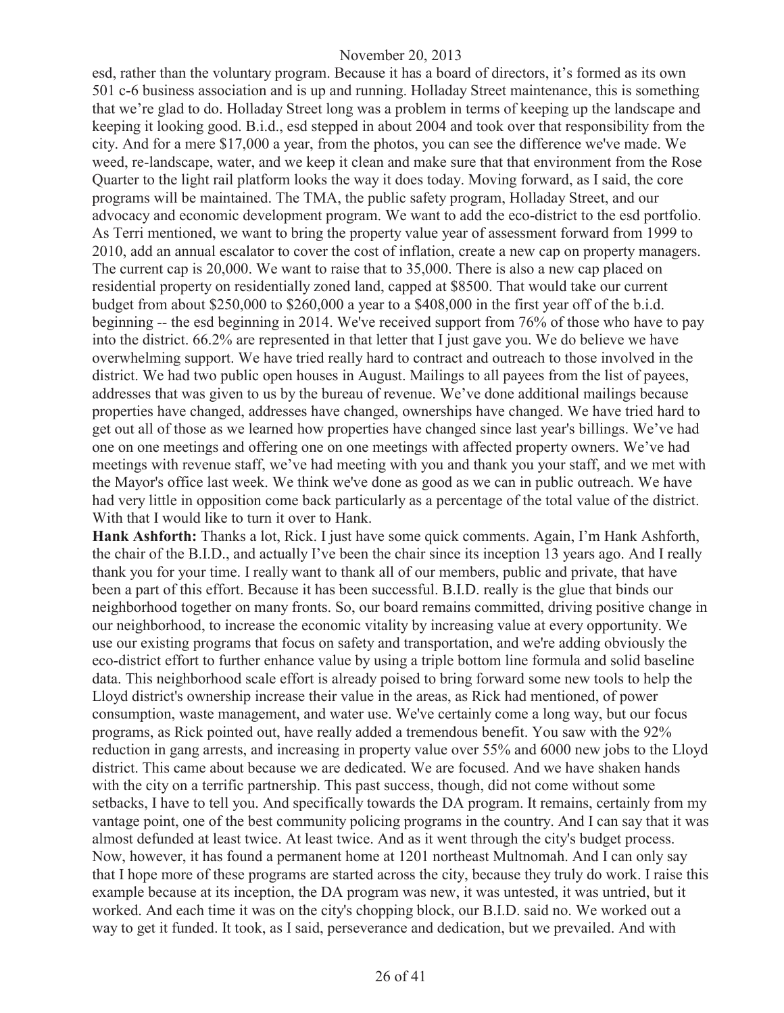esd, rather than the voluntary program. Because it has a board of directors, it's formed as its own 501 c-6 business association and is up and running. Holladay Street maintenance, this is something that we're glad to do. Holladay Street long was a problem in terms of keeping up the landscape and keeping it looking good. B.i.d., esd stepped in about 2004 and took over that responsibility from the city. And for a mere \$17,000 a year, from the photos, you can see the difference we've made. We weed, re-landscape, water, and we keep it clean and make sure that that environment from the Rose Quarter to the light rail platform looks the way it does today. Moving forward, as I said, the core programs will be maintained. The TMA, the public safety program, Holladay Street, and our advocacy and economic development program. We want to add the eco-district to the esd portfolio. As Terri mentioned, we want to bring the property value year of assessment forward from 1999 to 2010, add an annual escalator to cover the cost of inflation, create a new cap on property managers. The current cap is 20,000. We want to raise that to 35,000. There is also a new cap placed on residential property on residentially zoned land, capped at \$8500. That would take our current budget from about \$250,000 to \$260,000 a year to a \$408,000 in the first year off of the b.i.d. beginning -- the esd beginning in 2014. We've received support from 76% of those who have to pay into the district. 66.2% are represented in that letter that I just gave you. We do believe we have overwhelming support. We have tried really hard to contract and outreach to those involved in the district. We had two public open houses in August. Mailings to all payees from the list of payees, addresses that was given to us by the bureau of revenue. We've done additional mailings because properties have changed, addresses have changed, ownerships have changed. We have tried hard to get out all of those as we learned how properties have changed since last year's billings. We've had one on one meetings and offering one on one meetings with affected property owners. We've had meetings with revenue staff, we've had meeting with you and thank you your staff, and we met with the Mayor's office last week. We think we've done as good as we can in public outreach. We have had very little in opposition come back particularly as a percentage of the total value of the district. With that I would like to turn it over to Hank.

**Hank Ashforth:** Thanks a lot, Rick. I just have some quick comments. Again, I'm Hank Ashforth, the chair of the B.I.D., and actually I've been the chair since its inception 13 years ago. And I really thank you for your time. I really want to thank all of our members, public and private, that have been a part of this effort. Because it has been successful. B.I.D. really is the glue that binds our neighborhood together on many fronts. So, our board remains committed, driving positive change in our neighborhood, to increase the economic vitality by increasing value at every opportunity. We use our existing programs that focus on safety and transportation, and we're adding obviously the eco-district effort to further enhance value by using a triple bottom line formula and solid baseline data. This neighborhood scale effort is already poised to bring forward some new tools to help the Lloyd district's ownership increase their value in the areas, as Rick had mentioned, of power consumption, waste management, and water use. We've certainly come a long way, but our focus programs, as Rick pointed out, have really added a tremendous benefit. You saw with the 92% reduction in gang arrests, and increasing in property value over 55% and 6000 new jobs to the Lloyd district. This came about because we are dedicated. We are focused. And we have shaken hands with the city on a terrific partnership. This past success, though, did not come without some setbacks, I have to tell you. And specifically towards the DA program. It remains, certainly from my vantage point, one of the best community policing programs in the country. And I can say that it was almost defunded at least twice. At least twice. And as it went through the city's budget process. Now, however, it has found a permanent home at 1201 northeast Multnomah. And I can only say that I hope more of these programs are started across the city, because they truly do work. I raise this example because at its inception, the DA program was new, it was untested, it was untried, but it worked. And each time it was on the city's chopping block, our B.I.D. said no. We worked out a way to get it funded. It took, as I said, perseverance and dedication, but we prevailed. And with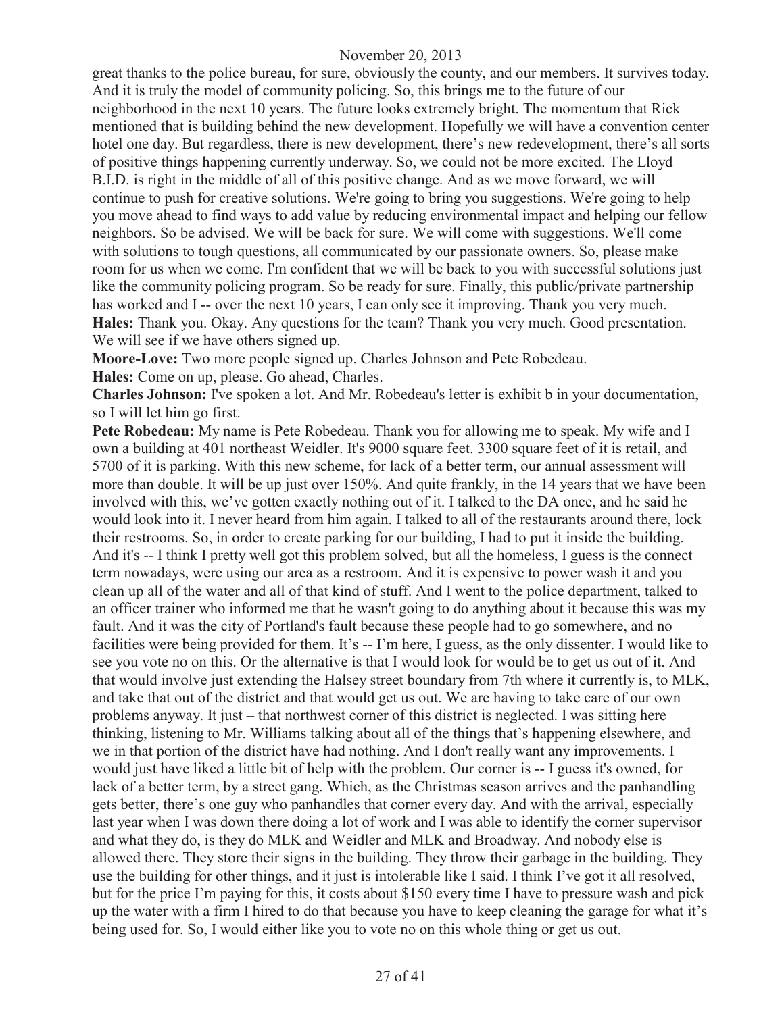great thanks to the police bureau, for sure, obviously the county, and our members. It survives today. And it is truly the model of community policing. So, this brings me to the future of our neighborhood in the next 10 years. The future looks extremely bright. The momentum that Rick mentioned that is building behind the new development. Hopefully we will have a convention center hotel one day. But regardless, there is new development, there's new redevelopment, there's all sorts of positive things happening currently underway. So, we could not be more excited. The Lloyd B.I.D. is right in the middle of all of this positive change. And as we move forward, we will continue to push for creative solutions. We're going to bring you suggestions. We're going to help you move ahead to find ways to add value by reducing environmental impact and helping our fellow neighbors. So be advised. We will be back for sure. We will come with suggestions. We'll come with solutions to tough questions, all communicated by our passionate owners. So, please make room for us when we come. I'm confident that we will be back to you with successful solutions just like the community policing program. So be ready for sure. Finally, this public/private partnership has worked and I-- over the next 10 years, I can only see it improving. Thank you very much. **Hales:** Thank you. Okay. Any questions for the team? Thank you very much. Good presentation. We will see if we have others signed up.

**Moore-Love:** Two more people signed up. Charles Johnson and Pete Robedeau.

**Hales:** Come on up, please. Go ahead, Charles.

**Charles Johnson:** I've spoken a lot. And Mr. Robedeau's letter is exhibit b in your documentation, so I will let him go first.

**Pete Robedeau:** My name is Pete Robedeau. Thank you for allowing me to speak. My wife and I own a building at 401 northeast Weidler. It's 9000 square feet. 3300 square feet of it is retail, and 5700 of it is parking. With this new scheme, for lack of a better term, our annual assessment will more than double. It will be up just over 150%. And quite frankly, in the 14 years that we have been involved with this, we've gotten exactly nothing out of it. I talked to the DA once, and he said he would look into it. I never heard from him again. I talked to all of the restaurants around there, lock their restrooms. So, in order to create parking for our building, I had to put it inside the building. And it's -- I think I pretty well got this problem solved, but all the homeless, I guess is the connect term nowadays, were using our area as a restroom. And it is expensive to power wash it and you clean up all of the water and all of that kind of stuff. And I went to the police department, talked to an officer trainer who informed me that he wasn't going to do anything about it because this was my fault. And it was the city of Portland's fault because these people had to go somewhere, and no facilities were being provided for them. It's -- I'm here, I guess, as the only dissenter. I would like to see you vote no on this. Or the alternative is that I would look for would be to get us out of it. And that would involve just extending the Halsey street boundary from 7th where it currently is, to MLK, and take that out of the district and that would get us out. We are having to take care of our own problems anyway. It just – that northwest corner of this district is neglected. I was sitting here thinking, listening to Mr. Williams talking about all of the things that's happening elsewhere, and we in that portion of the district have had nothing. And I don't really want any improvements. I would just have liked a little bit of help with the problem. Our corner is -- I guess it's owned, for lack of a better term, by a street gang. Which, as the Christmas season arrives and the panhandling gets better, there's one guy who panhandles that corner every day. And with the arrival, especially last year when I was down there doing a lot of work and I was able to identify the corner supervisor and what they do, is they do MLK and Weidler and MLK and Broadway. And nobody else is allowed there. They store their signs in the building. They throw their garbage in the building. They use the building for other things, and it just is intolerable like I said. I think I've got it all resolved, but for the price I'm paying for this, it costs about \$150 every time I have to pressure wash and pick up the water with a firm I hired to do that because you have to keep cleaning the garage for what it's being used for. So, I would either like you to vote no on this whole thing or get us out.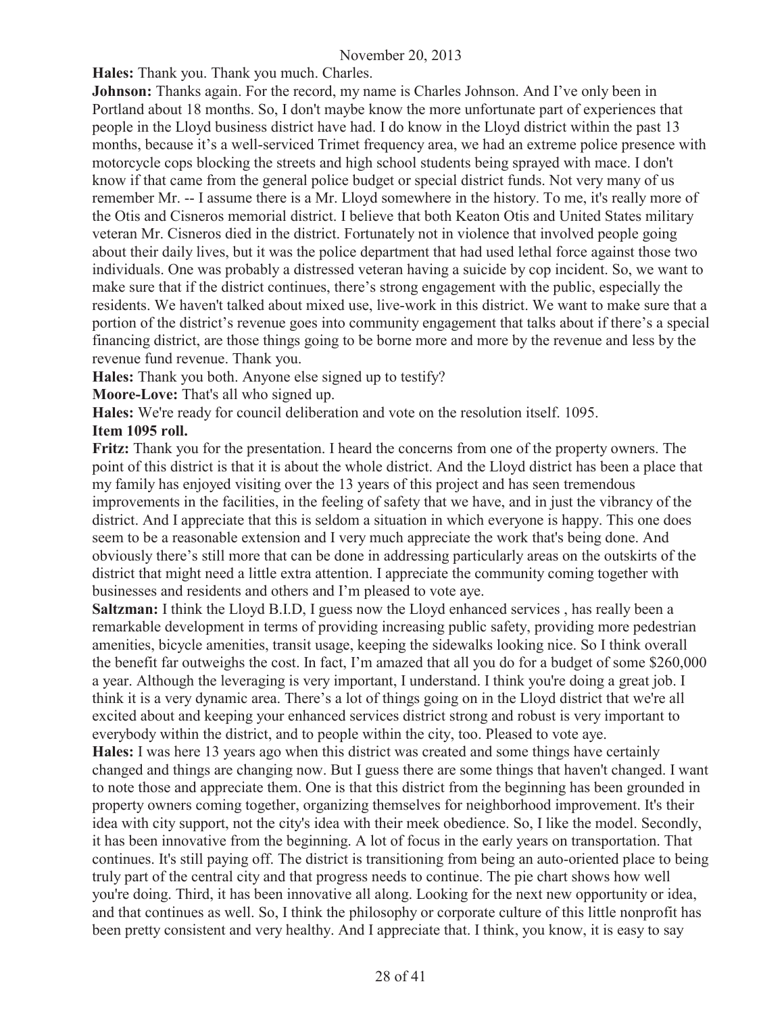**Hales:** Thank you. Thank you much. Charles.

**Johnson:** Thanks again. For the record, my name is Charles Johnson. And I've only been in Portland about 18 months. So, I don't maybe know the more unfortunate part of experiences that people in the Lloyd business district have had. I do know in the Lloyd district within the past 13 months, because it's a well-serviced Trimet frequency area, we had an extreme police presence with motorcycle cops blocking the streets and high school students being sprayed with mace. I don't know if that came from the general police budget or special district funds. Not very many of us remember Mr. -- I assume there is a Mr. Lloyd somewhere in the history. To me, it's really more of the Otis and Cisneros memorial district. I believe that both Keaton Otis and United States military veteran Mr. Cisneros died in the district. Fortunately not in violence that involved people going about their daily lives, but it was the police department that had used lethal force against those two individuals. One was probably a distressed veteran having a suicide by cop incident. So, we want to make sure that if the district continues, there's strong engagement with the public, especially the residents. We haven't talked about mixed use, live-work in this district. We want to make sure that a portion of the district's revenue goes into community engagement that talks about if there's a special financing district, are those things going to be borne more and more by the revenue and less by the revenue fund revenue. Thank you.

**Hales:** Thank you both. Anyone else signed up to testify?

**Moore-Love:** That's all who signed up.

**Hales:** We're ready for council deliberation and vote on the resolution itself. 1095.

**Item 1095 roll.**

**Fritz:** Thank you for the presentation. I heard the concerns from one of the property owners. The point of this district is that it is about the whole district. And the Lloyd district has been a place that my family has enjoyed visiting over the 13 years of this project and has seen tremendous improvements in the facilities, in the feeling of safety that we have, and in just the vibrancy of the district. And I appreciate that this is seldom a situation in which everyone is happy. This one does seem to be a reasonable extension and I very much appreciate the work that's being done. And obviously there's still more that can be done in addressing particularly areas on the outskirts of the district that might need a little extra attention. I appreciate the community coming together with businesses and residents and others and I'm pleased to vote aye.

**Saltzman:** I think the Lloyd B.I.D, I guess now the Lloyd enhanced services , has really been a remarkable development in terms of providing increasing public safety, providing more pedestrian amenities, bicycle amenities, transit usage, keeping the sidewalks looking nice. So I think overall the benefit far outweighs the cost. In fact, I'm amazed that all you do for a budget of some \$260,000 a year. Although the leveraging is very important, I understand. I think you're doing a great job. I think it is a very dynamic area. There's a lot of things going on in the Lloyd district that we're all excited about and keeping your enhanced services district strong and robust is very important to everybody within the district, and to people within the city, too. Pleased to vote aye.

**Hales:** I was here 13 years ago when this district was created and some things have certainly changed and things are changing now. But I guess there are some things that haven't changed. I want to note those and appreciate them. One is that this district from the beginning has been grounded in property owners coming together, organizing themselves for neighborhood improvement. It's their idea with city support, not the city's idea with their meek obedience. So, I like the model. Secondly, it has been innovative from the beginning. A lot of focus in the early years on transportation. That continues. It's still paying off. The district is transitioning from being an auto-oriented place to being truly part of the central city and that progress needs to continue. The pie chart shows how well you're doing. Third, it has been innovative all along. Looking for the next new opportunity or idea, and that continues as well. So, I think the philosophy or corporate culture of this little nonprofit has been pretty consistent and very healthy. And I appreciate that. I think, you know, it is easy to say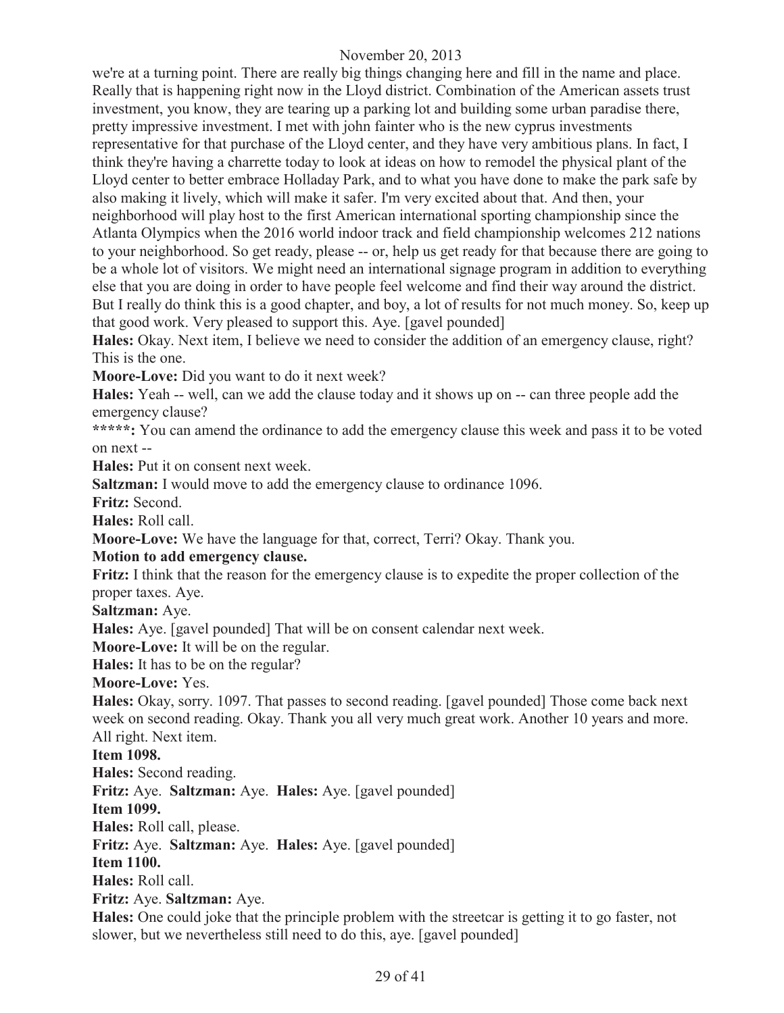we're at a turning point. There are really big things changing here and fill in the name and place. Really that is happening right now in the Lloyd district. Combination of the American assets trust investment, you know, they are tearing up a parking lot and building some urban paradise there, pretty impressive investment. I met with john fainter who is the new cyprus investments representative for that purchase of the Lloyd center, and they have very ambitious plans. In fact, I think they're having a charrette today to look at ideas on how to remodel the physical plant of the Lloyd center to better embrace Holladay Park, and to what you have done to make the park safe by also making it lively, which will make it safer. I'm very excited about that. And then, your neighborhood will play host to the first American international sporting championship since the Atlanta Olympics when the 2016 world indoor track and field championship welcomes 212 nations to your neighborhood. So get ready, please -- or, help us get ready for that because there are going to be a whole lot of visitors. We might need an international signage program in addition to everything else that you are doing in order to have people feel welcome and find their way around the district. But I really do think this is a good chapter, and boy, a lot of results for not much money. So, keep up that good work. Very pleased to support this. Aye. [gavel pounded]

**Hales:** Okay. Next item, I believe we need to consider the addition of an emergency clause, right? This is the one.

**Moore-Love:** Did you want to do it next week?

**Hales:** Yeah -- well, can we add the clause today and it shows up on -- can three people add the emergency clause?

**\*\*\*\*\*:** You can amend the ordinance to add the emergency clause this week and pass it to be voted on next --

**Hales:** Put it on consent next week.

**Saltzman:** I would move to add the emergency clause to ordinance 1096.

**Fritz:** Second.

**Hales:** Roll call.

**Moore-Love:** We have the language for that, correct, Terri? Okay. Thank you.

#### **Motion to add emergency clause.**

**Fritz:** I think that the reason for the emergency clause is to expedite the proper collection of the proper taxes. Aye.

**Saltzman:** Aye.

**Hales:** Aye. [gavel pounded] That will be on consent calendar next week.

**Moore-Love:** It will be on the regular.

**Hales:** It has to be on the regular?

**Moore-Love:** Yes.

**Hales:** Okay, sorry. 1097. That passes to second reading. [gavel pounded] Those come back next week on second reading. Okay. Thank you all very much great work. Another 10 years and more. All right. Next item.

**Item 1098.**

**Hales:** Second reading.

**Fritz:** Aye. **Saltzman:** Aye. **Hales:** Aye. [gavel pounded]

**Item 1099.**

**Hales:** Roll call, please.

**Fritz:** Aye. **Saltzman:** Aye. **Hales:** Aye. [gavel pounded]

**Item 1100.**

**Hales:** Roll call.

**Fritz:** Aye. **Saltzman:** Aye.

**Hales:** One could joke that the principle problem with the streetcar is getting it to go faster, not slower, but we nevertheless still need to do this, aye. [gavel pounded]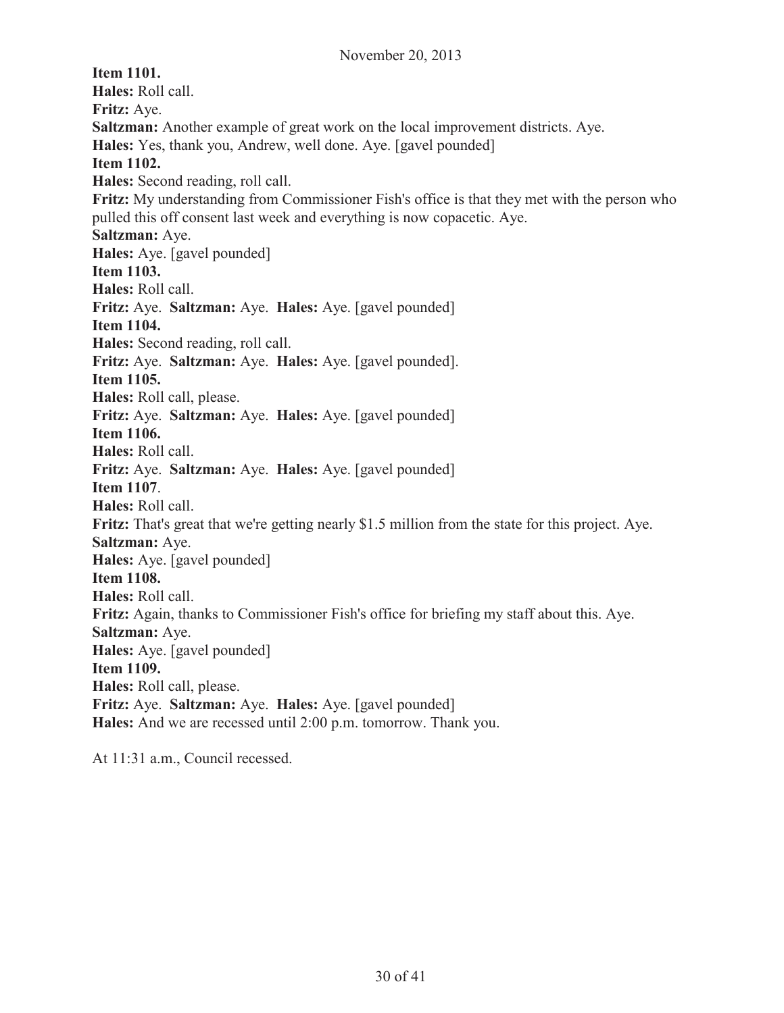**Item 1101. Hales:** Roll call. **Fritz:** Aye. **Saltzman:** Another example of great work on the local improvement districts. Aye. **Hales:** Yes, thank you, Andrew, well done. Aye. [gavel pounded] **Item 1102. Hales:** Second reading, roll call. **Fritz:** My understanding from Commissioner Fish's office is that they met with the person who pulled this off consent last week and everything is now copacetic. Aye. **Saltzman:** Aye. **Hales:** Aye. [gavel pounded] **Item 1103. Hales:** Roll call. **Fritz:** Aye. **Saltzman:** Aye. **Hales:** Aye. [gavel pounded] **Item 1104. Hales:** Second reading, roll call. **Fritz:** Aye. **Saltzman:** Aye. **Hales:** Aye. [gavel pounded]. **Item 1105. Hales:** Roll call, please. **Fritz:** Aye. **Saltzman:** Aye. **Hales:** Aye. [gavel pounded] **Item 1106. Hales:** Roll call. **Fritz:** Aye. **Saltzman:** Aye. **Hales:** Aye. [gavel pounded] **Item 1107**. **Hales:** Roll call. **Fritz:** That's great that we're getting nearly \$1.5 million from the state for this project. Aye. **Saltzman:** Aye. **Hales:** Aye. [gavel pounded] **Item 1108. Hales:** Roll call. **Fritz:** Again, thanks to Commissioner Fish's office for briefing my staff about this. Aye. **Saltzman:** Aye. **Hales:** Aye. [gavel pounded] **Item 1109. Hales:** Roll call, please. **Fritz:** Aye. **Saltzman:** Aye. **Hales:** Aye. [gavel pounded] **Hales:** And we are recessed until 2:00 p.m. tomorrow. Thank you.

At 11:31 a.m., Council recessed.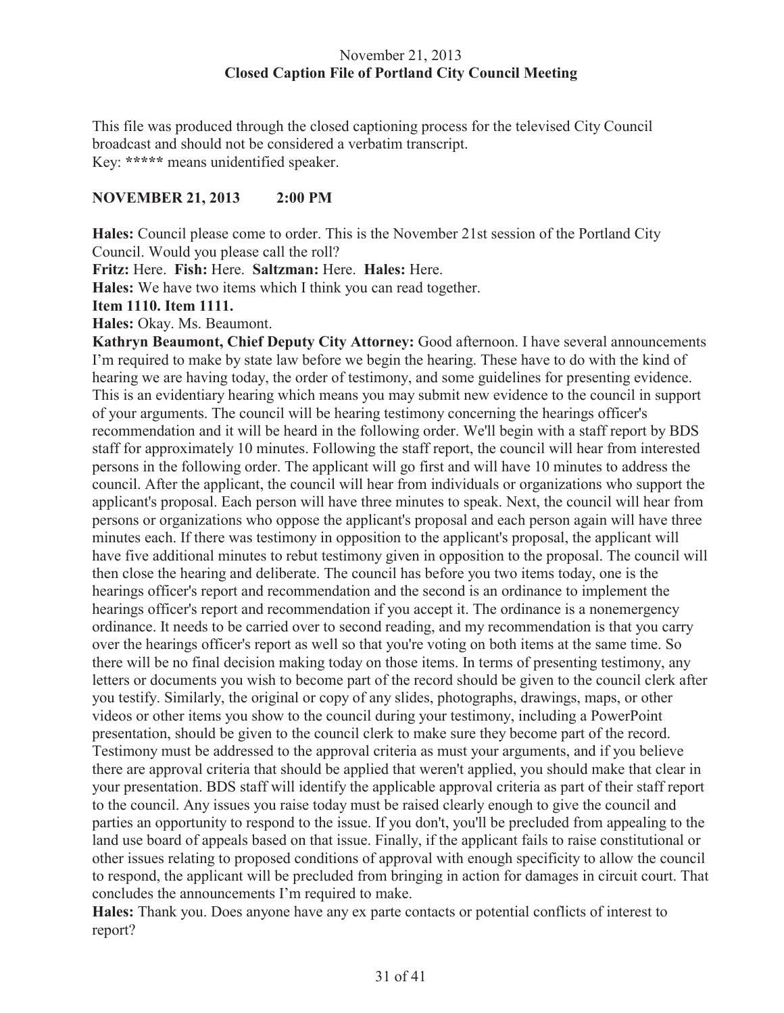#### November 21, 2013 **Closed Caption File of Portland City Council Meeting**

This file was produced through the closed captioning process for the televised City Council broadcast and should not be considered a verbatim transcript. Key: **\*\*\*\*\*** means unidentified speaker.

# **NOVEMBER 21, 2013 2:00 PM**

**Hales:** Council please come to order. This is the November 21st session of the Portland City Council. Would you please call the roll?

**Fritz:** Here. **Fish:** Here. **Saltzman:** Here. **Hales:** Here.

**Hales:** We have two items which I think you can read together.

#### **Item 1110. Item 1111.**

**Hales:** Okay. Ms. Beaumont.

**Kathryn Beaumont, Chief Deputy City Attorney:** Good afternoon. I have several announcements I'm required to make by state law before we begin the hearing. These have to do with the kind of hearing we are having today, the order of testimony, and some guidelines for presenting evidence. This is an evidentiary hearing which means you may submit new evidence to the council in support of your arguments. The council will be hearing testimony concerning the hearings officer's recommendation and it will be heard in the following order. We'll begin with a staff report by BDS staff for approximately 10 minutes. Following the staff report, the council will hear from interested persons in the following order. The applicant will go first and will have 10 minutes to address the council. After the applicant, the council will hear from individuals or organizations who support the applicant's proposal. Each person will have three minutes to speak. Next, the council will hear from persons or organizations who oppose the applicant's proposal and each person again will have three minutes each. If there was testimony in opposition to the applicant's proposal, the applicant will have five additional minutes to rebut testimony given in opposition to the proposal. The council will then close the hearing and deliberate. The council has before you two items today, one is the hearings officer's report and recommendation and the second is an ordinance to implement the hearings officer's report and recommendation if you accept it. The ordinance is a nonemergency ordinance. It needs to be carried over to second reading, and my recommendation is that you carry over the hearings officer's report as well so that you're voting on both items at the same time. So there will be no final decision making today on those items. In terms of presenting testimony, any letters or documents you wish to become part of the record should be given to the council clerk after you testify. Similarly, the original or copy of any slides, photographs, drawings, maps, or other videos or other items you show to the council during your testimony, including a PowerPoint presentation, should be given to the council clerk to make sure they become part of the record. Testimony must be addressed to the approval criteria as must your arguments, and if you believe there are approval criteria that should be applied that weren't applied, you should make that clear in your presentation. BDS staff will identify the applicable approval criteria as part of their staff report to the council. Any issues you raise today must be raised clearly enough to give the council and parties an opportunity to respond to the issue. If you don't, you'll be precluded from appealing to the land use board of appeals based on that issue. Finally, if the applicant fails to raise constitutional or other issues relating to proposed conditions of approval with enough specificity to allow the council to respond, the applicant will be precluded from bringing in action for damages in circuit court. That concludes the announcements I'm required to make.

**Hales:** Thank you. Does anyone have any ex parte contacts or potential conflicts of interest to report?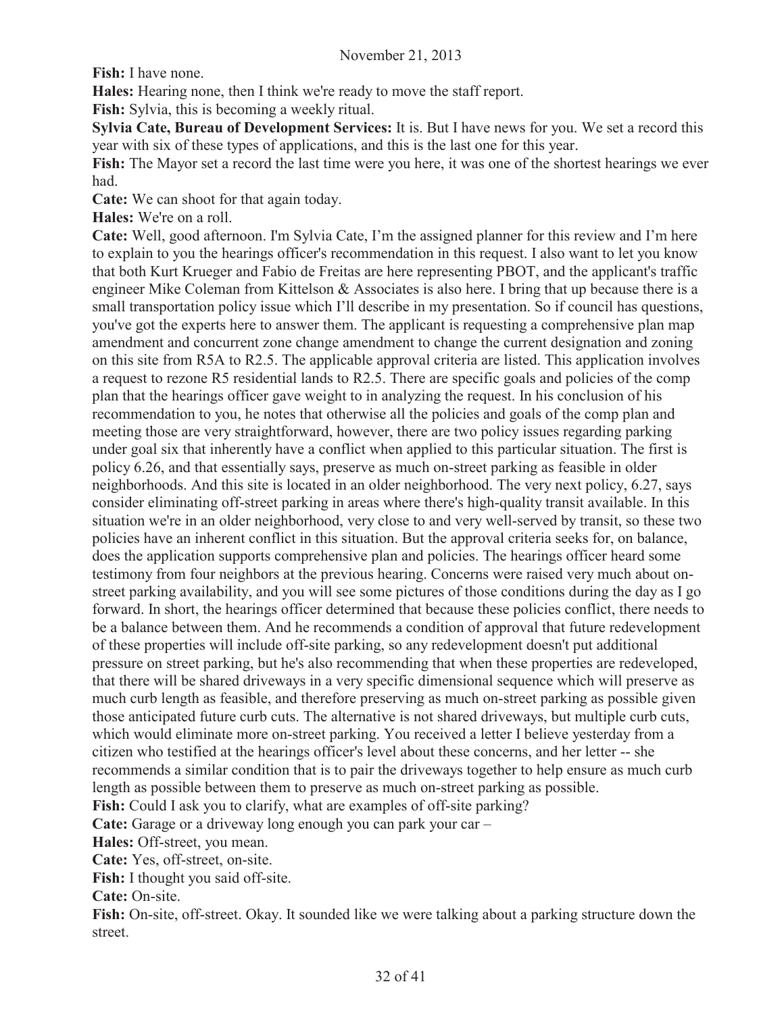**Fish:** I have none.

**Hales:** Hearing none, then I think we're ready to move the staff report.

**Fish:** Sylvia, this is becoming a weekly ritual.

**Sylvia Cate, Bureau of Development Services:** It is. But I have news for you. We set a record this year with six of these types of applications, and this is the last one for this year.

**Fish:** The Mayor set a record the last time were you here, it was one of the shortest hearings we ever had.

**Cate:** We can shoot for that again today.

**Hales:** We're on a roll.

**Cate:** Well, good afternoon. I'm Sylvia Cate, I'm the assigned planner for this review and I'm here to explain to you the hearings officer's recommendation in this request. I also want to let you know that both Kurt Krueger and Fabio de Freitas are here representing PBOT, and the applicant's traffic engineer Mike Coleman from Kittelson & Associates is also here. I bring that up because there is a small transportation policy issue which I'll describe in my presentation. So if council has questions, you've got the experts here to answer them. The applicant is requesting a comprehensive plan map amendment and concurrent zone change amendment to change the current designation and zoning on this site from R5A to R2.5. The applicable approval criteria are listed. This application involves a request to rezone R5 residential lands to R2.5. There are specific goals and policies of the comp plan that the hearings officer gave weight to in analyzing the request. In his conclusion of his recommendation to you, he notes that otherwise all the policies and goals of the comp plan and meeting those are very straightforward, however, there are two policy issues regarding parking under goal six that inherently have a conflict when applied to this particular situation. The first is policy 6.26, and that essentially says, preserve as much on-street parking as feasible in older neighborhoods. And this site is located in an older neighborhood. The very next policy, 6.27, says consider eliminating off-street parking in areas where there's high-quality transit available. In this situation we're in an older neighborhood, very close to and very well-served by transit, so these two policies have an inherent conflict in this situation. But the approval criteria seeks for, on balance, does the application supports comprehensive plan and policies. The hearings officer heard some testimony from four neighbors at the previous hearing. Concerns were raised very much about onstreet parking availability, and you will see some pictures of those conditions during the day as I go forward. In short, the hearings officer determined that because these policies conflict, there needs to be a balance between them. And he recommends a condition of approval that future redevelopment of these properties will include off-site parking, so any redevelopment doesn't put additional pressure on street parking, but he's also recommending that when these properties are redeveloped, that there will be shared driveways in a very specific dimensional sequence which will preserve as much curb length as feasible, and therefore preserving as much on-street parking as possible given those anticipated future curb cuts. The alternative is not shared driveways, but multiple curb cuts, which would eliminate more on-street parking. You received a letter I believe yesterday from a citizen who testified at the hearings officer's level about these concerns, and her letter -- she recommends a similar condition that is to pair the driveways together to help ensure as much curb length as possible between them to preserve as much on-street parking as possible. **Fish:** Could I ask you to clarify, what are examples of off-site parking?

Cate: Garage or a driveway long enough you can park your car –

**Hales:** Off-street, you mean.

**Cate:** Yes, off-street, on-site.

**Fish:** I thought you said off-site.

**Cate:** On-site.

**Fish:** On-site, off-street. Okay. It sounded like we were talking about a parking structure down the street.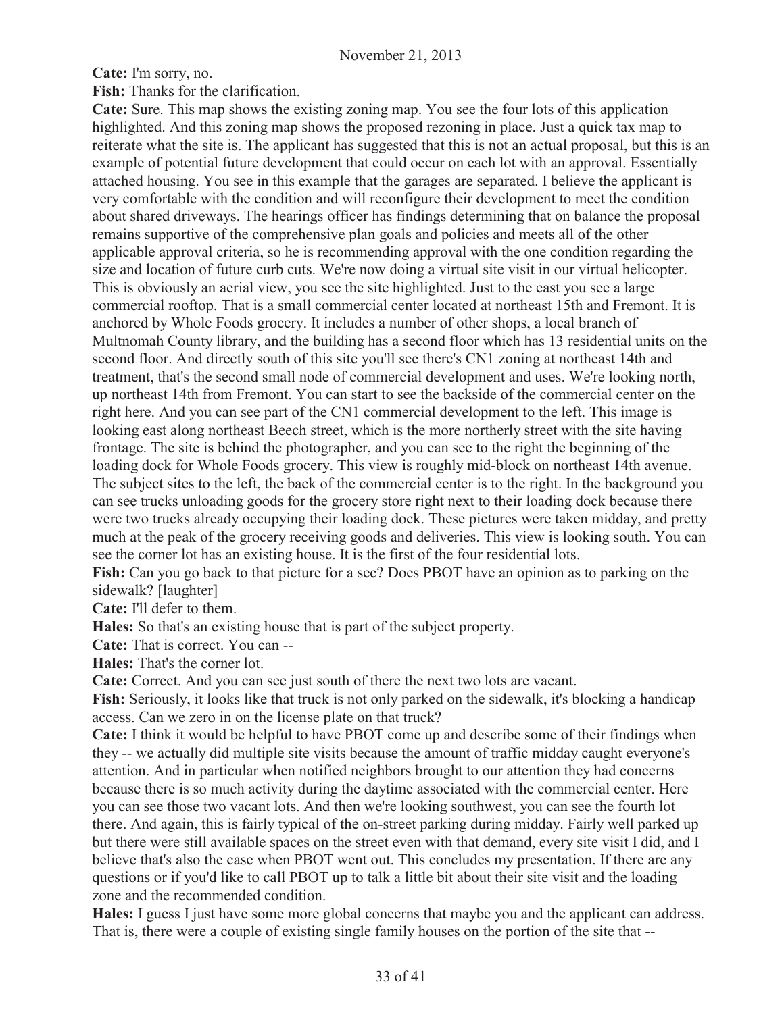**Cate:** I'm sorry, no.

**Fish:** Thanks for the clarification.

**Cate:** Sure. This map shows the existing zoning map. You see the four lots of this application highlighted. And this zoning map shows the proposed rezoning in place. Just a quick tax map to reiterate what the site is. The applicant has suggested that this is not an actual proposal, but this is an example of potential future development that could occur on each lot with an approval. Essentially attached housing. You see in this example that the garages are separated. I believe the applicant is very comfortable with the condition and will reconfigure their development to meet the condition about shared driveways. The hearings officer has findings determining that on balance the proposal remains supportive of the comprehensive plan goals and policies and meets all of the other applicable approval criteria, so he is recommending approval with the one condition regarding the size and location of future curb cuts. We're now doing a virtual site visit in our virtual helicopter. This is obviously an aerial view, you see the site highlighted. Just to the east you see a large commercial rooftop. That is a small commercial center located at northeast 15th and Fremont. It is anchored by Whole Foods grocery. It includes a number of other shops, a local branch of Multnomah County library, and the building has a second floor which has 13 residential units on the second floor. And directly south of this site you'll see there's CN1 zoning at northeast 14th and treatment, that's the second small node of commercial development and uses. We're looking north, up northeast 14th from Fremont. You can start to see the backside of the commercial center on the right here. And you can see part of the CN1 commercial development to the left. This image is looking east along northeast Beech street, which is the more northerly street with the site having frontage. The site is behind the photographer, and you can see to the right the beginning of the loading dock for Whole Foods grocery. This view is roughly mid-block on northeast 14th avenue. The subject sites to the left, the back of the commercial center is to the right. In the background you can see trucks unloading goods for the grocery store right next to their loading dock because there were two trucks already occupying their loading dock. These pictures were taken midday, and pretty much at the peak of the grocery receiving goods and deliveries. This view is looking south. You can see the corner lot has an existing house. It is the first of the four residential lots.

**Fish:** Can you go back to that picture for a sec? Does PBOT have an opinion as to parking on the sidewalk? [laughter]

**Cate:** I'll defer to them.

**Hales:** So that's an existing house that is part of the subject property.

**Cate:** That is correct. You can --

**Hales:** That's the corner lot.

**Cate:** Correct. And you can see just south of there the next two lots are vacant.

**Fish:** Seriously, it looks like that truck is not only parked on the sidewalk, it's blocking a handicap access. Can we zero in on the license plate on that truck?

**Cate:** I think it would be helpful to have PBOT come up and describe some of their findings when they -- we actually did multiple site visits because the amount of traffic midday caught everyone's attention. And in particular when notified neighbors brought to our attention they had concerns because there is so much activity during the daytime associated with the commercial center. Here you can see those two vacant lots. And then we're looking southwest, you can see the fourth lot there. And again, this is fairly typical of the on-street parking during midday. Fairly well parked up but there were still available spaces on the street even with that demand, every site visit I did, and I believe that's also the case when PBOT went out. This concludes my presentation. If there are any questions or if you'd like to call PBOT up to talk a little bit about their site visit and the loading zone and the recommended condition.

**Hales:** I guess I just have some more global concerns that maybe you and the applicant can address. That is, there were a couple of existing single family houses on the portion of the site that --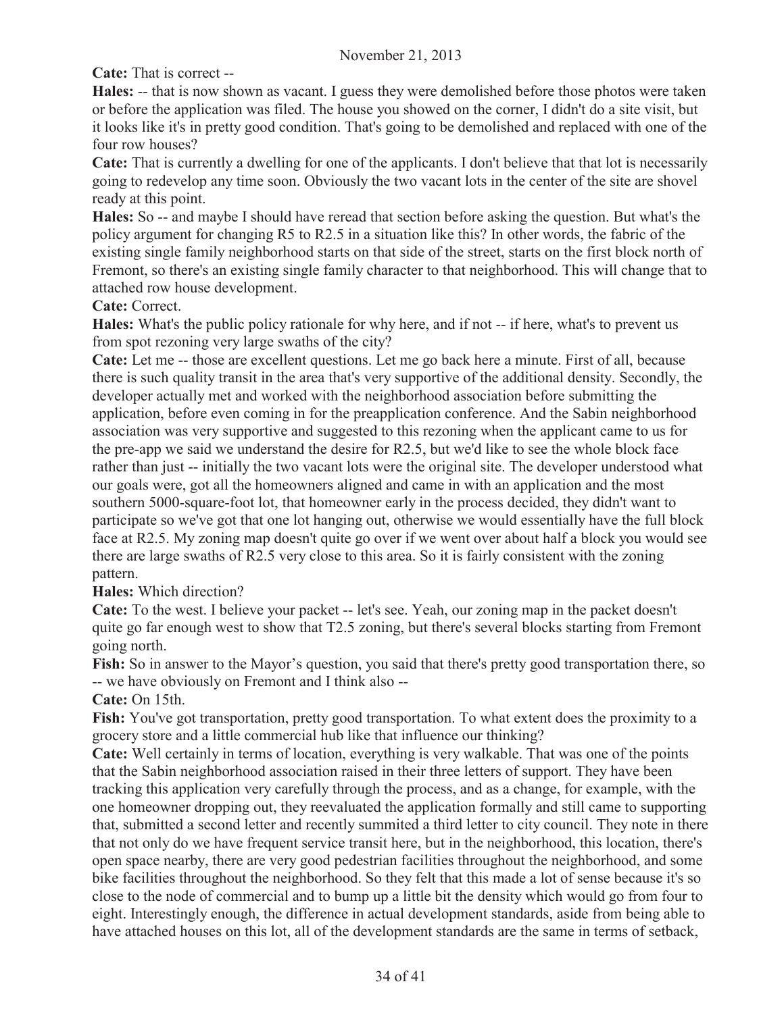**Cate:** That is correct --

**Hales:** -- that is now shown as vacant. I guess they were demolished before those photos were taken or before the application was filed. The house you showed on the corner, I didn't do a site visit, but it looks like it's in pretty good condition. That's going to be demolished and replaced with one of the four row houses?

**Cate:** That is currently a dwelling for one of the applicants. I don't believe that that lot is necessarily going to redevelop any time soon. Obviously the two vacant lots in the center of the site are shovel ready at this point.

**Hales:** So -- and maybe I should have reread that section before asking the question. But what's the policy argument for changing R5 to R2.5 in a situation like this? In other words, the fabric of the existing single family neighborhood starts on that side of the street, starts on the first block north of Fremont, so there's an existing single family character to that neighborhood. This will change that to attached row house development.

**Cate:** Correct.

**Hales:** What's the public policy rationale for why here, and if not -- if here, what's to prevent us from spot rezoning very large swaths of the city?

**Cate:** Let me -- those are excellent questions. Let me go back here a minute. First of all, because there is such quality transit in the area that's very supportive of the additional density. Secondly, the developer actually met and worked with the neighborhood association before submitting the application, before even coming in for the preapplication conference. And the Sabin neighborhood association was very supportive and suggested to this rezoning when the applicant came to us for the pre-app we said we understand the desire for R2.5, but we'd like to see the whole block face rather than just -- initially the two vacant lots were the original site. The developer understood what our goals were, got all the homeowners aligned and came in with an application and the most southern 5000-square-foot lot, that homeowner early in the process decided, they didn't want to participate so we've got that one lot hanging out, otherwise we would essentially have the full block face at R2.5. My zoning map doesn't quite go over if we went over about half a block you would see there are large swaths of R2.5 very close to this area. So it is fairly consistent with the zoning pattern.

**Hales:** Which direction?

**Cate:** To the west. I believe your packet -- let's see. Yeah, our zoning map in the packet doesn't quite go far enough west to show that T2.5 zoning, but there's several blocks starting from Fremont going north.

**Fish:** So in answer to the Mayor's question, you said that there's pretty good transportation there, so -- we have obviously on Fremont and I think also --

**Cate:** On 15th.

**Fish:** You've got transportation, pretty good transportation. To what extent does the proximity to a grocery store and a little commercial hub like that influence our thinking?

**Cate:** Well certainly in terms of location, everything is very walkable. That was one of the points that the Sabin neighborhood association raised in their three letters of support. They have been tracking this application very carefully through the process, and as a change, for example, with the one homeowner dropping out, they reevaluated the application formally and still came to supporting that, submitted a second letter and recently summited a third letter to city council. They note in there that not only do we have frequent service transit here, but in the neighborhood, this location, there's open space nearby, there are very good pedestrian facilities throughout the neighborhood, and some bike facilities throughout the neighborhood. So they felt that this made a lot of sense because it's so close to the node of commercial and to bump up a little bit the density which would go from four to eight. Interestingly enough, the difference in actual development standards, aside from being able to have attached houses on this lot, all of the development standards are the same in terms of setback,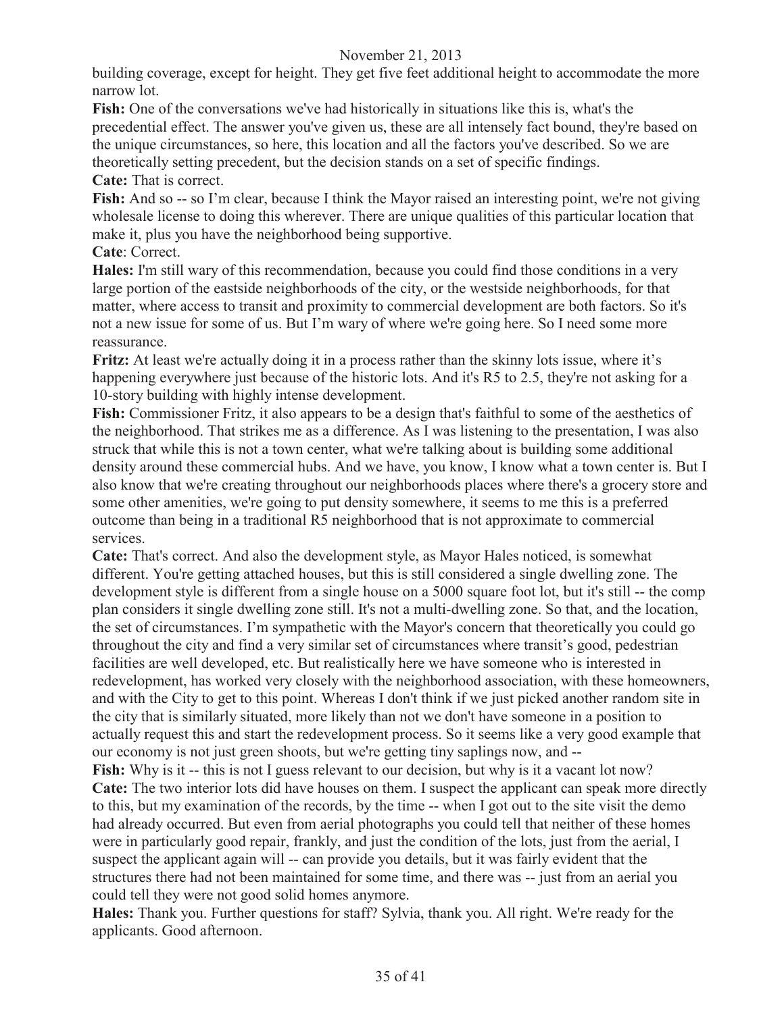building coverage, except for height. They get five feet additional height to accommodate the more narrow lot.

**Fish:** One of the conversations we've had historically in situations like this is, what's the precedential effect. The answer you've given us, these are all intensely fact bound, they're based on the unique circumstances, so here, this location and all the factors you've described. So we are theoretically setting precedent, but the decision stands on a set of specific findings.

## **Cate:** That is correct.

Fish: And so -- so I'm clear, because I think the Mayor raised an interesting point, we're not giving wholesale license to doing this wherever. There are unique qualities of this particular location that make it, plus you have the neighborhood being supportive.

#### **Cate**: Correct.

**Hales:** I'm still wary of this recommendation, because you could find those conditions in a very large portion of the eastside neighborhoods of the city, or the westside neighborhoods, for that matter, where access to transit and proximity to commercial development are both factors. So it's not a new issue for some of us. But I'm wary of where we're going here. So I need some more reassurance.

**Fritz:** At least we're actually doing it in a process rather than the skinny lots issue, where it's happening everywhere just because of the historic lots. And it's R5 to 2.5, they're not asking for a 10-story building with highly intense development.

**Fish:** Commissioner Fritz, it also appears to be a design that's faithful to some of the aesthetics of the neighborhood. That strikes me as a difference. As I was listening to the presentation, I was also struck that while this is not a town center, what we're talking about is building some additional density around these commercial hubs. And we have, you know, I know what a town center is. But I also know that we're creating throughout our neighborhoods places where there's a grocery store and some other amenities, we're going to put density somewhere, it seems to me this is a preferred outcome than being in a traditional R5 neighborhood that is not approximate to commercial services.

**Cate:** That's correct. And also the development style, as Mayor Hales noticed, is somewhat different. You're getting attached houses, but this is still considered a single dwelling zone. The development style is different from a single house on a 5000 square foot lot, but it's still -- the comp plan considers it single dwelling zone still. It's not a multi-dwelling zone. So that, and the location, the set of circumstances. I'm sympathetic with the Mayor's concern that theoretically you could go throughout the city and find a very similar set of circumstances where transit's good, pedestrian facilities are well developed, etc. But realistically here we have someone who is interested in redevelopment, has worked very closely with the neighborhood association, with these homeowners, and with the City to get to this point. Whereas I don't think if we just picked another random site in the city that is similarly situated, more likely than not we don't have someone in a position to actually request this and start the redevelopment process. So it seems like a very good example that our economy is not just green shoots, but we're getting tiny saplings now, and --

Fish: Why is it -- this is not I guess relevant to our decision, but why is it a vacant lot now? **Cate:** The two interior lots did have houses on them. I suspect the applicant can speak more directly to this, but my examination of the records, by the time -- when I got out to the site visit the demo had already occurred. But even from aerial photographs you could tell that neither of these homes were in particularly good repair, frankly, and just the condition of the lots, just from the aerial, I suspect the applicant again will -- can provide you details, but it was fairly evident that the structures there had not been maintained for some time, and there was -- just from an aerial you could tell they were not good solid homes anymore.

**Hales:** Thank you. Further questions for staff? Sylvia, thank you. All right. We're ready for the applicants. Good afternoon.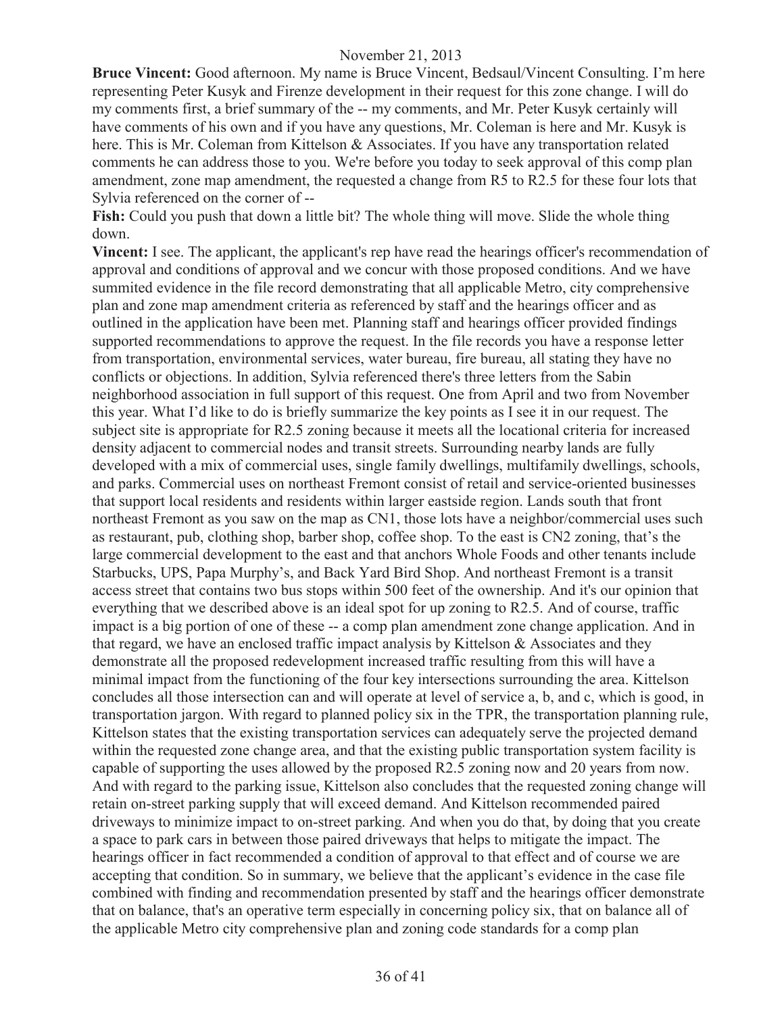**Bruce Vincent:** Good afternoon. My name is Bruce Vincent, Bedsaul/Vincent Consulting. I'm here representing Peter Kusyk and Firenze development in their request for this zone change. I will do my comments first, a brief summary of the -- my comments, and Mr. Peter Kusyk certainly will have comments of his own and if you have any questions, Mr. Coleman is here and Mr. Kusyk is here. This is Mr. Coleman from Kittelson & Associates. If you have any transportation related comments he can address those to you. We're before you today to seek approval of this comp plan amendment, zone map amendment, the requested a change from R5 to R2.5 for these four lots that Sylvia referenced on the corner of --

**Fish:** Could you push that down a little bit? The whole thing will move. Slide the whole thing down.

**Vincent:** I see. The applicant, the applicant's rep have read the hearings officer's recommendation of approval and conditions of approval and we concur with those proposed conditions. And we have summited evidence in the file record demonstrating that all applicable Metro, city comprehensive plan and zone map amendment criteria as referenced by staff and the hearings officer and as outlined in the application have been met. Planning staff and hearings officer provided findings supported recommendations to approve the request. In the file records you have a response letter from transportation, environmental services, water bureau, fire bureau, all stating they have no conflicts or objections. In addition, Sylvia referenced there's three letters from the Sabin neighborhood association in full support of this request. One from April and two from November this year. What I'd like to do is briefly summarize the key points as I see it in our request. The subject site is appropriate for R2.5 zoning because it meets all the locational criteria for increased density adjacent to commercial nodes and transit streets. Surrounding nearby lands are fully developed with a mix of commercial uses, single family dwellings, multifamily dwellings, schools, and parks. Commercial uses on northeast Fremont consist of retail and service-oriented businesses that support local residents and residents within larger eastside region. Lands south that front northeast Fremont as you saw on the map as CN1, those lots have a neighbor/commercial uses such as restaurant, pub, clothing shop, barber shop, coffee shop. To the east is CN2 zoning, that's the large commercial development to the east and that anchors Whole Foods and other tenants include Starbucks, UPS, Papa Murphy's, and Back Yard Bird Shop. And northeast Fremont is a transit access street that contains two bus stops within 500 feet of the ownership. And it's our opinion that everything that we described above is an ideal spot for up zoning to R2.5. And of course, traffic impact is a big portion of one of these -- a comp plan amendment zone change application. And in that regard, we have an enclosed traffic impact analysis by Kittelson & Associates and they demonstrate all the proposed redevelopment increased traffic resulting from this will have a minimal impact from the functioning of the four key intersections surrounding the area. Kittelson concludes all those intersection can and will operate at level of service a, b, and c, which is good, in transportation jargon. With regard to planned policy six in the TPR, the transportation planning rule, Kittelson states that the existing transportation services can adequately serve the projected demand within the requested zone change area, and that the existing public transportation system facility is capable of supporting the uses allowed by the proposed R2.5 zoning now and 20 years from now. And with regard to the parking issue, Kittelson also concludes that the requested zoning change will retain on-street parking supply that will exceed demand. And Kittelson recommended paired driveways to minimize impact to on-street parking. And when you do that, by doing that you create a space to park cars in between those paired driveways that helps to mitigate the impact. The hearings officer in fact recommended a condition of approval to that effect and of course we are accepting that condition. So in summary, we believe that the applicant's evidence in the case file combined with finding and recommendation presented by staff and the hearings officer demonstrate that on balance, that's an operative term especially in concerning policy six, that on balance all of the applicable Metro city comprehensive plan and zoning code standards for a comp plan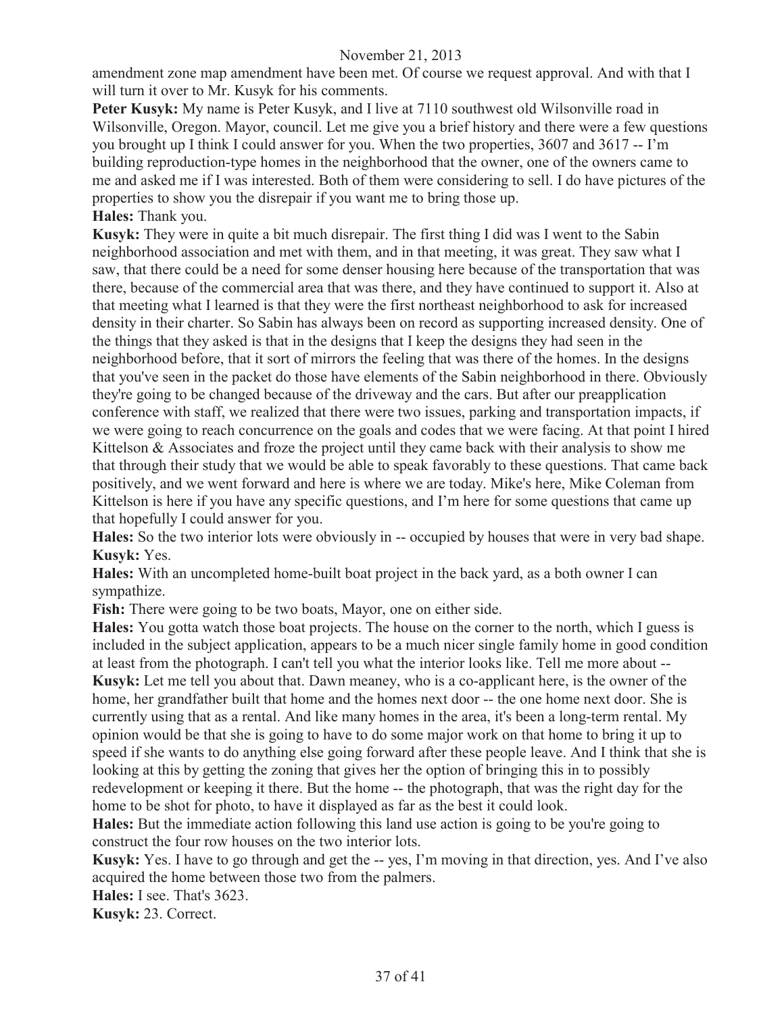amendment zone map amendment have been met. Of course we request approval. And with that I will turn it over to Mr. Kusyk for his comments.

Peter Kusyk: My name is Peter Kusyk, and I live at 7110 southwest old Wilsonville road in Wilsonville, Oregon. Mayor, council. Let me give you a brief history and there were a few questions you brought up I think I could answer for you. When the two properties, 3607 and 3617 -- I'm building reproduction-type homes in the neighborhood that the owner, one of the owners came to me and asked me if I was interested. Both of them were considering to sell. I do have pictures of the properties to show you the disrepair if you want me to bring those up. **Hales:** Thank you.

**Kusyk:** They were in quite a bit much disrepair. The first thing I did was I went to the Sabin neighborhood association and met with them, and in that meeting, it was great. They saw what I saw, that there could be a need for some denser housing here because of the transportation that was there, because of the commercial area that was there, and they have continued to support it. Also at that meeting what I learned is that they were the first northeast neighborhood to ask for increased density in their charter. So Sabin has always been on record as supporting increased density. One of the things that they asked is that in the designs that I keep the designs they had seen in the neighborhood before, that it sort of mirrors the feeling that was there of the homes. In the designs that you've seen in the packet do those have elements of the Sabin neighborhood in there. Obviously they're going to be changed because of the driveway and the cars. But after our preapplication conference with staff, we realized that there were two issues, parking and transportation impacts, if we were going to reach concurrence on the goals and codes that we were facing. At that point I hired Kittelson & Associates and froze the project until they came back with their analysis to show me that through their study that we would be able to speak favorably to these questions. That came back positively, and we went forward and here is where we are today. Mike's here, Mike Coleman from Kittelson is here if you have any specific questions, and I'm here for some questions that came up that hopefully I could answer for you.

**Hales:** So the two interior lots were obviously in -- occupied by houses that were in very bad shape. **Kusyk:** Yes.

**Hales:** With an uncompleted home-built boat project in the back yard, as a both owner I can sympathize.

**Fish:** There were going to be two boats, Mayor, one on either side.

**Hales:** You gotta watch those boat projects. The house on the corner to the north, which I guess is included in the subject application, appears to be a much nicer single family home in good condition at least from the photograph. I can't tell you what the interior looks like. Tell me more about -- **Kusyk:** Let me tell you about that. Dawn meaney, who is a co-applicant here, is the owner of the home, her grandfather built that home and the homes next door -- the one home next door. She is currently using that as a rental. And like many homes in the area, it's been a long-term rental. My opinion would be that she is going to have to do some major work on that home to bring it up to speed if she wants to do anything else going forward after these people leave. And I think that she is looking at this by getting the zoning that gives her the option of bringing this in to possibly redevelopment or keeping it there. But the home -- the photograph, that was the right day for the home to be shot for photo, to have it displayed as far as the best it could look.

**Hales:** But the immediate action following this land use action is going to be you're going to construct the four row houses on the two interior lots.

**Kusyk:** Yes. I have to go through and get the -- yes, I'm moving in that direction, yes. And I've also acquired the home between those two from the palmers.

**Hales:** I see. That's 3623.

**Kusyk:** 23. Correct.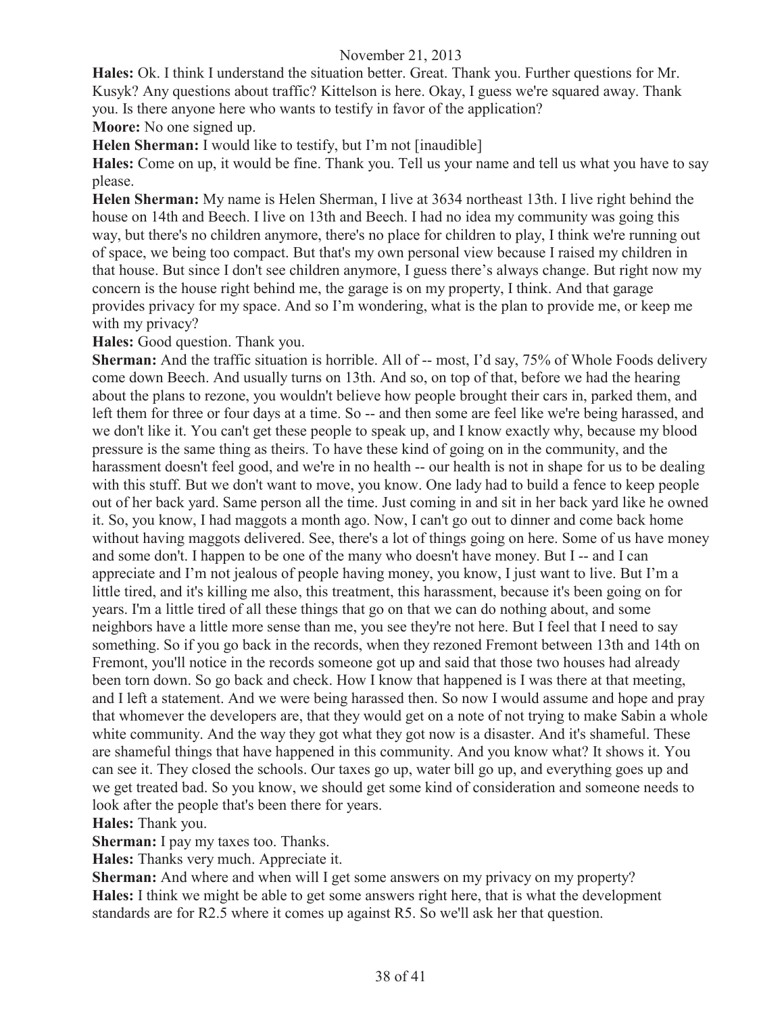**Hales:** Ok. I think I understand the situation better. Great. Thank you. Further questions for Mr. Kusyk? Any questions about traffic? Kittelson is here. Okay, I guess we're squared away. Thank you. Is there anyone here who wants to testify in favor of the application?

**Moore:** No one signed up.

**Helen Sherman:** I would like to testify, but I'm not [inaudible]

**Hales:** Come on up, it would be fine. Thank you. Tell us your name and tell us what you have to say please.

**Helen Sherman:** My name is Helen Sherman, I live at 3634 northeast 13th. I live right behind the house on 14th and Beech. I live on 13th and Beech. I had no idea my community was going this way, but there's no children anymore, there's no place for children to play, I think we're running out of space, we being too compact. But that's my own personal view because I raised my children in that house. But since I don't see children anymore, I guess there's always change. But right now my concern is the house right behind me, the garage is on my property, I think. And that garage provides privacy for my space. And so I'm wondering, what is the plan to provide me, or keep me with my privacy?

**Hales:** Good question. Thank you.

**Sherman:** And the traffic situation is horrible. All of -- most, I'd say, 75% of Whole Foods delivery come down Beech. And usually turns on 13th. And so, on top of that, before we had the hearing about the plans to rezone, you wouldn't believe how people brought their cars in, parked them, and left them for three or four days at a time. So -- and then some are feel like we're being harassed, and we don't like it. You can't get these people to speak up, and I know exactly why, because my blood pressure is the same thing as theirs. To have these kind of going on in the community, and the harassment doesn't feel good, and we're in no health -- our health is not in shape for us to be dealing with this stuff. But we don't want to move, you know. One lady had to build a fence to keep people out of her back yard. Same person all the time. Just coming in and sit in her back yard like he owned it. So, you know, I had maggots a month ago. Now, I can't go out to dinner and come back home without having maggots delivered. See, there's a lot of things going on here. Some of us have money and some don't. I happen to be one of the many who doesn't have money. But I -- and I can appreciate and I'm not jealous of people having money, you know, I just want to live. But I'm a little tired, and it's killing me also, this treatment, this harassment, because it's been going on for years. I'm a little tired of all these things that go on that we can do nothing about, and some neighbors have a little more sense than me, you see they're not here. But I feel that I need to say something. So if you go back in the records, when they rezoned Fremont between 13th and 14th on Fremont, you'll notice in the records someone got up and said that those two houses had already been torn down. So go back and check. How I know that happened is I was there at that meeting, and I left a statement. And we were being harassed then. So now I would assume and hope and pray that whomever the developers are, that they would get on a note of not trying to make Sabin a whole white community. And the way they got what they got now is a disaster. And it's shameful. These are shameful things that have happened in this community. And you know what? It shows it. You can see it. They closed the schools. Our taxes go up, water bill go up, and everything goes up and we get treated bad. So you know, we should get some kind of consideration and someone needs to look after the people that's been there for years.

# **Hales:** Thank you.

**Sherman:** I pay my taxes too. Thanks.

**Hales:** Thanks very much. Appreciate it.

**Sherman:** And where and when will I get some answers on my privacy on my property? **Hales:** I think we might be able to get some answers right here, that is what the development standards are for R2.5 where it comes up against R5. So we'll ask her that question.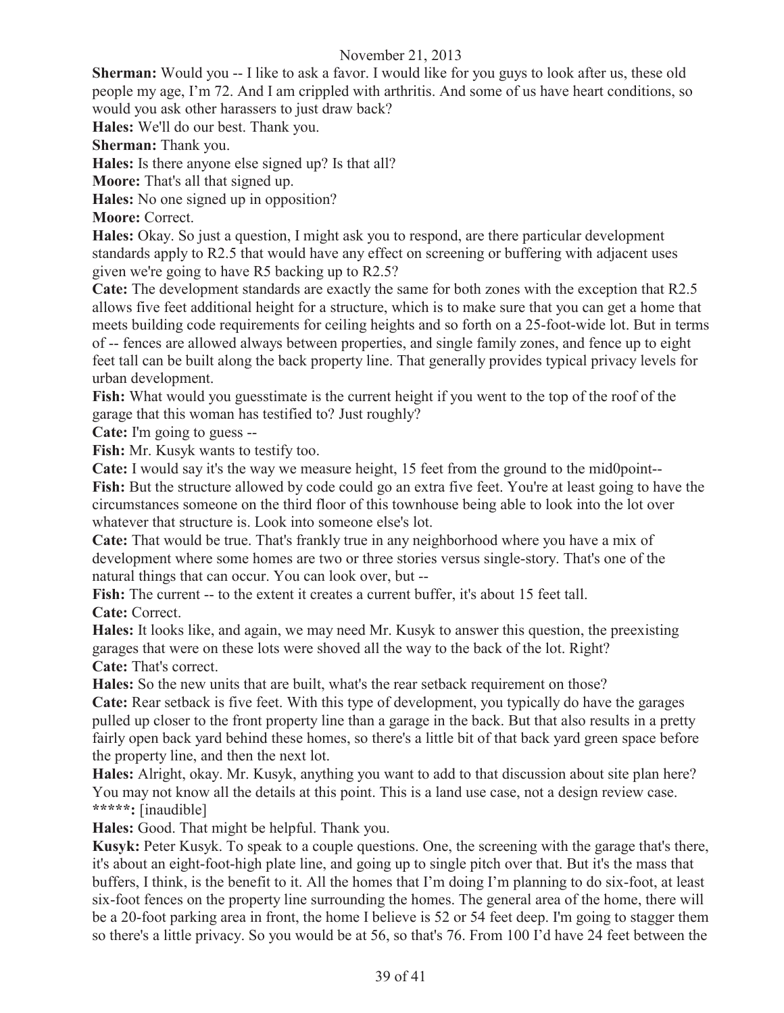**Sherman:** Would you -- I like to ask a favor. I would like for you guys to look after us, these old people my age, I'm 72. And I am crippled with arthritis. And some of us have heart conditions, so would you ask other harassers to just draw back?

**Hales:** We'll do our best. Thank you.

**Sherman:** Thank you.

**Hales:** Is there anyone else signed up? Is that all?

**Moore:** That's all that signed up.

**Hales:** No one signed up in opposition?

**Moore:** Correct.

**Hales:** Okay. So just a question, I might ask you to respond, are there particular development standards apply to R2.5 that would have any effect on screening or buffering with adjacent uses given we're going to have R5 backing up to R2.5?

**Cate:** The development standards are exactly the same for both zones with the exception that R2.5 allows five feet additional height for a structure, which is to make sure that you can get a home that meets building code requirements for ceiling heights and so forth on a 25-foot-wide lot. But in terms of -- fences are allowed always between properties, and single family zones, and fence up to eight feet tall can be built along the back property line. That generally provides typical privacy levels for urban development.

**Fish:** What would you guesstimate is the current height if you went to the top of the roof of the garage that this woman has testified to? Just roughly?

**Cate:** I'm going to guess --

**Fish:** Mr. Kusyk wants to testify too.

**Cate:** I would say it's the way we measure height, 15 feet from the ground to the mid0point-- Fish: But the structure allowed by code could go an extra five feet. You're at least going to have the circumstances someone on the third floor of this townhouse being able to look into the lot over whatever that structure is. Look into someone else's lot.

**Cate:** That would be true. That's frankly true in any neighborhood where you have a mix of development where some homes are two or three stories versus single-story. That's one of the natural things that can occur. You can look over, but --

Fish: The current -- to the extent it creates a current buffer, it's about 15 feet tall. **Cate:** Correct.

**Hales:** It looks like, and again, we may need Mr. Kusyk to answer this question, the preexisting garages that were on these lots were shoved all the way to the back of the lot. Right? **Cate:** That's correct.

**Hales:** So the new units that are built, what's the rear setback requirement on those?

**Cate:** Rear setback is five feet. With this type of development, you typically do have the garages pulled up closer to the front property line than a garage in the back. But that also results in a pretty fairly open back yard behind these homes, so there's a little bit of that back yard green space before the property line, and then the next lot.

**Hales:** Alright, okay. Mr. Kusyk, anything you want to add to that discussion about site plan here? You may not know all the details at this point. This is a land use case, not a design review case. **\*\*\*\*\*:** [inaudible]

**Hales:** Good. That might be helpful. Thank you.

**Kusyk:** Peter Kusyk. To speak to a couple questions. One, the screening with the garage that's there, it's about an eight-foot-high plate line, and going up to single pitch over that. But it's the mass that buffers, I think, is the benefit to it. All the homes that I'm doing I'm planning to do six-foot, at least six-foot fences on the property line surrounding the homes. The general area of the home, there will be a 20-foot parking area in front, the home I believe is 52 or 54 feet deep. I'm going to stagger them so there's a little privacy. So you would be at 56, so that's 76. From 100 I'd have 24 feet between the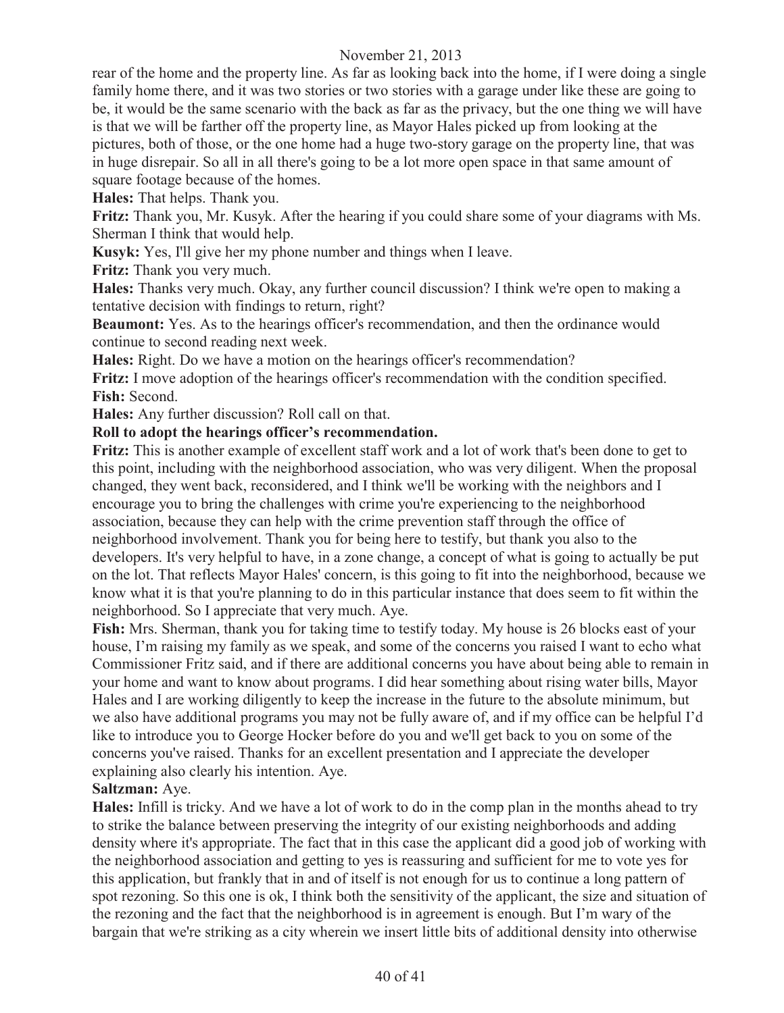rear of the home and the property line. As far as looking back into the home, if I were doing a single family home there, and it was two stories or two stories with a garage under like these are going to be, it would be the same scenario with the back as far as the privacy, but the one thing we will have is that we will be farther off the property line, as Mayor Hales picked up from looking at the pictures, both of those, or the one home had a huge two-story garage on the property line, that was in huge disrepair. So all in all there's going to be a lot more open space in that same amount of square footage because of the homes.

**Hales:** That helps. Thank you.

**Fritz:** Thank you, Mr. Kusyk. After the hearing if you could share some of your diagrams with Ms. Sherman I think that would help.

**Kusyk:** Yes, I'll give her my phone number and things when I leave.

**Fritz:** Thank you very much.

**Hales:** Thanks very much. Okay, any further council discussion? I think we're open to making a tentative decision with findings to return, right?

**Beaumont:** Yes. As to the hearings officer's recommendation, and then the ordinance would continue to second reading next week.

**Hales:** Right. Do we have a motion on the hearings officer's recommendation?

**Fritz:** I move adoption of the hearings officer's recommendation with the condition specified. **Fish:** Second.

**Hales:** Any further discussion? Roll call on that.

#### **Roll to adopt the hearings officer's recommendation.**

**Fritz:** This is another example of excellent staff work and a lot of work that's been done to get to this point, including with the neighborhood association, who was very diligent. When the proposal changed, they went back, reconsidered, and I think we'll be working with the neighbors and I encourage you to bring the challenges with crime you're experiencing to the neighborhood association, because they can help with the crime prevention staff through the office of neighborhood involvement. Thank you for being here to testify, but thank you also to the developers. It's very helpful to have, in a zone change, a concept of what is going to actually be put on the lot. That reflects Mayor Hales' concern, is this going to fit into the neighborhood, because we know what it is that you're planning to do in this particular instance that does seem to fit within the neighborhood. So I appreciate that very much. Aye.

**Fish:** Mrs. Sherman, thank you for taking time to testify today. My house is 26 blocks east of your house, I'm raising my family as we speak, and some of the concerns you raised I want to echo what Commissioner Fritz said, and if there are additional concerns you have about being able to remain in your home and want to know about programs. I did hear something about rising water bills, Mayor Hales and I are working diligently to keep the increase in the future to the absolute minimum, but we also have additional programs you may not be fully aware of, and if my office can be helpful I'd like to introduce you to George Hocker before do you and we'll get back to you on some of the concerns you've raised. Thanks for an excellent presentation and I appreciate the developer explaining also clearly his intention. Aye.

#### **Saltzman:** Aye.

**Hales:** Infill is tricky. And we have a lot of work to do in the comp plan in the months ahead to try to strike the balance between preserving the integrity of our existing neighborhoods and adding density where it's appropriate. The fact that in this case the applicant did a good job of working with the neighborhood association and getting to yes is reassuring and sufficient for me to vote yes for this application, but frankly that in and of itself is not enough for us to continue a long pattern of spot rezoning. So this one is ok, I think both the sensitivity of the applicant, the size and situation of the rezoning and the fact that the neighborhood is in agreement is enough. But I'm wary of the bargain that we're striking as a city wherein we insert little bits of additional density into otherwise